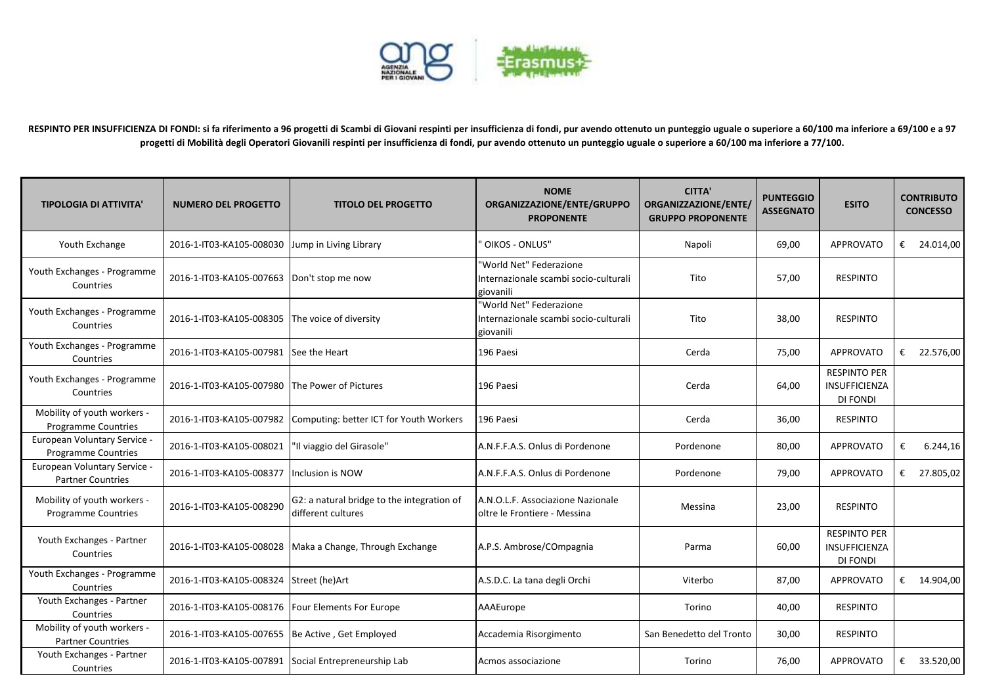

**RESPINTO PER INSUFFICIENZA DI FONDI: si fa riferimento a 96 progetti di Scambi di Giovani respinti per insufficienza di fondi, pur avendo ottenuto un punteggio uguale o superiore a 60/100 ma inferiore a 69/100 e a 97 progetti di Mobilità degli Operatori Giovanili respinti per insufficienza di fondi, pur avendo ottenuto un punteggio uguale o superiore a 60/100 ma inferiore a 77/100.**

| <b>TIPOLOGIA DI ATTIVITA'</b>                              | <b>NUMERO DEL PROGETTO</b>                           | <b>TITOLO DEL PROGETTO</b>                                       | <b>NOME</b><br>ORGANIZZAZIONE/ENTE/GRUPPO<br><b>PROPONENTE</b>                | <b>CITTA'</b><br>ORGANIZZAZIONE/ENTE/<br><b>GRUPPO PROPONENTE</b> | <b>PUNTEGGIO</b><br><b>ASSEGNATO</b> | <b>ESITO</b>                                            |   | <b>CONTRIBUTO</b><br><b>CONCESSO</b> |
|------------------------------------------------------------|------------------------------------------------------|------------------------------------------------------------------|-------------------------------------------------------------------------------|-------------------------------------------------------------------|--------------------------------------|---------------------------------------------------------|---|--------------------------------------|
| Youth Exchange                                             | 2016-1-IT03-KA105-008030                             | Jump in Living Library                                           | OIKOS - ONLUS"                                                                | Napoli                                                            | 69,00                                | <b>APPROVATO</b>                                        |   | € 24.014,00                          |
| Youth Exchanges - Programme<br>Countries                   | 2016-1-IT03-KA105-007663 Don't stop me now           |                                                                  | 'World Net" Federazione<br>Internazionale scambi socio-culturali<br>giovanili | Tito                                                              | 57,00                                | <b>RESPINTO</b>                                         |   |                                      |
| Youth Exchanges - Programme<br>Countries                   | 2016-1-IT03-KA105-008305                             | The voice of diversity                                           | "World Net" Federazione<br>Internazionale scambi socio-culturali<br>giovanili | Tito                                                              | 38,00                                | <b>RESPINTO</b>                                         |   |                                      |
| Youth Exchanges - Programme<br>Countries                   | 2016-1-IT03-KA105-007981                             | See the Heart                                                    | 196 Paesi                                                                     | Cerda                                                             | 75,00                                | <b>APPROVATO</b>                                        |   | € 22.576,00                          |
| Youth Exchanges - Programme<br>Countries                   | 2016-1-IT03-KA105-007980 The Power of Pictures       |                                                                  | 196 Paesi                                                                     | Cerda                                                             | 64,00                                | <b>RESPINTO PER</b><br>INSUFFICIENZA<br><b>DI FONDI</b> |   |                                      |
| Mobility of youth workers -<br><b>Programme Countries</b>  | 2016-1-IT03-KA105-007982                             | Computing: better ICT for Youth Workers                          | 196 Paesi                                                                     | Cerda                                                             | 36,00                                | <b>RESPINTO</b>                                         |   |                                      |
| European Voluntary Service -<br><b>Programme Countries</b> | 2016-1-IT03-KA105-008021                             | 'Il viaggio del Girasole"                                        | A.N.F.F.A.S. Onlus di Pordenone                                               | Pordenone                                                         | 80,00                                | <b>APPROVATO</b>                                        | € | 6.244,16                             |
| European Voluntary Service -<br><b>Partner Countries</b>   | 2016-1-IT03-KA105-008377                             | <b>Inclusion is NOW</b>                                          | A.N.F.F.A.S. Onlus di Pordenone                                               | Pordenone                                                         | 79,00                                | <b>APPROVATO</b>                                        |   | € 27.805,02                          |
| Mobility of youth workers -<br><b>Programme Countries</b>  | 2016-1-IT03-KA105-008290                             | G2: a natural bridge to the integration of<br>different cultures | A.N.O.L.F. Associazione Nazionale<br>oltre le Frontiere - Messina             | Messina                                                           | 23,00                                | <b>RESPINTO</b>                                         |   |                                      |
| Youth Exchanges - Partner<br>Countries                     |                                                      | 2016-1-IT03-KA105-008028   Maka a Change, Through Exchange       | A.P.S. Ambrose/COmpagnia                                                      | Parma                                                             | 60,00                                | <b>RESPINTO PER</b><br>INSUFFICIENZA<br>DI FONDI        |   |                                      |
| Youth Exchanges - Programme<br>Countries                   | 2016-1-IT03-KA105-008324 Street (he)Art              |                                                                  | A.S.D.C. La tana degli Orchi                                                  | Viterbo                                                           | 87,00                                | <b>APPROVATO</b>                                        |   | € $14.904,00$                        |
| Youth Exchanges - Partner<br>Countries                     | 2016-1-IT03-KA105-008176   Four Elements For Europe  |                                                                  | AAAEurope                                                                     | Torino                                                            | 40,00                                | <b>RESPINTO</b>                                         |   |                                      |
| Mobility of youth workers -<br><b>Partner Countries</b>    | 2016-1-IT03-KA105-007655 Be Active, Get Employed     |                                                                  | Accademia Risorgimento                                                        | San Benedetto del Tronto                                          | 30,00                                | <b>RESPINTO</b>                                         |   |                                      |
| Youth Exchanges - Partner<br>Countries                     | 2016-1-IT03-KA105-007891 Social Entrepreneurship Lab |                                                                  | Acmos associazione                                                            | Torino                                                            | 76,00                                | <b>APPROVATO</b>                                        |   | € 33.520,00                          |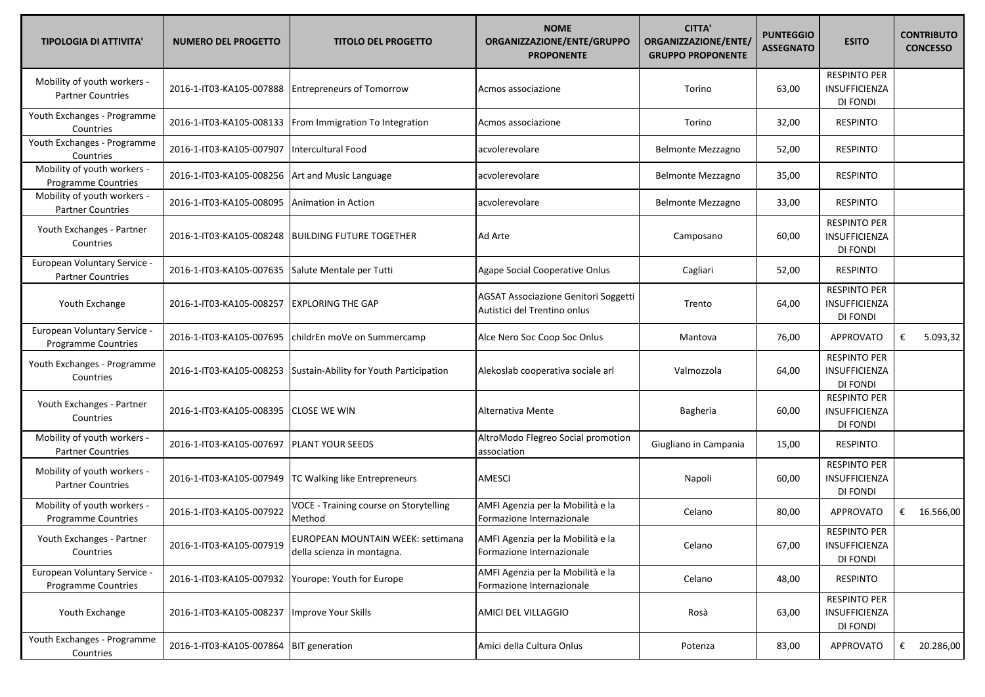| <b>TIPOLOGIA DI ATTIVITA'</b>                            | <b>NUMERO DEL PROGETTO</b> | <b>TITOLO DEL PROGETTO</b>                                      | <b>NOME</b><br>ORGANIZZAZIONE/ENTE/GRUPPO<br><b>PROPONENTE</b>       | <b>CITTA'</b><br>ORGANIZZAZIONE/ENTE/<br><b>GRUPPO PROPONENTE</b> | <b>PUNTEGGIO</b><br><b>ASSEGNATO</b> | <b>ESITO</b>                                            | <b>CONTRIBUTO</b><br><b>CONCESSO</b> |
|----------------------------------------------------------|----------------------------|-----------------------------------------------------------------|----------------------------------------------------------------------|-------------------------------------------------------------------|--------------------------------------|---------------------------------------------------------|--------------------------------------|
| Mobility of youth workers -<br><b>Partner Countries</b>  | 2016-1-IT03-KA105-007888   | <b>Entrepreneurs of Tomorrow</b>                                | Acmos associazione                                                   | Torino                                                            | 63,00                                | <b>RESPINTO PER</b><br>INSUFFICIENZA<br>DI FONDI        |                                      |
| Youth Exchanges - Programme<br>Countries                 | 2016-1-IT03-KA105-008133   | From Immigration To Integration                                 | Acmos associazione                                                   | Torino                                                            | 32,00                                | <b>RESPINTO</b>                                         |                                      |
| Youth Exchanges - Programme<br>Countries                 | 2016-1-IT03-KA105-007907   | Intercultural Food                                              | acvolerevolare                                                       | Belmonte Mezzagno                                                 | 52,00                                | <b>RESPINTO</b>                                         |                                      |
| Mobility of youth workers -<br>Programme Countries       | 2016-1-IT03-KA105-008256   | Art and Music Language                                          | acvolerevolare                                                       | Belmonte Mezzagno                                                 | 35,00                                | <b>RESPINTO</b>                                         |                                      |
| Mobility of youth workers -<br><b>Partner Countries</b>  | 2016-1-IT03-KA105-008095   | Animation in Action                                             | acvolerevolare                                                       | <b>Belmonte Mezzagno</b>                                          | 33,00                                | <b>RESPINTO</b>                                         |                                      |
| Youth Exchanges - Partner<br>Countries                   | 2016-1-IT03-KA105-008248   | <b>BUILDING FUTURE TOGETHER</b>                                 | Ad Arte                                                              | Camposano                                                         | 60,00                                | <b>RESPINTO PER</b><br>INSUFFICIENZA<br>DI FONDI        |                                      |
| European Voluntary Service -<br><b>Partner Countries</b> | 2016-1-IT03-KA105-007635   | Salute Mentale per Tutti                                        | Agape Social Cooperative Onlus                                       | Cagliari                                                          | 52,00                                | <b>RESPINTO</b>                                         |                                      |
| Youth Exchange                                           | 2016-1-IT03-KA105-008257   | <b>EXPLORING THE GAP</b>                                        | AGSAT Associazione Genitori Soggetti<br>Autistici del Trentino onlus | Trento                                                            | 64,00                                | <b>RESPINTO PER</b><br>INSUFFICIENZA<br>DI FONDI        |                                      |
| European Voluntary Service -<br>Programme Countries      | 2016-1-IT03-KA105-007695   | childrEn moVe on Summercamp                                     | Alce Nero Soc Coop Soc Onlus                                         | Mantova                                                           | 76,00                                | <b>APPROVATO</b>                                        | 5.093,32<br>€                        |
| Youth Exchanges - Programme<br>Countries                 | 2016-1-IT03-KA105-008253   | Sustain-Ability for Youth Participation                         | Alekoslab cooperativa sociale arl                                    | Valmozzola                                                        | 64,00                                | <b>RESPINTO PER</b><br><b>INSUFFICIENZA</b><br>DI FONDI |                                      |
| Youth Exchanges - Partner<br>Countries                   | 2016-1-IT03-KA105-008395   | <b>CLOSE WE WIN</b>                                             | Alternativa Mente                                                    | Bagheria                                                          | 60,00                                | <b>RESPINTO PER</b><br>INSUFFICIENZA<br>DI FONDI        |                                      |
| Mobility of youth workers -<br><b>Partner Countries</b>  | 2016-1-IT03-KA105-007697   | <b>PLANT YOUR SEEDS</b>                                         | AltroModo Flegreo Social promotion<br>association                    | Giugliano in Campania                                             | 15,00                                | <b>RESPINTO</b>                                         |                                      |
| Mobility of youth workers -<br><b>Partner Countries</b>  | 2016-1-IT03-KA105-007949   | TC Walking like Entrepreneurs                                   | <b>AMESCI</b>                                                        | Napoli                                                            | 60,00                                | <b>RESPINTO PER</b><br>INSUFFICIENZA<br>DI FONDI        |                                      |
| Mobility of youth workers -<br>Programme Countries       | 2016-1-IT03-KA105-007922   | VOCE - Training course on Storytelling<br>Method                | AMFI Agenzia per la Mobilità e la<br>Formazione Internazionale       | Celano                                                            | 80,00                                | <b>APPROVATO</b>                                        | € 16.566,00                          |
| Youth Exchanges - Partner<br>Countries                   | 2016-1-IT03-KA105-007919   | EUROPEAN MOUNTAIN WEEK: settimana<br>della scienza in montagna. | AMFI Agenzia per la Mobilità e la<br>Formazione Internazionale       | Celano                                                            | 67,00                                | <b>RESPINTO PER</b><br>INSUFFICIENZA<br>DI FONDI        |                                      |
| European Voluntary Service -<br>Programme Countries      | 2016-1-IT03-KA105-007932   | Yourope: Youth for Europe                                       | AMFI Agenzia per la Mobilità e la<br>Formazione Internazionale       | Celano                                                            | 48,00                                | <b>RESPINTO</b>                                         |                                      |
| Youth Exchange                                           | 2016-1-IT03-KA105-008237   | Improve Your Skills                                             | <b>AMICI DEL VILLAGGIO</b>                                           | Rosà                                                              | 63,00                                | <b>RESPINTO PER</b><br>INSUFFICIENZA<br>DI FONDI        |                                      |
| Youth Exchanges - Programme<br>Countries                 | 2016-1-IT03-KA105-007864   | <b>BIT</b> generation                                           | Amici della Cultura Onlus                                            | Potenza                                                           | 83,00                                | <b>APPROVATO</b>                                        | € 20.286,00                          |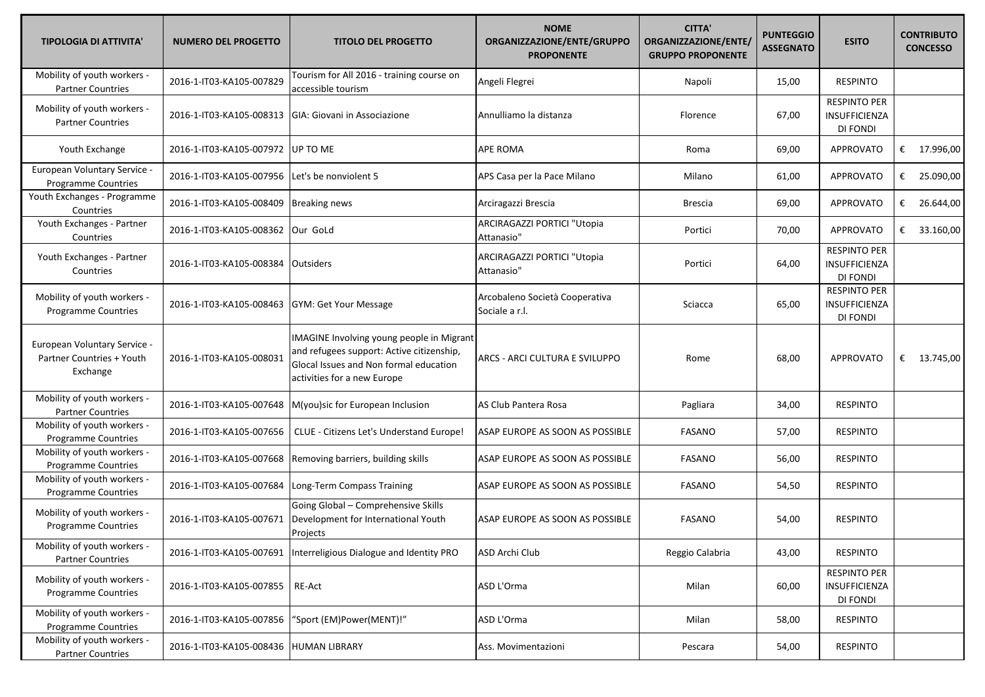| <b>TIPOLOGIA DI ATTIVITA'</b>                                         | <b>NUMERO DEL PROGETTO</b> | <b>TITOLO DEL PROGETTO</b>                                                                                                                                      | <b>NOME</b><br>ORGANIZZAZIONE/ENTE/GRUPPO<br><b>PROPONENTE</b> | <b>CITTA'</b><br>ORGANIZZAZIONE/ENTE/<br><b>GRUPPO PROPONENTE</b> | <b>PUNTEGGIO</b><br><b>ASSEGNATO</b> | <b>ESITO</b>                                     | <b>CONTRIBUTO</b><br><b>CONCESSO</b> |
|-----------------------------------------------------------------------|----------------------------|-----------------------------------------------------------------------------------------------------------------------------------------------------------------|----------------------------------------------------------------|-------------------------------------------------------------------|--------------------------------------|--------------------------------------------------|--------------------------------------|
| Mobility of youth workers -<br><b>Partner Countries</b>               | 2016-1-IT03-KA105-007829   | Tourism for All 2016 - training course on<br>accessible tourism                                                                                                 | Angeli Flegrei                                                 | Napoli                                                            | 15,00                                | <b>RESPINTO</b>                                  |                                      |
| Mobility of youth workers -<br><b>Partner Countries</b>               | 2016-1-IT03-KA105-008313   | GIA: Giovani in Associazione                                                                                                                                    | Annulliamo la distanza                                         | Florence                                                          | 67,00                                | <b>RESPINTO PER</b><br>INSUFFICIENZA<br>DI FONDI |                                      |
| Youth Exchange                                                        | 2016-1-IT03-KA105-007972   | UP TO ME                                                                                                                                                        | APE ROMA                                                       | Roma                                                              | 69,00                                | <b>APPROVATO</b>                                 | € $17.996,00$                        |
| European Voluntary Service -<br>Programme Countries                   | 2016-1-IT03-KA105-007956   | Let's be nonviolent 5                                                                                                                                           | APS Casa per la Pace Milano                                    | Milano                                                            | 61,00                                | <b>APPROVATO</b>                                 | € 25.090,00                          |
| Youth Exchanges - Programme<br>Countries                              | 2016-1-IT03-KA105-008409   | <b>Breaking news</b>                                                                                                                                            | Arciragazzi Brescia                                            | Brescia                                                           | 69,00                                | APPROVATO                                        | € 26.644,00                          |
| Youth Exchanges - Partner<br>Countries                                | 2016-1-IT03-KA105-008362   | Our GoLd                                                                                                                                                        | ARCIRAGAZZI PORTICI "Utopia<br>Attanasio"                      | Portici                                                           | 70,00                                | APPROVATO                                        | €<br>33.160,00                       |
| Youth Exchanges - Partner<br>Countries                                | 2016-1-IT03-KA105-008384   | Outsiders                                                                                                                                                       | ARCIRAGAZZI PORTICI "Utopia<br>Attanasio"                      | Portici                                                           | 64,00                                | <b>RESPINTO PER</b><br>INSUFFICIENZA<br>DI FONDI |                                      |
| Mobility of youth workers -<br><b>Programme Countries</b>             | 2016-1-IT03-KA105-008463   | <b>GYM: Get Your Message</b>                                                                                                                                    | Arcobaleno Società Cooperativa<br>Sociale a r.l.               | Sciacca                                                           | 65,00                                | <b>RESPINTO PER</b><br>INSUFFICIENZA<br>DI FONDI |                                      |
| European Voluntary Service -<br>Partner Countries + Youth<br>Exchange | 2016-1-IT03-KA105-008031   | IMAGINE Involving young people in Migrant<br>and refugees support: Active citizenship,<br>Glocal Issues and Non formal education<br>activities for a new Europe | ARCS - ARCI CULTURA E SVILUPPO                                 | Rome                                                              | 68,00                                | <b>APPROVATO</b>                                 | € $13.745,00$                        |
| Mobility of youth workers -<br><b>Partner Countries</b>               | 2016-1-IT03-KA105-007648   | M(you)sic for European Inclusion                                                                                                                                | AS Club Pantera Rosa                                           | Pagliara                                                          | 34,00                                | <b>RESPINTO</b>                                  |                                      |
| Mobility of youth workers -<br>Programme Countries                    | 2016-1-IT03-KA105-007656   | CLUE - Citizens Let's Understand Europe!                                                                                                                        | ASAP EUROPE AS SOON AS POSSIBLE                                | <b>FASANO</b>                                                     | 57,00                                | <b>RESPINTO</b>                                  |                                      |
| Mobility of youth workers -<br><b>Programme Countries</b>             | 2016-1-IT03-KA105-007668   | Removing barriers, building skills                                                                                                                              | ASAP EUROPE AS SOON AS POSSIBLE                                | <b>FASANO</b>                                                     | 56,00                                | <b>RESPINTO</b>                                  |                                      |
| Mobility of youth workers -<br>Programme Countries                    | 2016-1-IT03-KA105-007684   | Long-Term Compass Training                                                                                                                                      | ASAP EUROPE AS SOON AS POSSIBLE                                | <b>FASANO</b>                                                     | 54,50                                | <b>RESPINTO</b>                                  |                                      |
| Mobility of youth workers -<br>Programme Countries                    | 2016-1-IT03-KA105-007671   | Going Global - Comprehensive Skills<br>Development for International Youth<br>Projects                                                                          | ASAP EUROPE AS SOON AS POSSIBLE                                | <b>FASANO</b>                                                     | 54,00                                | <b>RESPINTO</b>                                  |                                      |
| Mobility of youth workers -<br><b>Partner Countries</b>               | 2016-1-IT03-KA105-007691   | Interreligious Dialogue and Identity PRO                                                                                                                        | ASD Archi Club                                                 | Reggio Calabria                                                   | 43,00                                | <b>RESPINTO</b>                                  |                                      |
| Mobility of youth workers -<br>Programme Countries                    | 2016-1-IT03-KA105-007855   | RE-Act                                                                                                                                                          | ASD L'Orma                                                     | Milan                                                             | 60,00                                | <b>RESPINTO PER</b><br>INSUFFICIENZA<br>DI FONDI |                                      |
| Mobility of youth workers -<br><b>Programme Countries</b>             | 2016-1-IT03-KA105-007856   | "Sport (EM)Power(MENT)!"                                                                                                                                        | ASD L'Orma                                                     | Milan                                                             | 58,00                                | <b>RESPINTO</b>                                  |                                      |
| Mobility of youth workers -<br><b>Partner Countries</b>               | 2016-1-IT03-KA105-008436   | <b>HUMAN LIBRARY</b>                                                                                                                                            | Ass. Movimentazioni                                            | Pescara                                                           | 54,00                                | <b>RESPINTO</b>                                  |                                      |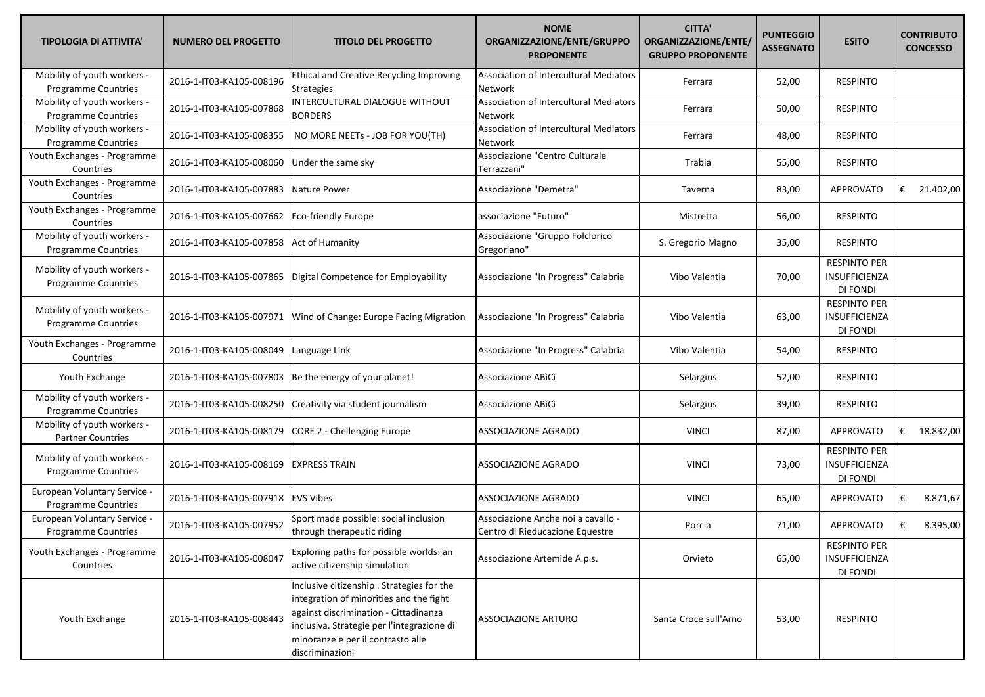| <b>TIPOLOGIA DI ATTIVITA'</b>                              | <b>NUMERO DEL PROGETTO</b> | <b>TITOLO DEL PROGETTO</b>                                                                                                                                                                                                           | <b>NOME</b><br>ORGANIZZAZIONE/ENTE/GRUPPO<br><b>PROPONENTE</b>        | <b>CITTA'</b><br>ORGANIZZAZIONE/ENTE/<br><b>GRUPPO PROPONENTE</b> | <b>PUNTEGGIO</b><br><b>ASSEGNATO</b> | <b>ESITO</b>                                            | <b>CONTRIBUTO</b><br><b>CONCESSO</b> |
|------------------------------------------------------------|----------------------------|--------------------------------------------------------------------------------------------------------------------------------------------------------------------------------------------------------------------------------------|-----------------------------------------------------------------------|-------------------------------------------------------------------|--------------------------------------|---------------------------------------------------------|--------------------------------------|
| Mobility of youth workers -<br><b>Programme Countries</b>  | 2016-1-IT03-KA105-008196   | <b>Ethical and Creative Recycling Improving</b><br>Strategies                                                                                                                                                                        | <b>Association of Intercultural Mediators</b><br>Network              | Ferrara                                                           | 52,00                                | <b>RESPINTO</b>                                         |                                      |
| Mobility of youth workers -<br>Programme Countries         | 2016-1-IT03-KA105-007868   | INTERCULTURAL DIALOGUE WITHOUT<br><b>BORDERS</b>                                                                                                                                                                                     | Association of Intercultural Mediators<br>Network                     | Ferrara                                                           | 50,00                                | <b>RESPINTO</b>                                         |                                      |
| Mobility of youth workers -<br>Programme Countries         | 2016-1-IT03-KA105-008355   | NO MORE NEETS - JOB FOR YOU(TH)                                                                                                                                                                                                      | Association of Intercultural Mediators<br>Network                     | Ferrara                                                           | 48,00                                | <b>RESPINTO</b>                                         |                                      |
| Youth Exchanges - Programme<br>Countries                   | 2016-1-IT03-KA105-008060   | Under the same sky                                                                                                                                                                                                                   | Associazione "Centro Culturale<br>Terrazzani"                         | Trabia                                                            | 55,00                                | <b>RESPINTO</b>                                         |                                      |
| Youth Exchanges - Programme<br>Countries                   | 2016-1-IT03-KA105-007883   | Nature Power                                                                                                                                                                                                                         | Associazione "Demetra"                                                | Taverna                                                           | 83,00                                | <b>APPROVATO</b>                                        | € 21.402,00                          |
| Youth Exchanges - Programme<br>Countries                   | 2016-1-IT03-KA105-007662   | Eco-friendly Europe                                                                                                                                                                                                                  | associazione "Futuro"                                                 | Mistretta                                                         | 56,00                                | <b>RESPINTO</b>                                         |                                      |
| Mobility of youth workers -<br><b>Programme Countries</b>  | 2016-1-IT03-KA105-007858   | <b>Act of Humanity</b>                                                                                                                                                                                                               | Associazione "Gruppo Folclorico<br>Gregoriano"                        | S. Gregorio Magno                                                 | 35,00                                | <b>RESPINTO</b>                                         |                                      |
| Mobility of youth workers -<br><b>Programme Countries</b>  | 2016-1-IT03-KA105-007865   | Digital Competence for Employability                                                                                                                                                                                                 | Associazione "In Progress" Calabria                                   | Vibo Valentia                                                     | 70,00                                | <b>RESPINTO PER</b><br>INSUFFICIENZA<br>DI FONDI        |                                      |
| Mobility of youth workers -<br><b>Programme Countries</b>  | 2016-1-IT03-KA105-007971   | Wind of Change: Europe Facing Migration                                                                                                                                                                                              | Associazione "In Progress" Calabria                                   | Vibo Valentia                                                     | 63,00                                | <b>RESPINTO PER</b><br>INSUFFICIENZA<br>DI FONDI        |                                      |
| Youth Exchanges - Programme<br>Countries                   | 2016-1-IT03-KA105-008049   | Language Link                                                                                                                                                                                                                        | Associazione "In Progress" Calabria                                   | Vibo Valentia                                                     | 54,00                                | <b>RESPINTO</b>                                         |                                      |
| Youth Exchange                                             | 2016-1-IT03-KA105-007803   | Be the energy of your planet!                                                                                                                                                                                                        | Associazione ABICI                                                    | Selargius                                                         | 52,00                                | <b>RESPINTO</b>                                         |                                      |
| Mobility of youth workers -<br>Programme Countries         | 2016-1-IT03-KA105-008250   | Creativity via student journalism                                                                                                                                                                                                    | Associazione ABICI                                                    | Selargius                                                         | 39,00                                | <b>RESPINTO</b>                                         |                                      |
| Mobility of youth workers -<br><b>Partner Countries</b>    | 2016-1-IT03-KA105-008179   | <b>CORE 2 - Chellenging Europe</b>                                                                                                                                                                                                   | <b>ASSOCIAZIONE AGRADO</b>                                            | <b>VINCI</b>                                                      | 87,00                                | <b>APPROVATO</b>                                        | € $18.832,00$                        |
| Mobility of youth workers -<br><b>Programme Countries</b>  | 2016-1-IT03-KA105-008169   | <b>EXPRESS TRAIN</b>                                                                                                                                                                                                                 | ASSOCIAZIONE AGRADO                                                   | <b>VINCI</b>                                                      | 73,00                                | <b>RESPINTO PER</b><br>INSUFFICIENZA<br>DI FONDI        |                                      |
| European Voluntary Service -<br>Programme Countries        | 2016-1-IT03-KA105-007918   | <b>EVS Vibes</b>                                                                                                                                                                                                                     | <b>ASSOCIAZIONE AGRADO</b>                                            | <b>VINCI</b>                                                      | 65,00                                | <b>APPROVATO</b>                                        | 8.871,67<br>€                        |
| European Voluntary Service -<br><b>Programme Countries</b> | 2016-1-IT03-KA105-007952   | Sport made possible: social inclusion<br>through therapeutic riding                                                                                                                                                                  | Associazione Anche noi a cavallo -<br>Centro di Rieducazione Equestre | Porcia                                                            | 71,00                                | APPROVATO                                               | 8.395,00<br>€                        |
| Youth Exchanges - Programme<br>Countries                   | 2016-1-IT03-KA105-008047   | Exploring paths for possible worlds: an<br>active citizenship simulation                                                                                                                                                             | Associazione Artemide A.p.s.                                          | Orvieto                                                           | 65,00                                | <b>RESPINTO PER</b><br><b>INSUFFICIENZA</b><br>DI FONDI |                                      |
| Youth Exchange                                             | 2016-1-IT03-KA105-008443   | Inclusive citizenship . Strategies for the<br>integration of minorities and the fight<br>against discrimination - Cittadinanza<br>inclusiva. Strategie per l'integrazione di<br>minoranze e per il contrasto alle<br>discriminazioni | <b>ASSOCIAZIONE ARTURO</b>                                            | Santa Croce sull'Arno                                             | 53,00                                | <b>RESPINTO</b>                                         |                                      |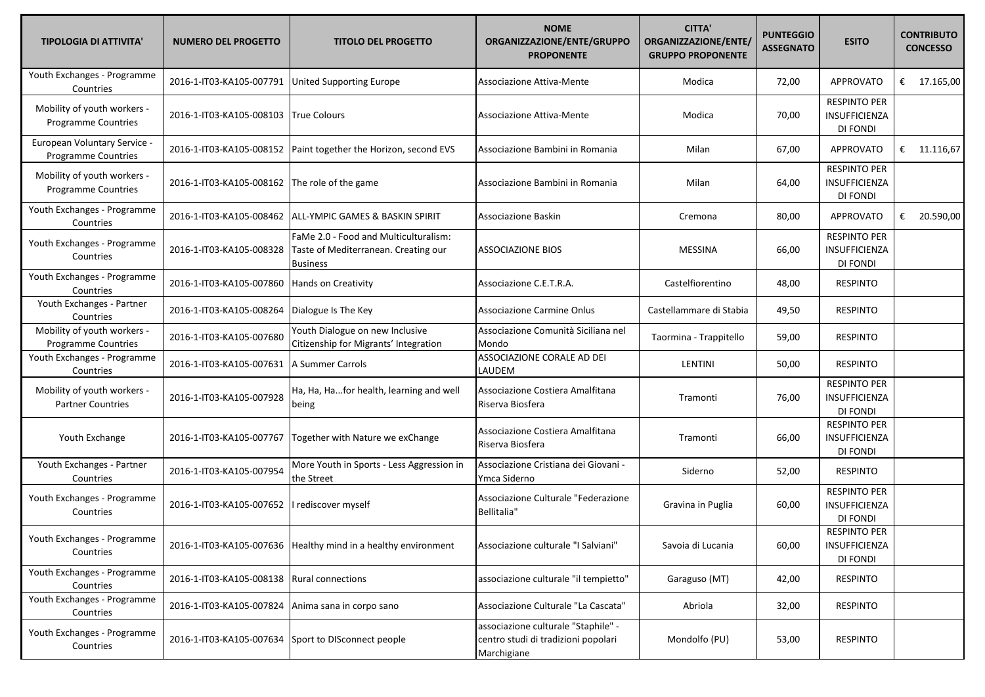| <b>TIPOLOGIA DI ATTIVITA'</b>                              | <b>NUMERO DEL PROGETTO</b> | <b>TITOLO DEL PROGETTO</b>                                                                       | <b>NOME</b><br>ORGANIZZAZIONE/ENTE/GRUPPO<br><b>PROPONENTE</b>                            | <b>CITTA'</b><br>ORGANIZZAZIONE/ENTE/<br><b>GRUPPO PROPONENTE</b> | <b>PUNTEGGIO</b><br><b>ASSEGNATO</b> | <b>ESITO</b>                                     | <b>CONTRIBUTO</b><br><b>CONCESSO</b> |
|------------------------------------------------------------|----------------------------|--------------------------------------------------------------------------------------------------|-------------------------------------------------------------------------------------------|-------------------------------------------------------------------|--------------------------------------|--------------------------------------------------|--------------------------------------|
| Youth Exchanges - Programme<br>Countries                   | 2016-1-IT03-KA105-007791   | <b>United Supporting Europe</b>                                                                  | Associazione Attiva-Mente                                                                 | Modica                                                            | 72,00                                | <b>APPROVATO</b>                                 | € $17.165,00$                        |
| Mobility of youth workers -<br><b>Programme Countries</b>  | 2016-1-IT03-KA105-008103   | <b>True Colours</b>                                                                              | Associazione Attiva-Mente                                                                 | Modica                                                            | 70,00                                | <b>RESPINTO PER</b><br>INSUFFICIENZA<br>DI FONDI |                                      |
| European Voluntary Service -<br><b>Programme Countries</b> | 2016-1-IT03-KA105-008152   | Paint together the Horizon, second EVS                                                           | Associazione Bambini in Romania                                                           | Milan                                                             | 67,00                                | <b>APPROVATO</b>                                 | € 11.116,67                          |
| Mobility of youth workers -<br>Programme Countries         | 2016-1-IT03-KA105-008162   | The role of the game                                                                             | Associazione Bambini in Romania                                                           | Milan                                                             | 64,00                                | <b>RESPINTO PER</b><br>INSUFFICIENZA<br>DI FONDI |                                      |
| Youth Exchanges - Programme<br>Countries                   | 2016-1-IT03-KA105-008462   | <b>ALL-YMPIC GAMES &amp; BASKIN SPIRIT</b>                                                       | Associazione Baskin                                                                       | Cremona                                                           | 80,00                                | <b>APPROVATO</b>                                 | € 20.590,00                          |
| Youth Exchanges - Programme<br>Countries                   | 2016-1-IT03-KA105-008328   | FaMe 2.0 - Food and Multiculturalism:<br>Taste of Mediterranean. Creating our<br><b>Business</b> | <b>ASSOCIAZIONE BIOS</b>                                                                  | <b>MESSINA</b>                                                    | 66,00                                | <b>RESPINTO PER</b><br>INSUFFICIENZA<br>DI FONDI |                                      |
| Youth Exchanges - Programme<br>Countries                   | 2016-1-IT03-KA105-007860   | <b>Hands on Creativity</b>                                                                       | Associazione C.E.T.R.A.                                                                   | Castelfiorentino                                                  | 48,00                                | <b>RESPINTO</b>                                  |                                      |
| Youth Exchanges - Partner<br>Countries                     | 2016-1-IT03-KA105-008264   | Dialogue Is The Key                                                                              | Associazione Carmine Onlus                                                                | Castellammare di Stabia                                           | 49,50                                | <b>RESPINTO</b>                                  |                                      |
| Mobility of youth workers -<br>Programme Countries         | 2016-1-IT03-KA105-007680   | Youth Dialogue on new Inclusive<br>Citizenship for Migrants' Integration                         | Associazione Comunità Siciliana nel<br>Mondo                                              | Taormina - Trappitello                                            | 59,00                                | <b>RESPINTO</b>                                  |                                      |
| Youth Exchanges - Programme<br>Countries                   | 2016-1-IT03-KA105-007631   | A Summer Carrols                                                                                 | ASSOCIAZIONE CORALE AD DEI<br>LAUDEM                                                      | <b>LENTINI</b>                                                    | 50,00                                | <b>RESPINTO</b>                                  |                                      |
| Mobility of youth workers -<br><b>Partner Countries</b>    | 2016-1-IT03-KA105-007928   | Ha, Ha, Hafor health, learning and well<br>being                                                 | Associazione Costiera Amalfitana<br>Riserva Biosfera                                      | Tramonti                                                          | 76,00                                | <b>RESPINTO PER</b><br>INSUFFICIENZA<br>DI FONDI |                                      |
| Youth Exchange                                             | 2016-1-IT03-KA105-007767   | Together with Nature we exChange                                                                 | Associazione Costiera Amalfitana<br>Riserva Biosfera                                      | Tramonti                                                          | 66,00                                | <b>RESPINTO PER</b><br>INSUFFICIENZA<br>DI FONDI |                                      |
| Youth Exchanges - Partner<br>Countries                     | 2016-1-IT03-KA105-007954   | More Youth in Sports - Less Aggression in<br>the Street                                          | Associazione Cristiana dei Giovani -<br>Ymca Siderno                                      | Siderno                                                           | 52,00                                | <b>RESPINTO</b>                                  |                                      |
| Youth Exchanges - Programme<br>Countries                   | 2016-1-IT03-KA105-007652   | I rediscover myself                                                                              | Associazione Culturale "Federazione<br>Bellitalia"                                        | Gravina in Puglia                                                 | 60,00                                | <b>RESPINTO PER</b><br>INSUFFICIENZA<br>DI FONDI |                                      |
| Youth Exchanges - Programme<br>Countries                   |                            | 2016-1-IT03-KA105-007636   Healthy mind in a healthy environment                                 | Associazione culturale "I Salviani"                                                       | Savoia di Lucania                                                 | 60,00                                | <b>RESPINTO PER</b><br>INSUFFICIENZA<br>DI FONDI |                                      |
| Youth Exchanges - Programme<br>Countries                   | 2016-1-IT03-KA105-008138   | <b>Rural connections</b>                                                                         | associazione culturale "il tempietto"                                                     | Garaguso (MT)                                                     | 42,00                                | <b>RESPINTO</b>                                  |                                      |
| Youth Exchanges - Programme<br>Countries                   | 2016-1-IT03-KA105-007824   | Anima sana in corpo sano                                                                         | Associazione Culturale "La Cascata"                                                       | Abriola                                                           | 32,00                                | <b>RESPINTO</b>                                  |                                      |
| Youth Exchanges - Programme<br>Countries                   | 2016-1-IT03-KA105-007634   | Sport to DISconnect people                                                                       | associazione culturale "Staphile" -<br>centro studi di tradizioni popolari<br>Marchigiane | Mondolfo (PU)                                                     | 53,00                                | <b>RESPINTO</b>                                  |                                      |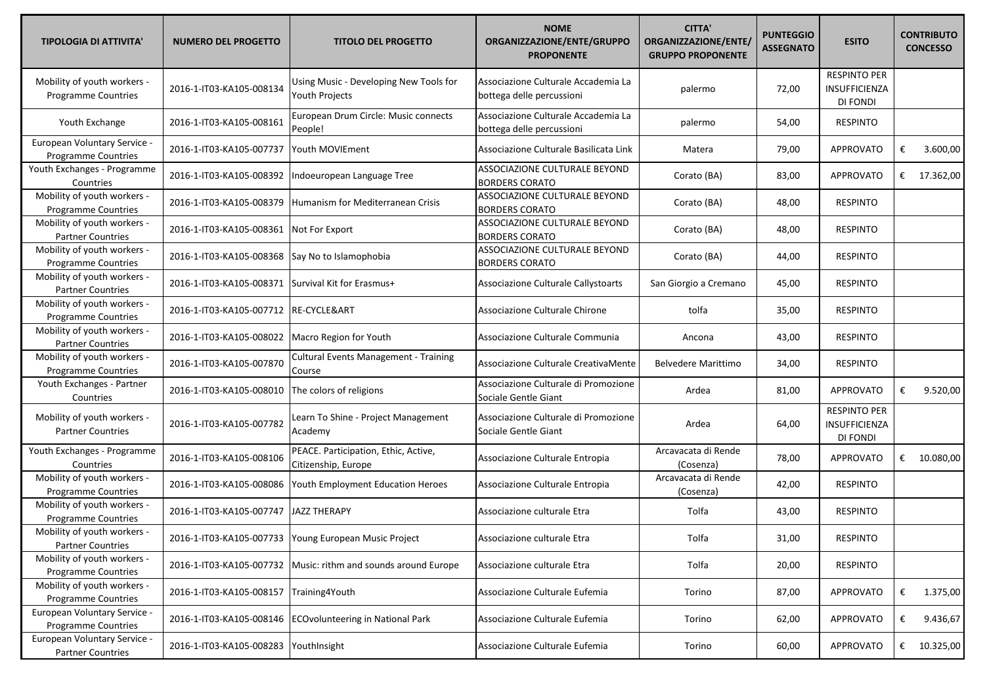| <b>TIPOLOGIA DI ATTIVITA'</b>                              | <b>NUMERO DEL PROGETTO</b> | <b>TITOLO DEL PROGETTO</b>                                  | <b>NOME</b><br>ORGANIZZAZIONE/ENTE/GRUPPO<br><b>PROPONENTE</b>   | <b>CITTA'</b><br>ORGANIZZAZIONE/ENTE/<br><b>GRUPPO PROPONENTE</b> | <b>PUNTEGGIO</b><br><b>ASSEGNATO</b> | <b>ESITO</b>                                            |   | <b>CONTRIBUTO</b><br><b>CONCESSO</b> |
|------------------------------------------------------------|----------------------------|-------------------------------------------------------------|------------------------------------------------------------------|-------------------------------------------------------------------|--------------------------------------|---------------------------------------------------------|---|--------------------------------------|
| Mobility of youth workers -<br><b>Programme Countries</b>  | 2016-1-IT03-KA105-008134   | Using Music - Developing New Tools for<br>Youth Projects    | Associazione Culturale Accademia La<br>bottega delle percussioni | palermo                                                           | 72,00                                | <b>RESPINTO PER</b><br><b>INSUFFICIENZA</b><br>DI FONDI |   |                                      |
| Youth Exchange                                             | 2016-1-IT03-KA105-008161   | European Drum Circle: Music connects<br>People!             | Associazione Culturale Accademia La<br>bottega delle percussioni | palermo                                                           | 54,00                                | <b>RESPINTO</b>                                         |   |                                      |
| European Voluntary Service -<br>Programme Countries        | 2016-1-IT03-KA105-007737   | Youth MOVIEment                                             | Associazione Culturale Basilicata Link                           | Matera                                                            | 79,00                                | <b>APPROVATO</b>                                        | € | 3.600,00                             |
| Youth Exchanges - Programme<br>Countries                   | 2016-1-IT03-KA105-008392   | Indoeuropean Language Tree                                  | ASSOCIAZIONE CULTURALE BEYOND<br><b>BORDERS CORATO</b>           | Corato (BA)                                                       | 83,00                                | <b>APPROVATO</b>                                        |   | € $17.362,00$                        |
| Mobility of youth workers -<br>Programme Countries         | 2016-1-IT03-KA105-008379   | Humanism for Mediterranean Crisis                           | ASSOCIAZIONE CULTURALE BEYOND<br><b>BORDERS CORATO</b>           | Corato (BA)                                                       | 48,00                                | <b>RESPINTO</b>                                         |   |                                      |
| Mobility of youth workers -<br><b>Partner Countries</b>    | 2016-1-IT03-KA105-008361   | Not For Export                                              | ASSOCIAZIONE CULTURALE BEYOND<br><b>BORDERS CORATO</b>           | Corato (BA)                                                       | 48,00                                | <b>RESPINTO</b>                                         |   |                                      |
| Mobility of youth workers -<br>Programme Countries         | 2016-1-IT03-KA105-008368   | Say No to Islamophobia                                      | ASSOCIAZIONE CULTURALE BEYOND<br><b>BORDERS CORATO</b>           | Corato (BA)                                                       | 44,00                                | <b>RESPINTO</b>                                         |   |                                      |
| Mobility of youth workers -<br><b>Partner Countries</b>    | 2016-1-IT03-KA105-008371   | Survival Kit for Erasmus+                                   | Associazione Culturale Callystoarts                              | San Giorgio a Cremano                                             | 45,00                                | <b>RESPINTO</b>                                         |   |                                      |
| Mobility of youth workers -<br><b>Programme Countries</b>  | 2016-1-IT03-KA105-007712   | RE-CYCLE&ART                                                | Associazione Culturale Chirone                                   | tolfa                                                             | 35,00                                | <b>RESPINTO</b>                                         |   |                                      |
| Mobility of youth workers -<br><b>Partner Countries</b>    | 2016-1-IT03-KA105-008022   | Macro Region for Youth                                      | Associazione Culturale Communia                                  | Ancona                                                            | 43,00                                | <b>RESPINTO</b>                                         |   |                                      |
| Mobility of youth workers -<br>Programme Countries         | 2016-1-IT03-KA105-007870   | <b>Cultural Events Management - Training</b><br>Course      | Associazione Culturale CreativaMente                             | <b>Belvedere Marittimo</b>                                        | 34,00                                | <b>RESPINTO</b>                                         |   |                                      |
| Youth Exchanges - Partner<br>Countries                     | 2016-1-IT03-KA105-008010   | The colors of religions                                     | Associazione Culturale di Promozione<br>Sociale Gentle Giant     | Ardea                                                             | 81,00                                | <b>APPROVATO</b>                                        | € | 9.520,00                             |
| Mobility of youth workers -<br><b>Partner Countries</b>    | 2016-1-IT03-KA105-007782   | Learn To Shine - Project Management<br>Academy              | Associazione Culturale di Promozione<br>Sociale Gentle Giant     | Ardea                                                             | 64,00                                | <b>RESPINTO PER</b><br>INSUFFICIENZA<br>DI FONDI        |   |                                      |
| Youth Exchanges - Programme<br>Countries                   | 2016-1-IT03-KA105-008106   | PEACE. Participation, Ethic, Active,<br>Citizenship, Europe | Associazione Culturale Entropia                                  | Arcavacata di Rende<br>(Cosenza)                                  | 78,00                                | <b>APPROVATO</b>                                        |   | € $10.080,00$                        |
| Mobility of youth workers -<br>Programme Countries         | 2016-1-IT03-KA105-008086   | Youth Employment Education Heroes                           | Associazione Culturale Entropia                                  | Arcavacata di Rende<br>(Cosenza)                                  | 42,00                                | <b>RESPINTO</b>                                         |   |                                      |
| Mobility of youth workers -<br>Programme Countries         | 2016-1-IT03-KA105-007747   | JAZZ THERAPY                                                | Associazione culturale Etra                                      | Tolfa                                                             | 43,00                                | <b>RESPINTO</b>                                         |   |                                      |
| Mobility of youth workers -<br><b>Partner Countries</b>    |                            | 2016-1-IT03-KA105-007733 Young European Music Project       | Associazione culturale Etra                                      | Tolfa                                                             | 31,00                                | <b>RESPINTO</b>                                         |   |                                      |
| Mobility of youth workers -<br>Programme Countries         | 2016-1-IT03-KA105-007732   | Music: rithm and sounds around Europe                       | Associazione culturale Etra                                      | Tolfa                                                             | 20,00                                | <b>RESPINTO</b>                                         |   |                                      |
| Mobility of youth workers -<br>Programme Countries         | 2016-1-IT03-KA105-008157   | Training4Youth                                              | Associazione Culturale Eufemia                                   | Torino                                                            | 87,00                                | <b>APPROVATO</b>                                        | € | 1.375,00                             |
| European Voluntary Service -<br><b>Programme Countries</b> | 2016-1-IT03-KA105-008146   | <b>ECOvolunteering in National Park</b>                     | Associazione Culturale Eufemia                                   | Torino                                                            | 62,00                                | APPROVATO                                               | € | 9.436,67                             |
| European Voluntary Service -<br><b>Partner Countries</b>   | 2016-1-IT03-KA105-008283   | YouthInsight                                                | Associazione Culturale Eufemia                                   | Torino                                                            | 60,00                                | APPROVATO                                               |   | € $10.325,00$                        |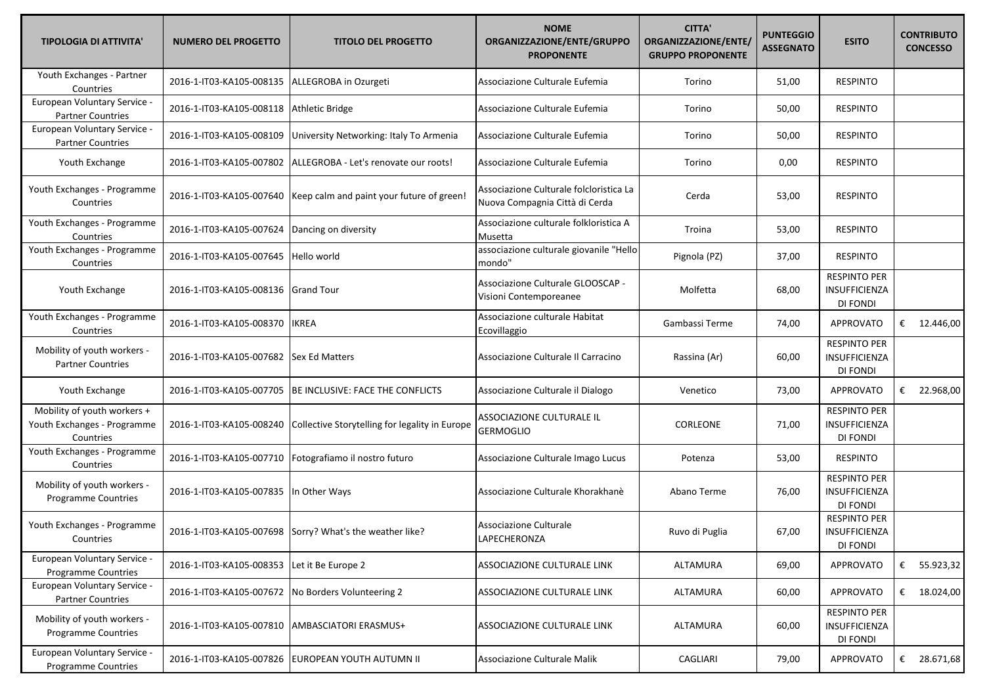| <b>TIPOLOGIA DI ATTIVITA'</b>                                           | <b>NUMERO DEL PROGETTO</b>                         | <b>TITOLO DEL PROGETTO</b>                                           | <b>NOME</b><br>ORGANIZZAZIONE/ENTE/GRUPPO<br><b>PROPONENTE</b>            | <b>CITTA'</b><br>ORGANIZZAZIONE/ENTE/<br><b>GRUPPO PROPONENTE</b> | <b>PUNTEGGIO</b><br><b>ASSEGNATO</b> | <b>ESITO</b>                                            |   | <b>CONTRIBUTO</b><br><b>CONCESSO</b> |
|-------------------------------------------------------------------------|----------------------------------------------------|----------------------------------------------------------------------|---------------------------------------------------------------------------|-------------------------------------------------------------------|--------------------------------------|---------------------------------------------------------|---|--------------------------------------|
| Youth Exchanges - Partner<br>Countries                                  | 2016-1-IT03-KA105-008135                           | ALLEGROBA in Ozurgeti                                                | Associazione Culturale Eufemia                                            | Torino                                                            | 51,00                                | <b>RESPINTO</b>                                         |   |                                      |
| European Voluntary Service -<br><b>Partner Countries</b>                | 2016-1-IT03-KA105-008118                           | Athletic Bridge                                                      | Associazione Culturale Eufemia                                            | Torino                                                            | 50,00                                | <b>RESPINTO</b>                                         |   |                                      |
| European Voluntary Service -<br><b>Partner Countries</b>                | 2016-1-IT03-KA105-008109                           | University Networking: Italy To Armenia                              | Associazione Culturale Eufemia                                            | Torino                                                            | 50,00                                | <b>RESPINTO</b>                                         |   |                                      |
| Youth Exchange                                                          | 2016-1-IT03-KA105-007802                           | ALLEGROBA - Let's renovate our roots!                                | Associazione Culturale Eufemia                                            | Torino                                                            | 0,00                                 | <b>RESPINTO</b>                                         |   |                                      |
| Youth Exchanges - Programme<br>Countries                                |                                                    | 2016-1-IT03-KA105-007640   Keep calm and paint your future of green! | Associazione Culturale folcloristica La<br>Nuova Compagnia Città di Cerda | Cerda                                                             | 53,00                                | <b>RESPINTO</b>                                         |   |                                      |
| Youth Exchanges - Programme<br>Countries                                | 2016-1-IT03-KA105-007624 Dancing on diversity      |                                                                      | Associazione culturale folkloristica A<br>Musetta                         | Troina                                                            | 53,00                                | <b>RESPINTO</b>                                         |   |                                      |
| Youth Exchanges - Programme<br>Countries                                | 2016-1-IT03-KA105-007645                           | Hello world                                                          | associazione culturale giovanile "Hello<br>mondo"                         | Pignola (PZ)                                                      | 37,00                                | <b>RESPINTO</b>                                         |   |                                      |
| Youth Exchange                                                          | 2016-1-IT03-KA105-008136                           | <b>Grand Tour</b>                                                    | Associazione Culturale GLOOSCAP -<br>Visioni Contemporeanee               | Molfetta                                                          | 68,00                                | <b>RESPINTO PER</b><br><b>INSUFFICIENZA</b><br>DI FONDI |   |                                      |
| Youth Exchanges - Programme<br>Countries                                | 2016-1-IT03-KA105-008370                           | <b>IKREA</b>                                                         | Associazione culturale Habitat<br>Ecovillaggio                            | Gambassi Terme                                                    | 74,00                                | <b>APPROVATO</b>                                        |   | € $12.446,00$                        |
| Mobility of youth workers -<br><b>Partner Countries</b>                 | 2016-1-IT03-KA105-007682 Sex Ed Matters            |                                                                      | Associazione Culturale Il Carracino                                       | Rassina (Ar)                                                      | 60,00                                | <b>RESPINTO PER</b><br><b>INSUFFICIENZA</b><br>DI FONDI |   |                                      |
| Youth Exchange                                                          | 2016-1-IT03-KA105-007705                           | BE INCLUSIVE: FACE THE CONFLICTS                                     | Associazione Culturale il Dialogo                                         | Venetico                                                          | 73,00                                | <b>APPROVATO</b>                                        | € | 22.968,00                            |
| Mobility of youth workers +<br>Youth Exchanges - Programme<br>Countries | 2016-1-IT03-KA105-008240                           | Collective Storytelling for legality in Europe                       | ASSOCIAZIONE CULTURALE IL<br>GERMOGLIO                                    | CORLEONE                                                          | 71,00                                | <b>RESPINTO PER</b><br>INSUFFICIENZA<br>DI FONDI        |   |                                      |
| Youth Exchanges - Programme<br>Countries                                |                                                    | 2016-1-IT03-KA105-007710   Fotografiamo il nostro futuro             | Associazione Culturale Imago Lucus                                        | Potenza                                                           | 53,00                                | <b>RESPINTO</b>                                         |   |                                      |
| Mobility of youth workers -<br>Programme Countries                      | 2016-1-IT03-KA105-007835 In Other Ways             |                                                                      | Associazione Culturale Khorakhanè                                         | Abano Terme                                                       | 76,00                                | <b>RESPINTO PER</b><br>INSUFFICIENZA<br>DI FONDI        |   |                                      |
| Youth Exchanges - Programme<br>Countries                                |                                                    | 2016-1-IT03-KA105-007698 Sorry? What's the weather like?             | Associazione Culturale<br>LAPECHERONZA                                    | Ruvo di Puglia                                                    | 67,00                                | <b>RESPINTO PER</b><br>INSUFFICIENZA<br>DI FONDI        |   |                                      |
| European Voluntary Service -<br>Programme Countries                     | 2016-1-IT03-KA105-008353                           | Let it Be Europe 2                                                   | ASSOCIAZIONE CULTURALE LINK                                               | ALTAMURA                                                          | 69,00                                | <b>APPROVATO</b>                                        |   | € 55.923,32                          |
| European Voluntary Service -<br><b>Partner Countries</b>                | 2016-1-IT03-KA105-007672 No Borders Volunteering 2 |                                                                      | ASSOCIAZIONE CULTURALE LINK                                               | ALTAMURA                                                          | 60,00                                | <b>APPROVATO</b>                                        |   | € $18.024,00$                        |
| Mobility of youth workers -<br>Programme Countries                      | 2016-1-IT03-KA105-007810                           | AMBASCIATORI ERASMUS+                                                | ASSOCIAZIONE CULTURALE LINK                                               | ALTAMURA                                                          | 60,00                                | <b>RESPINTO PER</b><br>INSUFFICIENZA<br>DI FONDI        |   |                                      |
| European Voluntary Service -<br>Programme Countries                     | 2016-1-IT03-KA105-007826                           | EUROPEAN YOUTH AUTUMN II                                             | Associazione Culturale Malik                                              | CAGLIARI                                                          | 79,00                                | <b>APPROVATO</b>                                        |   | € 28.671,68                          |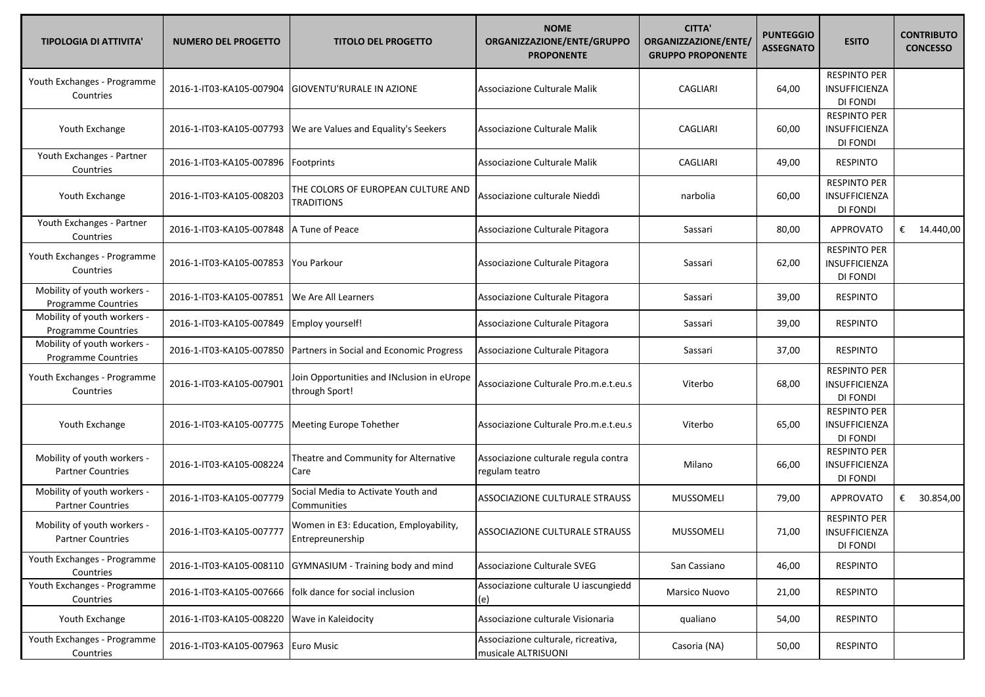| <b>TIPOLOGIA DI ATTIVITA'</b>                             | <b>NUMERO DEL PROGETTO</b>          | <b>TITOLO DEL PROGETTO</b>                                   | <b>NOME</b><br>ORGANIZZAZIONE/ENTE/GRUPPO<br><b>PROPONENTE</b> | <b>CITTA'</b><br>ORGANIZZAZIONE/ENTE/<br><b>GRUPPO PROPONENTE</b> | <b>PUNTEGGIO</b><br><b>ASSEGNATO</b> | <b>ESITO</b>                                            | <b>CONTRIBUTO</b><br><b>CONCESSO</b> |
|-----------------------------------------------------------|-------------------------------------|--------------------------------------------------------------|----------------------------------------------------------------|-------------------------------------------------------------------|--------------------------------------|---------------------------------------------------------|--------------------------------------|
| Youth Exchanges - Programme<br>Countries                  | 2016-1-IT03-KA105-007904            | GIOVENTU'RURALE IN AZIONE                                    | Associazione Culturale Malik                                   | CAGLIARI                                                          | 64,00                                | <b>RESPINTO PER</b><br>INSUFFICIENZA<br>DI FONDI        |                                      |
| Youth Exchange                                            | 2016-1-IT03-KA105-007793            | We are Values and Equality's Seekers                         | Associazione Culturale Malik                                   | CAGLIARI                                                          | 60,00                                | <b>RESPINTO PER</b><br>INSUFFICIENZA<br>DI FONDI        |                                      |
| Youth Exchanges - Partner<br>Countries                    | 2016-1-IT03-KA105-007896            | Footprints                                                   | Associazione Culturale Malik                                   | CAGLIARI                                                          | 49,00                                | <b>RESPINTO</b>                                         |                                      |
| Youth Exchange                                            | 2016-1-IT03-KA105-008203            | THE COLORS OF EUROPEAN CULTURE AND<br>TRADITIONS             | Associazione culturale Nieddì                                  | narbolia                                                          | 60,00                                | <b>RESPINTO PER</b><br>INSUFFICIENZA<br>DI FONDI        |                                      |
| Youth Exchanges - Partner<br>Countries                    | 2016-1-IT03-KA105-007848            | A Tune of Peace                                              | Associazione Culturale Pitagora                                | Sassari                                                           | 80,00                                | <b>APPROVATO</b>                                        | € 14.440,00                          |
| Youth Exchanges - Programme<br>Countries                  | 2016-1-IT03-KA105-007853            | You Parkour                                                  | Associazione Culturale Pitagora                                | Sassari                                                           | 62,00                                | <b>RESPINTO PER</b><br>INSUFFICIENZA<br>DI FONDI        |                                      |
| Mobility of youth workers -<br><b>Programme Countries</b> | 2016-1-IT03-KA105-007851            | We Are All Learners                                          | Associazione Culturale Pitagora                                | Sassari                                                           | 39,00                                | <b>RESPINTO</b>                                         |                                      |
| Mobility of youth workers -<br>Programme Countries        | 2016-1-IT03-KA105-007849            | Employ yourself!                                             | Associazione Culturale Pitagora                                | Sassari                                                           | 39,00                                | <b>RESPINTO</b>                                         |                                      |
| Mobility of youth workers -<br>Programme Countries        | 2016-1-IT03-KA105-007850            | Partners in Social and Economic Progress                     | Associazione Culturale Pitagora                                | Sassari                                                           | 37,00                                | <b>RESPINTO</b>                                         |                                      |
| Youth Exchanges - Programme<br>Countries                  | 2016-1-IT03-KA105-007901            | Join Opportunities and INclusion in eUrope<br>through Sport! | Associazione Culturale Pro.m.e.t.eu.s                          | Viterbo                                                           | 68,00                                | <b>RESPINTO PER</b><br><b>INSUFFICIENZA</b><br>DI FONDI |                                      |
| Youth Exchange                                            | 2016-1-IT03-KA105-007775            | <b>Meeting Europe Tohether</b>                               | Associazione Culturale Pro.m.e.t.eu.s                          | Viterbo                                                           | 65,00                                | <b>RESPINTO PER</b><br>INSUFFICIENZA<br>DI FONDI        |                                      |
| Mobility of youth workers -<br><b>Partner Countries</b>   | 2016-1-IT03-KA105-008224            | Theatre and Community for Alternative<br>Care                | Associazione culturale regula contra<br>regulam teatro         | Milano                                                            | 66,00                                | <b>RESPINTO PER</b><br>INSUFFICIENZA<br>DI FONDI        |                                      |
| Mobility of youth workers -<br><b>Partner Countries</b>   | 2016-1-IT03-KA105-007779            | Social Media to Activate Youth and<br>Communities            | ASSOCIAZIONE CULTURALE STRAUSS                                 | <b>MUSSOMELI</b>                                                  | 79,00                                | <b>APPROVATO</b>                                        | € 30.854,00                          |
| Mobility of youth workers -<br><b>Partner Countries</b>   | 2016-1-IT03-KA105-007777            | Women in E3: Education, Employability,<br>Entrepreunership   | <b>ASSOCIAZIONE CULTURALE STRAUSS</b>                          | <b>MUSSOMELI</b>                                                  | 71,00                                | <b>RESPINTO PER</b><br>INSUFFICIENZA<br>DI FONDI        |                                      |
| Youth Exchanges - Programme<br>Countries                  | 2016-1-IT03-KA105-008110            | GYMNASIUM - Training body and mind                           | Associazione Culturale SVEG                                    | San Cassiano                                                      | 46,00                                | <b>RESPINTO</b>                                         |                                      |
| Youth Exchanges - Programme<br>Countries                  | 2016-1-IT03-KA105-007666            | folk dance for social inclusion                              | Associazione culturale U iascungiedd<br>(e)                    | Marsico Nuovo                                                     | 21,00                                | <b>RESPINTO</b>                                         |                                      |
| Youth Exchange                                            | 2016-1-IT03-KA105-008220            | Wave in Kaleidocity                                          | Associazione culturale Visionaria                              | qualiano                                                          | 54,00                                | <b>RESPINTO</b>                                         |                                      |
| Youth Exchanges - Programme<br>Countries                  | 2016-1-IT03-KA105-007963 Euro Music |                                                              | Associazione culturale, ricreativa,<br>musicale ALTRISUONI     | Casoria (NA)                                                      | 50,00                                | <b>RESPINTO</b>                                         |                                      |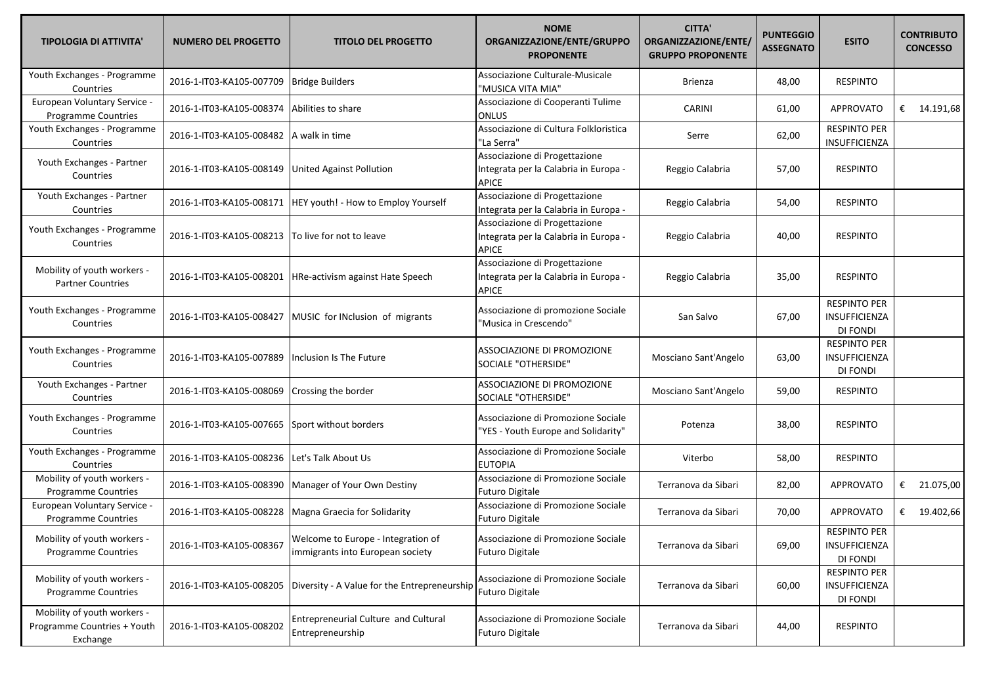| <b>TIPOLOGIA DI ATTIVITA'</b>                                          | <b>NUMERO DEL PROGETTO</b>                   | <b>TITOLO DEL PROGETTO</b>                                             | <b>NOME</b><br>ORGANIZZAZIONE/ENTE/GRUPPO<br><b>PROPONENTE</b>                         | <b>CITTA'</b><br>ORGANIZZAZIONE/ENTE/<br><b>GRUPPO PROPONENTE</b> | <b>PUNTEGGIO</b><br><b>ASSEGNATO</b> | <b>ESITO</b>                                            | <b>CONTRIBUTO</b><br><b>CONCESSO</b> |               |
|------------------------------------------------------------------------|----------------------------------------------|------------------------------------------------------------------------|----------------------------------------------------------------------------------------|-------------------------------------------------------------------|--------------------------------------|---------------------------------------------------------|--------------------------------------|---------------|
| Youth Exchanges - Programme<br>Countries                               | 2016-1-IT03-KA105-007709                     | <b>Bridge Builders</b>                                                 | Associazione Culturale-Musicale<br>"MUSICA VITA MIA"                                   | Brienza                                                           | 48,00                                | <b>RESPINTO</b>                                         |                                      |               |
| European Voluntary Service -<br>Programme Countries                    | 2016-1-IT03-KA105-008374                     | Abilities to share                                                     | Associazione di Cooperanti Tulime<br><b>ONLUS</b>                                      | <b>CARINI</b>                                                     | 61,00                                | <b>APPROVATO</b>                                        |                                      | € $14.191,68$ |
| Youth Exchanges - Programme<br>Countries                               | 2016-1-IT03-KA105-008482 A walk in time      |                                                                        | Associazione di Cultura Folkloristica<br>"La Serra"                                    | Serre                                                             | 62,00                                | <b>RESPINTO PER</b><br>INSUFFICIENZA                    |                                      |               |
| Youth Exchanges - Partner<br>Countries                                 | 2016-1-IT03-KA105-008149                     | United Against Pollution                                               | Associazione di Progettazione<br>Integrata per la Calabria in Europa -<br><b>APICE</b> | Reggio Calabria                                                   | 57,00                                | <b>RESPINTO</b>                                         |                                      |               |
| Youth Exchanges - Partner<br>Countries                                 |                                              | 2016-1-IT03-KA105-008171  HEY youth! - How to Employ Yourself          | Associazione di Progettazione<br>Integrata per la Calabria in Europa -                 | Reggio Calabria                                                   | 54,00                                | <b>RESPINTO</b>                                         |                                      |               |
| Youth Exchanges - Programme<br>Countries                               | 2016-1-IT03-KA105-008213                     | To live for not to leave                                               | Associazione di Progettazione<br>Integrata per la Calabria in Europa -<br><b>APICE</b> | Reggio Calabria                                                   | 40,00                                | <b>RESPINTO</b>                                         |                                      |               |
| Mobility of youth workers -<br><b>Partner Countries</b>                | 2016-1-IT03-KA105-008201                     | HRe-activism against Hate Speech                                       | Associazione di Progettazione<br>Integrata per la Calabria in Europa -<br><b>APICE</b> | Reggio Calabria                                                   | 35,00                                | <b>RESPINTO</b>                                         |                                      |               |
| Youth Exchanges - Programme<br>Countries                               | 2016-1-IT03-KA105-008427                     | MUSIC for INclusion of migrants                                        | Associazione di promozione Sociale<br>'Musica in Crescendo"                            | San Salvo                                                         | 67,00                                | <b>RESPINTO PER</b><br>INSUFFICIENZA<br>DI FONDI        |                                      |               |
| Youth Exchanges - Programme<br>Countries                               | 2016-1-IT03-KA105-007889                     | Inclusion Is The Future                                                | ASSOCIAZIONE DI PROMOZIONE<br>SOCIALE "OTHERSIDE"                                      | Mosciano Sant'Angelo                                              | 63,00                                | <b>RESPINTO PER</b><br><b>INSUFFICIENZA</b><br>DI FONDI |                                      |               |
| Youth Exchanges - Partner<br>Countries                                 | 2016-1-IT03-KA105-008069                     | Crossing the border                                                    | ASSOCIAZIONE DI PROMOZIONE<br>SOCIALE "OTHERSIDE"                                      | Mosciano Sant'Angelo                                              | 59,00                                | <b>RESPINTO</b>                                         |                                      |               |
| Youth Exchanges - Programme<br>Countries                               | 2016-1-IT03-KA105-007665                     | Sport without borders                                                  | Associazione di Promozione Sociale<br>"YES - Youth Europe and Solidarity"              | Potenza                                                           | 38,00                                | <b>RESPINTO</b>                                         |                                      |               |
| Youth Exchanges - Programme<br>Countries                               | 2016-1-IT03-KA105-008236 Let's Talk About Us |                                                                        | Associazione di Promozione Sociale<br><b>EUTOPIA</b>                                   | Viterbo                                                           | 58,00                                | <b>RESPINTO</b>                                         |                                      |               |
| Mobility of youth workers -<br>Programme Countries                     |                                              | 2016-1-IT03-KA105-008390 Manager of Your Own Destiny                   | Associazione di Promozione Sociale<br><b>Futuro Digitale</b>                           | Terranova da Sibari                                               | 82,00                                | <b>APPROVATO</b>                                        |                                      | € 21.075,00   |
| European Voluntary Service -<br>Programme Countries                    |                                              | 2016-1-IT03-KA105-008228 Magna Graecia for Solidarity                  | Associazione di Promozione Sociale<br><b>Futuro Digitale</b>                           | Terranova da Sibari                                               | 70,00                                | <b>APPROVATO</b>                                        |                                      | € 19.402,66   |
| Mobility of youth workers -<br>Programme Countries                     | 2016-1-IT03-KA105-008367                     | Welcome to Europe - Integration of<br>immigrants into European society | Associazione di Promozione Sociale<br><b>Futuro Digitale</b>                           | Terranova da Sibari                                               | 69,00                                | <b>RESPINTO PER</b><br>INSUFFICIENZA<br>DI FONDI        |                                      |               |
| Mobility of youth workers -<br><b>Programme Countries</b>              | 2016-1-IT03-KA105-008205                     | Diversity - A Value for the Entrepreneurship                           | Associazione di Promozione Sociale<br><b>Futuro Digitale</b>                           | Terranova da Sibari                                               | 60,00                                | <b>RESPINTO PER</b><br>INSUFFICIENZA<br>DI FONDI        |                                      |               |
| Mobility of youth workers -<br>Programme Countries + Youth<br>Exchange | 2016-1-IT03-KA105-008202                     | Entrepreneurial Culture and Cultural<br>Entrepreneurship               | Associazione di Promozione Sociale<br><b>Futuro Digitale</b>                           | Terranova da Sibari                                               | 44,00                                | <b>RESPINTO</b>                                         |                                      |               |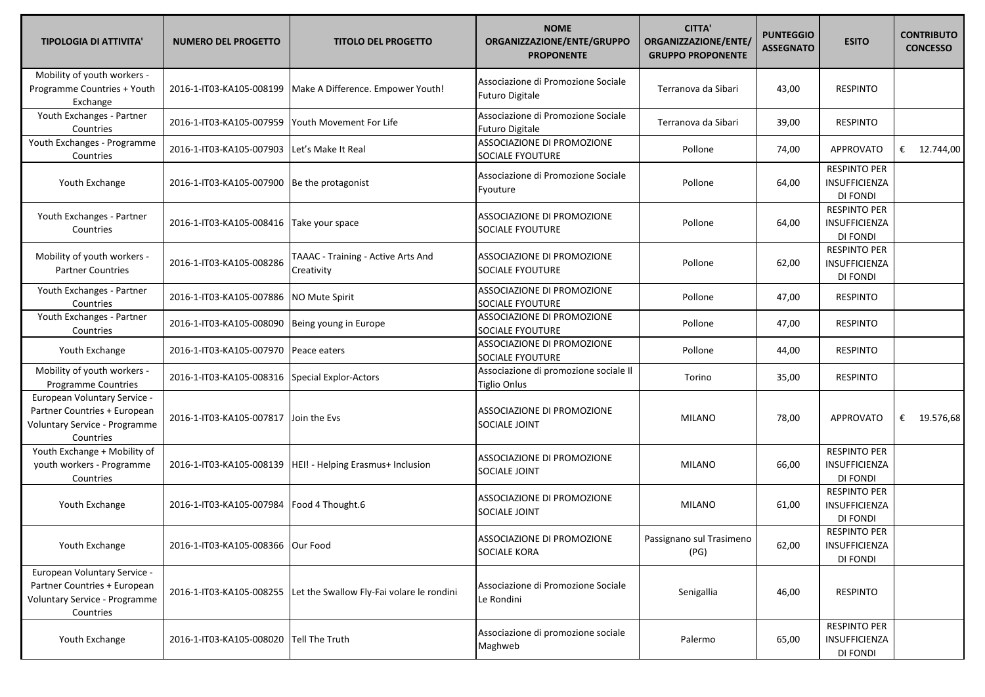| <b>TIPOLOGIA DI ATTIVITA'</b>                                                                              | <b>NUMERO DEL PROGETTO</b>            | <b>TITOLO DEL PROGETTO</b>                                         | <b>NOME</b><br>ORGANIZZAZIONE/ENTE/GRUPPO<br><b>PROPONENTE</b> | <b>CITTA'</b><br>ORGANIZZAZIONE/ENTE/<br><b>GRUPPO PROPONENTE</b> | <b>PUNTEGGIO</b><br><b>ASSEGNATO</b> | <b>ESITO</b>                                            | <b>CONTRIBUTO</b><br><b>CONCESSO</b> |
|------------------------------------------------------------------------------------------------------------|---------------------------------------|--------------------------------------------------------------------|----------------------------------------------------------------|-------------------------------------------------------------------|--------------------------------------|---------------------------------------------------------|--------------------------------------|
| Mobility of youth workers -<br>Programme Countries + Youth<br>Exchange                                     | 2016-1-IT03-KA105-008199              | Make A Difference. Empower Youth!                                  | Associazione di Promozione Sociale<br><b>Futuro Digitale</b>   | Terranova da Sibari                                               | 43,00                                | <b>RESPINTO</b>                                         |                                      |
| Youth Exchanges - Partner<br>Countries                                                                     | 2016-1-IT03-KA105-007959              | Youth Movement For Life                                            | Associazione di Promozione Sociale<br><b>Futuro Digitale</b>   | Terranova da Sibari                                               | 39,00                                | <b>RESPINTO</b>                                         |                                      |
| Youth Exchanges - Programme<br>Countries                                                                   | 2016-1-IT03-KA105-007903              | Let's Make It Real                                                 | ASSOCIAZIONE DI PROMOZIONE<br>SOCIALE FYOUTURE                 | Pollone                                                           | 74,00                                | <b>APPROVATO</b>                                        | € $12.744,00$                        |
| Youth Exchange                                                                                             | 2016-1-IT03-KA105-007900              | Be the protagonist                                                 | Associazione di Promozione Sociale<br>Fyouture                 | Pollone                                                           | 64,00                                | <b>RESPINTO PER</b><br>INSUFFICIENZA<br>DI FONDI        |                                      |
| Youth Exchanges - Partner<br>Countries                                                                     | 2016-1-IT03-KA105-008416              | Take your space                                                    | ASSOCIAZIONE DI PROMOZIONE<br><b>SOCIALE FYOUTURE</b>          | Pollone                                                           | 64,00                                | <b>RESPINTO PER</b><br><b>INSUFFICIENZA</b><br>DI FONDI |                                      |
| Mobility of youth workers -<br><b>Partner Countries</b>                                                    | 2016-1-IT03-KA105-008286              | TAAAC - Training - Active Arts And<br>Creativity                   | ASSOCIAZIONE DI PROMOZIONE<br><b>SOCIALE FYOUTURE</b>          | Pollone                                                           | 62,00                                | <b>RESPINTO PER</b><br>INSUFFICIENZA<br>DI FONDI        |                                      |
| Youth Exchanges - Partner<br>Countries                                                                     | 2016-1-IT03-KA105-007886              | NO Mute Spirit                                                     | ASSOCIAZIONE DI PROMOZIONE<br><b>SOCIALE FYOUTURE</b>          | Pollone                                                           | 47,00                                | <b>RESPINTO</b>                                         |                                      |
| Youth Exchanges - Partner<br>Countries                                                                     | 2016-1-IT03-KA105-008090              | Being young in Europe                                              | ASSOCIAZIONE DI PROMOZIONE<br>SOCIALE FYOUTURE                 | Pollone                                                           | 47,00                                | <b>RESPINTO</b>                                         |                                      |
| Youth Exchange                                                                                             | 2016-1-IT03-KA105-007970              | Peace eaters                                                       | ASSOCIAZIONE DI PROMOZIONE<br>SOCIALE FYOUTURE                 | Pollone                                                           | 44,00                                | <b>RESPINTO</b>                                         |                                      |
| Mobility of youth workers -<br>Programme Countries                                                         | 2016-1-IT03-KA105-008316              | Special Explor-Actors                                              | Associazione di promozione sociale Il<br><b>Tiglio Onlus</b>   | Torino                                                            | 35,00                                | <b>RESPINTO</b>                                         |                                      |
| European Voluntary Service -<br>Partner Countries + European<br>Voluntary Service - Programme<br>Countries | 2016-1-IT03-KA105-007817 Join the Evs |                                                                    | ASSOCIAZIONE DI PROMOZIONE<br>SOCIALE JOINT                    | <b>MILANO</b>                                                     | 78,00                                | <b>APPROVATO</b>                                        | € $19.576,68$                        |
| Youth Exchange + Mobility of<br>youth workers - Programme<br>Countries                                     | 2016-1-IT03-KA105-008139              | HEI! - Helping Erasmus+ Inclusion                                  | ASSOCIAZIONE DI PROMOZIONE<br>SOCIALE JOINT                    | <b>MILANO</b>                                                     | 66,00                                | <b>RESPINTO PER</b><br>INSUFFICIENZA<br>DI FONDI        |                                      |
| Youth Exchange                                                                                             | 2016-1-IT03-KA105-007984              | Food 4 Thought.6                                                   | ASSOCIAZIONE DI PROMOZIONE<br>SOCIALE JOINT                    | <b>MILANO</b>                                                     | 61,00                                | <b>RESPINTO PER</b><br>INSUFFICIENZA<br>DI FONDI        |                                      |
| Youth Exchange                                                                                             | 2016-1-IT03-KA105-008366 Our Food     |                                                                    | ASSOCIAZIONE DI PROMOZIONE<br>SOCIALE KORA                     | Passignano sul Trasimeno<br>(PG)                                  | 62,00                                | <b>RESPINTO PER</b><br>INSUFFICIENZA<br>DI FONDI        |                                      |
| European Voluntary Service -<br>Partner Countries + European<br>Voluntary Service - Programme<br>Countries |                                       | 2016-1-IT03-KA105-008255 Let the Swallow Fly-Fai volare le rondini | Associazione di Promozione Sociale<br>Le Rondini               | Senigallia                                                        | 46,00                                | <b>RESPINTO</b>                                         |                                      |
| Youth Exchange                                                                                             | 2016-1-IT03-KA105-008020              | Tell The Truth                                                     | Associazione di promozione sociale<br>Maghweb                  | Palermo                                                           | 65,00                                | <b>RESPINTO PER</b><br>INSUFFICIENZA<br>DI FONDI        |                                      |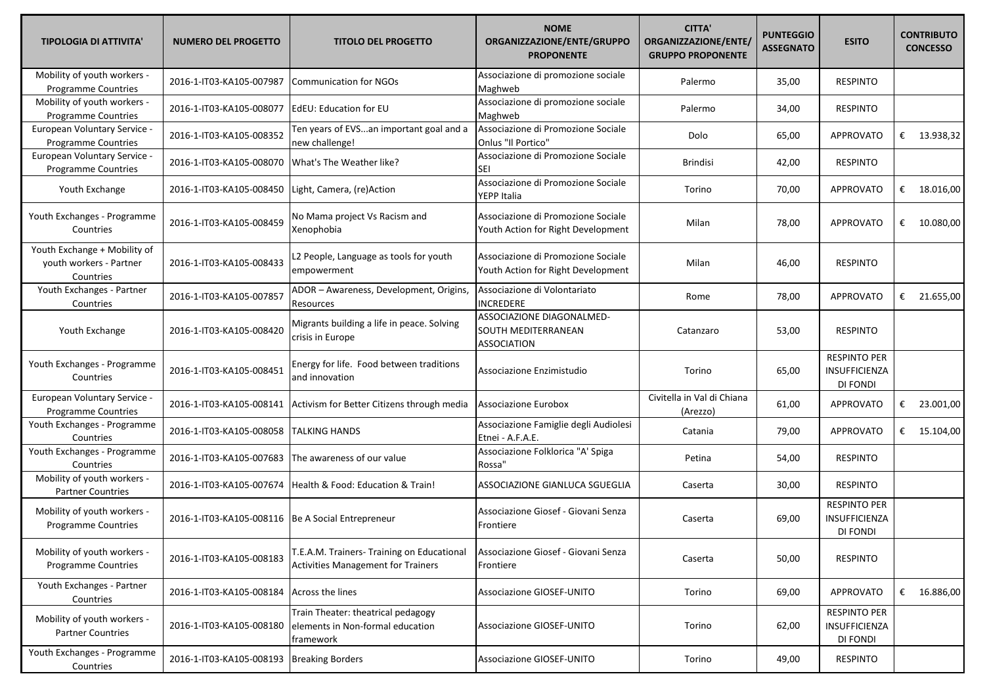| <b>TIPOLOGIA DI ATTIVITA'</b>                                        | <b>NUMERO DEL PROGETTO</b> | <b>TITOLO DEL PROGETTO</b>                                                              | <b>NOME</b><br>ORGANIZZAZIONE/ENTE/GRUPPO<br><b>PROPONENTE</b>           | <b>CITTA'</b><br>ORGANIZZAZIONE/ENTE/<br><b>GRUPPO PROPONENTE</b> | <b>PUNTEGGIO</b><br><b>ASSEGNATO</b> | <b>ESITO</b>                                     |   | <b>CONTRIBUTO</b><br><b>CONCESSO</b> |
|----------------------------------------------------------------------|----------------------------|-----------------------------------------------------------------------------------------|--------------------------------------------------------------------------|-------------------------------------------------------------------|--------------------------------------|--------------------------------------------------|---|--------------------------------------|
| Mobility of youth workers -<br><b>Programme Countries</b>            | 2016-1-IT03-KA105-007987   | <b>Communication for NGOs</b>                                                           | Associazione di promozione sociale<br>Maghweb                            | Palermo                                                           | 35,00                                | <b>RESPINTO</b>                                  |   |                                      |
| Mobility of youth workers -<br>Programme Countries                   | 2016-1-IT03-KA105-008077   | EdEU: Education for EU                                                                  | Associazione di promozione sociale<br>Maghweb                            | Palermo                                                           | 34,00                                | <b>RESPINTO</b>                                  |   |                                      |
| European Voluntary Service -<br><b>Programme Countries</b>           | 2016-1-IT03-KA105-008352   | Ten years of EVSan important goal and a<br>new challenge!                               | Associazione di Promozione Sociale<br>Onlus "Il Portico"                 | Dolo                                                              | 65,00                                | <b>APPROVATO</b>                                 |   | € 13.938,32                          |
| European Voluntary Service -<br>Programme Countries                  | 2016-1-IT03-KA105-008070   | What's The Weather like?                                                                | Associazione di Promozione Sociale<br>SEI                                | <b>Brindisi</b>                                                   | 42,00                                | <b>RESPINTO</b>                                  |   |                                      |
| Youth Exchange                                                       | 2016-1-IT03-KA105-008450   | Light, Camera, (re)Action                                                               | Associazione di Promozione Sociale<br>YEPP Italia                        | Torino                                                            | 70,00                                | APPROVATO                                        |   | € $18.016,00$                        |
| Youth Exchanges - Programme<br>Countries                             | 2016-1-IT03-KA105-008459   | No Mama project Vs Racism and<br>Xenophobia                                             | Associazione di Promozione Sociale<br>Youth Action for Right Development | Milan                                                             | 78,00                                | <b>APPROVATO</b>                                 |   | € $10.080,00$                        |
| Youth Exchange + Mobility of<br>youth workers - Partner<br>Countries | 2016-1-IT03-KA105-008433   | L2 People, Language as tools for youth<br>empowerment                                   | Associazione di Promozione Sociale<br>Youth Action for Right Development | Milan                                                             | 46,00                                | <b>RESPINTO</b>                                  |   |                                      |
| Youth Exchanges - Partner<br>Countries                               | 2016-1-IT03-KA105-007857   | ADOR - Awareness, Development, Origins,<br>Resources                                    | Associazione di Volontariato<br><b>INCREDERE</b>                         | Rome                                                              | 78,00                                | <b>APPROVATO</b>                                 |   | € 21.655,00                          |
| Youth Exchange                                                       | 2016-1-IT03-KA105-008420   | Migrants building a life in peace. Solving<br>crisis in Europe                          | ASSOCIAZIONE DIAGONALMED-<br>SOUTH MEDITERRANEAN<br><b>ASSOCIATION</b>   | Catanzaro                                                         | 53,00                                | <b>RESPINTO</b>                                  |   |                                      |
| Youth Exchanges - Programme<br>Countries                             | 2016-1-IT03-KA105-008451   | Energy for life. Food between traditions<br>and innovation                              | Associazione Enzimistudio                                                | Torino                                                            | 65,00                                | <b>RESPINTO PER</b><br>INSUFFICIENZA<br>DI FONDI |   |                                      |
| European Voluntary Service -<br>Programme Countries                  | 2016-1-IT03-KA105-008141   | Activism for Better Citizens through media                                              | Associazione Eurobox                                                     | Civitella in Val di Chiana<br>(Arezzo)                            | 61,00                                | <b>APPROVATO</b>                                 | € | 23.001,00                            |
| Youth Exchanges - Programme<br>Countries                             | 2016-1-IT03-KA105-008058   | TALKING HANDS                                                                           | Associazione Famiglie degli Audiolesi<br>Etnei - A.F.A.E.                | Catania                                                           | 79,00                                | APPROVATO                                        |   | € $15.104,00$                        |
| Youth Exchanges - Programme<br>Countries                             | 2016-1-IT03-KA105-007683   | The awareness of our value                                                              | Associazione Folklorica "A' Spiga<br>Rossa"                              | Petina                                                            | 54,00                                | <b>RESPINTO</b>                                  |   |                                      |
| Mobility of youth workers -<br><b>Partner Countries</b>              | 2016-1-IT03-KA105-007674   | Health & Food: Education & Train!                                                       | ASSOCIAZIONE GIANLUCA SGUEGLIA                                           | Caserta                                                           | 30,00                                | <b>RESPINTO</b>                                  |   |                                      |
| Mobility of youth workers -<br><b>Programme Countries</b>            | 2016-1-IT03-KA105-008116   | Be A Social Entrepreneur                                                                | Associazione Giosef - Giovani Senza<br>Frontiere                         | Caserta                                                           | 69,00                                | <b>RESPINTO PER</b><br>INSUFFICIENZA<br>DI FONDI |   |                                      |
| Mobility of youth workers -<br><b>Programme Countries</b>            | 2016-1-IT03-KA105-008183   | T.E.A.M. Trainers- Training on Educational<br><b>Activities Management for Trainers</b> | Associazione Giosef - Giovani Senza<br>Frontiere                         | Caserta                                                           | 50,00                                | <b>RESPINTO</b>                                  |   |                                      |
| Youth Exchanges - Partner<br>Countries                               | 2016-1-IT03-KA105-008184   | Across the lines                                                                        | <b>Associazione GIOSEF-UNITO</b>                                         | Torino                                                            | 69,00                                | APPROVATO                                        |   | € $16.886,00$                        |
| Mobility of youth workers -<br><b>Partner Countries</b>              | 2016-1-IT03-KA105-008180   | Train Theater: theatrical pedagogy<br>elements in Non-formal education<br>framework     | <b>Associazione GIOSEF-UNITO</b>                                         | Torino                                                            | 62,00                                | <b>RESPINTO PER</b><br>INSUFFICIENZA<br>DI FONDI |   |                                      |
| Youth Exchanges - Programme<br>Countries                             | 2016-1-IT03-KA105-008193   | <b>Breaking Borders</b>                                                                 | Associazione GIOSEF-UNITO                                                | Torino                                                            | 49,00                                | <b>RESPINTO</b>                                  |   |                                      |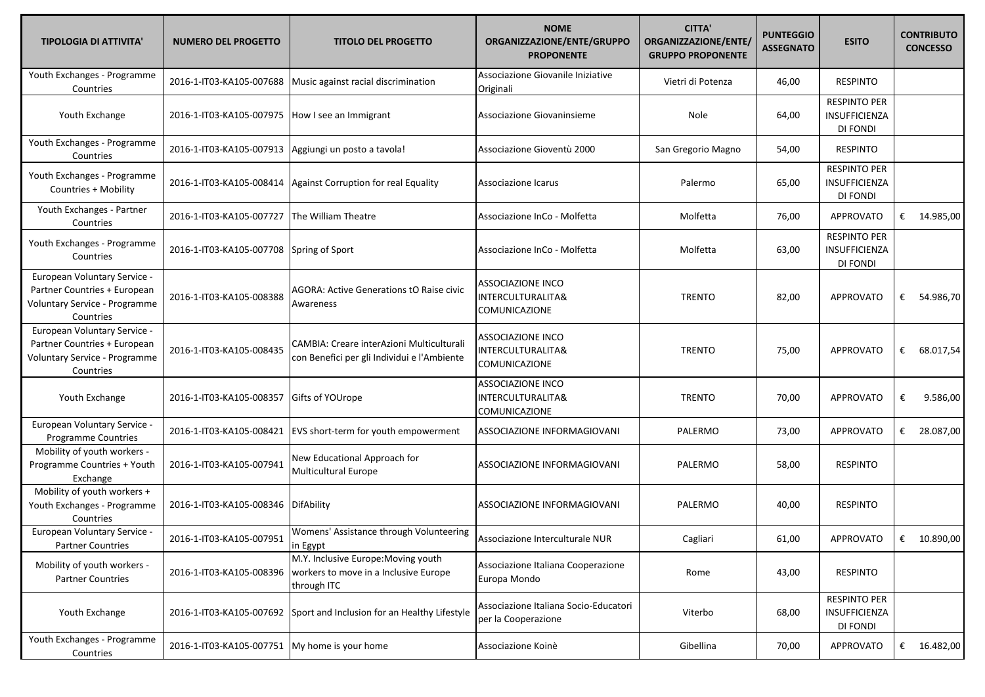| <b>TIPOLOGIA DI ATTIVITA'</b>                                                                              | <b>NUMERO DEL PROGETTO</b>                    | <b>TITOLO DEL PROGETTO</b>                                                                  | <b>NOME</b><br>ORGANIZZAZIONE/ENTE/GRUPPO<br><b>PROPONENTE</b>        | <b>CITTA'</b><br>ORGANIZZAZIONE/ENTE/<br><b>GRUPPO PROPONENTE</b> | <b>PUNTEGGIO</b><br><b>ASSEGNATO</b> | <b>ESITO</b>                                            | <b>CONTRIBUTO</b><br><b>CONCESSO</b> |
|------------------------------------------------------------------------------------------------------------|-----------------------------------------------|---------------------------------------------------------------------------------------------|-----------------------------------------------------------------------|-------------------------------------------------------------------|--------------------------------------|---------------------------------------------------------|--------------------------------------|
| Youth Exchanges - Programme<br>Countries                                                                   | 2016-1-IT03-KA105-007688                      | Music against racial discrimination                                                         | Associazione Giovanile Iniziative<br>Originali                        | Vietri di Potenza                                                 | 46,00                                | <b>RESPINTO</b>                                         |                                      |
| Youth Exchange                                                                                             | 2016-1-IT03-KA105-007975                      | How I see an Immigrant                                                                      | Associazione Giovaninsieme                                            | Nole                                                              | 64,00                                | <b>RESPINTO PER</b><br>INSUFFICIENZA<br>DI FONDI        |                                      |
| Youth Exchanges - Programme<br>Countries                                                                   | 2016-1-IT03-KA105-007913                      | Aggiungi un posto a tavola!                                                                 | Associazione Gioventù 2000                                            | San Gregorio Magno                                                | 54,00                                | <b>RESPINTO</b>                                         |                                      |
| Youth Exchanges - Programme<br>Countries + Mobility                                                        | 2016-1-IT03-KA105-008414                      | Against Corruption for real Equality                                                        | Associazione Icarus                                                   | Palermo                                                           | 65,00                                | <b>RESPINTO PER</b><br>INSUFFICIENZA<br>DI FONDI        |                                      |
| Youth Exchanges - Partner<br>Countries                                                                     | 2016-1-IT03-KA105-007727                      | The William Theatre                                                                         | Associazione InCo - Molfetta                                          | Molfetta                                                          | 76,00                                | APPROVATO                                               | € 14.985,00                          |
| Youth Exchanges - Programme<br>Countries                                                                   | 2016-1-IT03-KA105-007708                      | Spring of Sport                                                                             | Associazione InCo - Molfetta                                          | Molfetta                                                          | 63,00                                | <b>RESPINTO PER</b><br><b>INSUFFICIENZA</b><br>DI FONDI |                                      |
| European Voluntary Service -<br>Partner Countries + European<br>Voluntary Service - Programme<br>Countries | 2016-1-IT03-KA105-008388                      | AGORA: Active Generations tO Raise civic<br>Awareness                                       | <b>ASSOCIAZIONE INCO</b><br>INTERCULTURALITA&<br>COMUNICAZIONE        | <b>TRENTO</b>                                                     | 82,00                                | <b>APPROVATO</b>                                        | 54.986,70<br>€                       |
| European Voluntary Service -<br>Partner Countries + European<br>Voluntary Service - Programme<br>Countries | 2016-1-IT03-KA105-008435                      | CAMBIA: Creare interAzioni Multiculturali<br>con Benefici per gli Individui e l'Ambiente    | <b>ASSOCIAZIONE INCO</b><br>INTERCULTURALITA&<br>COMUNICAZIONE        | <b>TRENTO</b>                                                     | 75,00                                | APPROVATO                                               | 68.017,54<br>€                       |
| Youth Exchange                                                                                             | 2016-1-IT03-KA105-008357                      | Gifts of YOUrope                                                                            | <b>ASSOCIAZIONE INCO</b><br>INTERCULTURALITA&<br><b>COMUNICAZIONE</b> | <b>TRENTO</b>                                                     | 70,00                                | APPROVATO                                               | €<br>9.586,00                        |
| European Voluntary Service -<br>Programme Countries                                                        | 2016-1-IT03-KA105-008421                      | EVS short-term for youth empowerment                                                        | ASSOCIAZIONE INFORMAGIOVANI                                           | PALERMO                                                           | 73,00                                | <b>APPROVATO</b>                                        | € 28.087,00                          |
| Mobility of youth workers -<br>Programme Countries + Youth<br>Exchange                                     | 2016-1-IT03-KA105-007941                      | New Educational Approach for<br>Multicultural Europe                                        | ASSOCIAZIONE INFORMAGIOVANI                                           | PALERMO                                                           | 58,00                                | <b>RESPINTO</b>                                         |                                      |
| Mobility of youth workers +<br>Youth Exchanges - Programme<br>Countries                                    | 2016-1-IT03-KA105-008346                      | DifAbility                                                                                  | ASSOCIAZIONE INFORMAGIOVANI                                           | PALERMO                                                           | 40,00                                | <b>RESPINTO</b>                                         |                                      |
| European Voluntary Service -<br><b>Partner Countries</b>                                                   | 2016-1-IT03-KA105-007951                      | Womens' Assistance through Volunteering<br>in Egypt                                         | Associazione Interculturale NUR                                       | Cagliari                                                          | 61,00                                | APPROVATO                                               | €<br>10.890,00                       |
| Mobility of youth workers -<br><b>Partner Countries</b>                                                    | 2016-1-IT03-KA105-008396                      | M.Y. Inclusive Europe: Moving youth<br>workers to move in a Inclusive Europe<br>through ITC | Associazione Italiana Cooperazione<br>Europa Mondo                    | Rome                                                              | 43,00                                | <b>RESPINTO</b>                                         |                                      |
| Youth Exchange                                                                                             | 2016-1-IT03-KA105-007692                      | Sport and Inclusion for an Healthy Lifestyle                                                | Associazione Italiana Socio-Educatori<br>per la Cooperazione          | Viterbo                                                           | 68,00                                | <b>RESPINTO PER</b><br>INSUFFICIENZA<br>DI FONDI        |                                      |
| Youth Exchanges - Programme<br>Countries                                                                   | 2016-1-IT03-KA105-007751 My home is your home |                                                                                             | Associazione Koinè                                                    | Gibellina                                                         | 70,00                                | APPROVATO                                               | € $16.482,00$                        |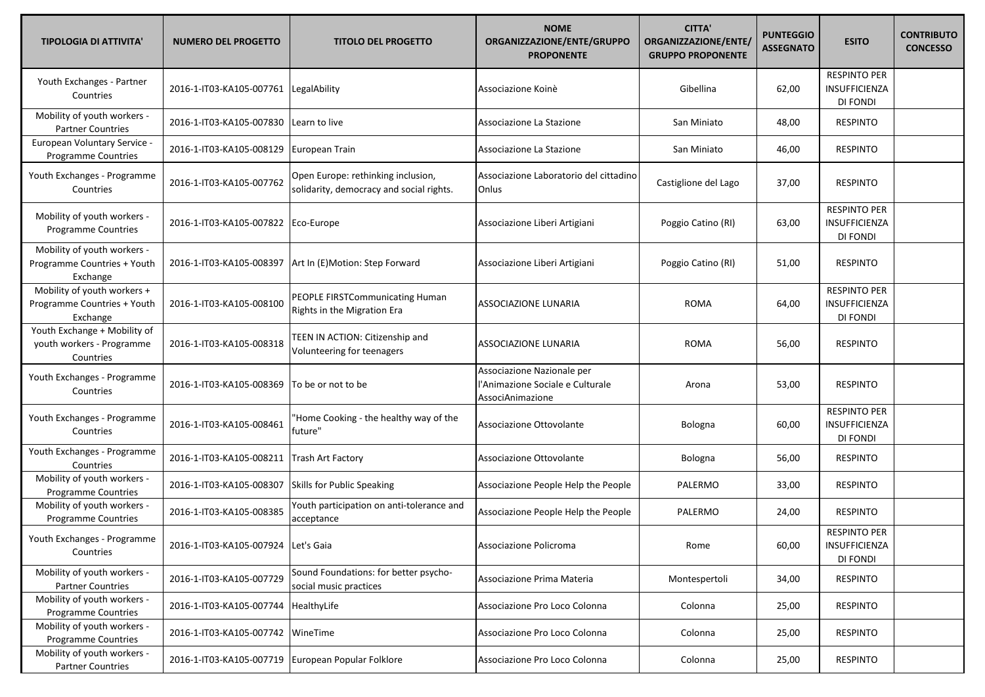| <b>TIPOLOGIA DI ATTIVITA'</b>                                          | <b>NUMERO DEL PROGETTO</b>          | <b>TITOLO DEL PROGETTO</b>                                                     | <b>NOME</b><br>ORGANIZZAZIONE/ENTE/GRUPPO<br><b>PROPONENTE</b>                     | <b>CITTA'</b><br>ORGANIZZAZIONE/ENTE/<br><b>GRUPPO PROPONENTE</b> | <b>PUNTEGGIO</b><br><b>ASSEGNATO</b> | <b>ESITO</b>                                            | <b>CONTRIBUTO</b><br><b>CONCESSO</b> |
|------------------------------------------------------------------------|-------------------------------------|--------------------------------------------------------------------------------|------------------------------------------------------------------------------------|-------------------------------------------------------------------|--------------------------------------|---------------------------------------------------------|--------------------------------------|
| Youth Exchanges - Partner<br>Countries                                 | 2016-1-IT03-KA105-007761            | LegalAbility                                                                   | Associazione Koinè                                                                 | Gibellina                                                         | 62,00                                | <b>RESPINTO PER</b><br>INSUFFICIENZA<br>DI FONDI        |                                      |
| Mobility of youth workers -<br><b>Partner Countries</b>                | 2016-1-IT03-KA105-007830            | Learn to live                                                                  | Associazione La Stazione                                                           | San Miniato                                                       | 48,00                                | <b>RESPINTO</b>                                         |                                      |
| European Voluntary Service -<br>Programme Countries                    | 2016-1-IT03-KA105-008129            | European Train                                                                 | Associazione La Stazione                                                           | San Miniato                                                       | 46,00                                | <b>RESPINTO</b>                                         |                                      |
| Youth Exchanges - Programme<br>Countries                               | 2016-1-IT03-KA105-007762            | Open Europe: rethinking inclusion,<br>solidarity, democracy and social rights. | Associazione Laboratorio del cittadino<br>Onlus                                    | Castiglione del Lago                                              | 37,00                                | <b>RESPINTO</b>                                         |                                      |
| Mobility of youth workers -<br><b>Programme Countries</b>              | 2016-1-IT03-KA105-007822            | Eco-Europe                                                                     | Associazione Liberi Artigiani                                                      | Poggio Catino (RI)                                                | 63,00                                | <b>RESPINTO PER</b><br>INSUFFICIENZA<br>DI FONDI        |                                      |
| Mobility of youth workers -<br>Programme Countries + Youth<br>Exchange | 2016-1-IT03-KA105-008397            | Art In (E)Motion: Step Forward                                                 | Associazione Liberi Artigiani                                                      | Poggio Catino (RI)                                                | 51,00                                | <b>RESPINTO</b>                                         |                                      |
| Mobility of youth workers +<br>Programme Countries + Youth<br>Exchange | 2016-1-IT03-KA105-008100            | PEOPLE FIRSTCommunicating Human<br>Rights in the Migration Era                 | <b>ASSOCIAZIONE LUNARIA</b>                                                        | <b>ROMA</b>                                                       | 64,00                                | <b>RESPINTO PER</b><br><b>INSUFFICIENZA</b><br>DI FONDI |                                      |
| Youth Exchange + Mobility of<br>youth workers - Programme<br>Countries | 2016-1-IT03-KA105-008318            | TEEN IN ACTION: Citizenship and<br>Volunteering for teenagers                  | <b>ASSOCIAZIONE LUNARIA</b>                                                        | <b>ROMA</b>                                                       | 56,00                                | <b>RESPINTO</b>                                         |                                      |
| Youth Exchanges - Programme<br>Countries                               | 2016-1-IT03-KA105-008369            | To be or not to be                                                             | Associazione Nazionale per<br>l'Animazione Sociale e Culturale<br>AssociAnimazione | Arona                                                             | 53,00                                | <b>RESPINTO</b>                                         |                                      |
| Youth Exchanges - Programme<br>Countries                               | 2016-1-IT03-KA105-008461            | 'Home Cooking - the healthy way of the<br>future"                              | Associazione Ottovolante                                                           | Bologna                                                           | 60,00                                | <b>RESPINTO PER</b><br>INSUFFICIENZA<br>DI FONDI        |                                      |
| Youth Exchanges - Programme<br>Countries                               | 2016-1-IT03-KA105-008211            | <b>Trash Art Factory</b>                                                       | Associazione Ottovolante                                                           | Bologna                                                           | 56,00                                | <b>RESPINTO</b>                                         |                                      |
| Mobility of youth workers -<br>Programme Countries                     | 2016-1-IT03-KA105-008307            | Skills for Public Speaking                                                     | Associazione People Help the People                                                | PALERMO                                                           | 33,00                                | <b>RESPINTO</b>                                         |                                      |
| Mobility of youth workers -<br><b>Programme Countries</b>              | 2016-1-IT03-KA105-008385            | Youth participation on anti-tolerance and<br>acceptance                        | Associazione People Help the People                                                | PALERMO                                                           | 24,00                                | <b>RESPINTO</b>                                         |                                      |
| Youth Exchanges - Programme<br>Countries                               | 2016-1-IT03-KA105-007924 Let's Gaia |                                                                                | Associazione Policroma                                                             | Rome                                                              | 60,00                                | <b>RESPINTO PER</b><br>INSUFFICIENZA<br>DI FONDI        |                                      |
| Mobility of youth workers -<br><b>Partner Countries</b>                | 2016-1-IT03-KA105-007729            | Sound Foundations: for better psycho-<br>social music practices                | Associazione Prima Materia                                                         | Montespertoli                                                     | 34,00                                | <b>RESPINTO</b>                                         |                                      |
| Mobility of youth workers -<br>Programme Countries                     | 2016-1-IT03-KA105-007744            | HealthyLife                                                                    | Associazione Pro Loco Colonna                                                      | Colonna                                                           | 25,00                                | <b>RESPINTO</b>                                         |                                      |
| Mobility of youth workers -<br>Programme Countries                     | 2016-1-IT03-KA105-007742 WineTime   |                                                                                | Associazione Pro Loco Colonna                                                      | Colonna                                                           | 25,00                                | <b>RESPINTO</b>                                         |                                      |
| Mobility of youth workers -<br><b>Partner Countries</b>                | 2016-1-IT03-KA105-007719            | European Popular Folklore                                                      | Associazione Pro Loco Colonna                                                      | Colonna                                                           | 25,00                                | <b>RESPINTO</b>                                         |                                      |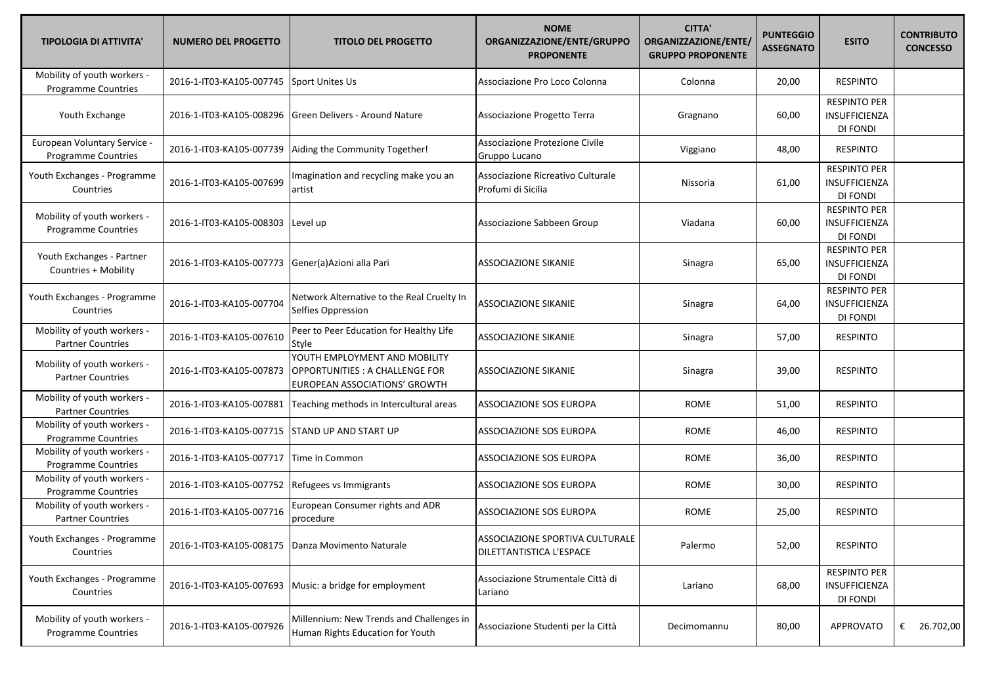| <b>TIPOLOGIA DI ATTIVITA'</b>                             | <b>NUMERO DEL PROGETTO</b>                          | <b>TITOLO DEL PROGETTO</b>                                                                       | <b>NOME</b><br>ORGANIZZAZIONE/ENTE/GRUPPO<br><b>PROPONENTE</b> | <b>CITTA'</b><br>ORGANIZZAZIONE/ENTE/<br><b>GRUPPO PROPONENTE</b> | <b>PUNTEGGIO</b><br><b>ASSEGNATO</b> | <b>ESITO</b>                                            | <b>CONTRIBUTO</b><br><b>CONCESSO</b> |
|-----------------------------------------------------------|-----------------------------------------------------|--------------------------------------------------------------------------------------------------|----------------------------------------------------------------|-------------------------------------------------------------------|--------------------------------------|---------------------------------------------------------|--------------------------------------|
| Mobility of youth workers -<br><b>Programme Countries</b> | 2016-1-IT03-KA105-007745                            | Sport Unites Us                                                                                  | Associazione Pro Loco Colonna                                  | Colonna                                                           | 20,00                                | <b>RESPINTO</b>                                         |                                      |
| Youth Exchange                                            | 2016-1-IT03-KA105-008296                            | Green Delivers - Around Nature                                                                   | Associazione Progetto Terra                                    | Gragnano                                                          | 60,00                                | <b>RESPINTO PER</b><br>INSUFFICIENZA<br>DI FONDI        |                                      |
| European Voluntary Service -<br>Programme Countries       | 2016-1-IT03-KA105-007739                            | Aiding the Community Together!                                                                   | Associazione Protezione Civile<br>Gruppo Lucano                | Viggiano                                                          | 48,00                                | <b>RESPINTO</b>                                         |                                      |
| Youth Exchanges - Programme<br>Countries                  | 2016-1-IT03-KA105-007699                            | Imagination and recycling make you an<br>artist                                                  | Associazione Ricreativo Culturale<br>Profumi di Sicilia        | Nissoria                                                          | 61,00                                | <b>RESPINTO PER</b><br>INSUFFICIENZA<br>DI FONDI        |                                      |
| Mobility of youth workers -<br>Programme Countries        | 2016-1-IT03-KA105-008303                            | Level up                                                                                         | Associazione Sabbeen Group                                     | Viadana                                                           | 60,00                                | <b>RESPINTO PER</b><br>INSUFFICIENZA<br>DI FONDI        |                                      |
| Youth Exchanges - Partner<br>Countries + Mobility         | 2016-1-IT03-KA105-007773                            | Gener(a)Azioni alla Pari                                                                         | <b>ASSOCIAZIONE SIKANIE</b>                                    | Sinagra                                                           | 65,00                                | <b>RESPINTO PER</b><br>INSUFFICIENZA<br>DI FONDI        |                                      |
| Youth Exchanges - Programme<br>Countries                  | 2016-1-IT03-KA105-007704                            | Network Alternative to the Real Cruelty In<br>Selfies Oppression                                 | <b>ASSOCIAZIONE SIKANIE</b>                                    | Sinagra                                                           | 64,00                                | <b>RESPINTO PER</b><br>INSUFFICIENZA<br>DI FONDI        |                                      |
| Mobility of youth workers -<br><b>Partner Countries</b>   | 2016-1-IT03-KA105-007610                            | Peer to Peer Education for Healthy Life<br>Style                                                 | <b>ASSOCIAZIONE SIKANIE</b>                                    | Sinagra                                                           | 57,00                                | <b>RESPINTO</b>                                         |                                      |
| Mobility of youth workers -<br><b>Partner Countries</b>   | 2016-1-IT03-KA105-007873                            | YOUTH EMPLOYMENT AND MOBILITY<br>OPPORTUNITIES: A CHALLENGE FOR<br>EUROPEAN ASSOCIATIONS' GROWTH | <b>ASSOCIAZIONE SIKANIE</b>                                    | Sinagra                                                           | 39,00                                | <b>RESPINTO</b>                                         |                                      |
| Mobility of youth workers -<br><b>Partner Countries</b>   | 2016-1-IT03-KA105-007881                            | Teaching methods in Intercultural areas                                                          | ASSOCIAZIONE SOS EUROPA                                        | <b>ROME</b>                                                       | 51,00                                | <b>RESPINTO</b>                                         |                                      |
| Mobility of youth workers -<br>Programme Countries        | 2016-1-IT03-KA105-007715                            | STAND UP AND START UP                                                                            | ASSOCIAZIONE SOS EUROPA                                        | ROME                                                              | 46,00                                | <b>RESPINTO</b>                                         |                                      |
| Mobility of youth workers -<br>Programme Countries        | 2016-1-IT03-KA105-007717                            | Time In Common                                                                                   | ASSOCIAZIONE SOS EUROPA                                        | ROME                                                              | 36,00                                | <b>RESPINTO</b>                                         |                                      |
| Mobility of youth workers -<br>Programme Countries        | 2016-1-IT03-KA105-007752                            | Refugees vs Immigrants                                                                           | ASSOCIAZIONE SOS EUROPA                                        | ROME                                                              | 30,00                                | <b>RESPINTO</b>                                         |                                      |
| Mobility of youth workers -<br><b>Partner Countries</b>   | 2016-1-IT03-KA105-007716                            | European Consumer rights and ADR<br>procedure                                                    | ASSOCIAZIONE SOS EUROPA                                        | ROME                                                              | 25,00                                | <b>RESPINTO</b>                                         |                                      |
| Youth Exchanges - Programme<br>Countries                  | 2016-1-IT03-KA105-008175   Danza Movimento Naturale |                                                                                                  | ASSOCIAZIONE SPORTIVA CULTURALE<br>DILETTANTISTICA L'ESPACE    | Palermo                                                           | 52,00                                | <b>RESPINTO</b>                                         |                                      |
| Youth Exchanges - Programme<br>Countries                  | 2016-1-IT03-KA105-007693                            | Music: a bridge for employment                                                                   | Associazione Strumentale Città di<br>Lariano                   | Lariano                                                           | 68,00                                | <b>RESPINTO PER</b><br><b>INSUFFICIENZA</b><br>DI FONDI |                                      |
| Mobility of youth workers -<br>Programme Countries        | 2016-1-IT03-KA105-007926                            | Millennium: New Trends and Challenges in<br>Human Rights Education for Youth                     | Associazione Studenti per la Città                             | Decimomannu                                                       | 80,00                                | <b>APPROVATO</b>                                        | € 26.702,00                          |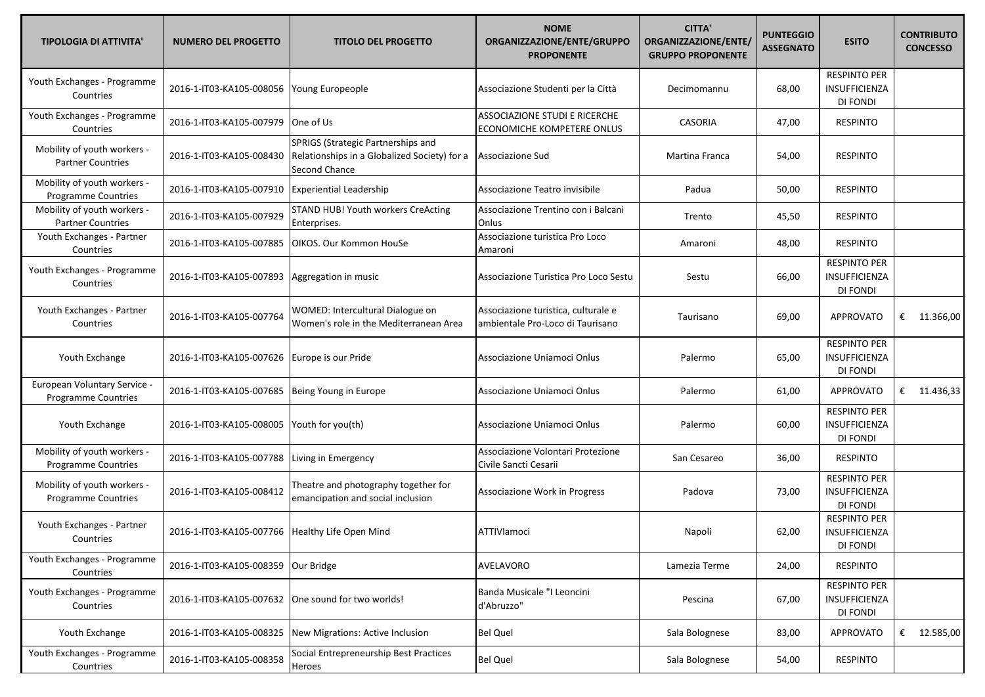| <b>TIPOLOGIA DI ATTIVITA'</b>                             | <b>NUMERO DEL PROGETTO</b>                       | <b>TITOLO DEL PROGETTO</b>                                                                          | <b>NOME</b><br>ORGANIZZAZIONE/ENTE/GRUPPO<br><b>PROPONENTE</b>          | <b>CITTA'</b><br>ORGANIZZAZIONE/ENTE/<br><b>GRUPPO PROPONENTE</b> | <b>PUNTEGGIO</b><br><b>ASSEGNATO</b> | <b>ESITO</b>                                            | <b>CONTRIBUTO</b><br><b>CONCESSO</b> |
|-----------------------------------------------------------|--------------------------------------------------|-----------------------------------------------------------------------------------------------------|-------------------------------------------------------------------------|-------------------------------------------------------------------|--------------------------------------|---------------------------------------------------------|--------------------------------------|
| Youth Exchanges - Programme<br>Countries                  | 2016-1-IT03-KA105-008056                         | Young Europeople                                                                                    | Associazione Studenti per la Città                                      | Decimomannu                                                       | 68,00                                | <b>RESPINTO PER</b><br>INSUFFICIENZA<br>DI FONDI        |                                      |
| Youth Exchanges - Programme<br>Countries                  | 2016-1-IT03-KA105-007979                         | One of Us                                                                                           | ASSOCIAZIONE STUDI E RICERCHE<br>ECONOMICHE KOMPETERE ONLUS             | <b>CASORIA</b>                                                    | 47,00                                | <b>RESPINTO</b>                                         |                                      |
| Mobility of youth workers -<br><b>Partner Countries</b>   | 2016-1-IT03-KA105-008430                         | SPRIGS (Strategic Partnerships and<br>Relationships in a Globalized Society) for a<br>Second Chance | Associazione Sud                                                        | Martina Franca                                                    | 54,00                                | <b>RESPINTO</b>                                         |                                      |
| Mobility of youth workers -<br><b>Programme Countries</b> | 2016-1-IT03-KA105-007910 Experiential Leadership |                                                                                                     | Associazione Teatro invisibile                                          | Padua                                                             | 50,00                                | <b>RESPINTO</b>                                         |                                      |
| Mobility of youth workers -<br><b>Partner Countries</b>   | 2016-1-IT03-KA105-007929                         | STAND HUB! Youth workers CreActing<br>Enterprises.                                                  | Associazione Trentino con i Balcani<br>Onlus                            | Trento                                                            | 45,50                                | <b>RESPINTO</b>                                         |                                      |
| Youth Exchanges - Partner<br>Countries                    | 2016-1-IT03-KA105-007885                         | OIKOS. Our Kommon HouSe                                                                             | Associazione turistica Pro Loco<br>Amaroni                              | Amaroni                                                           | 48,00                                | <b>RESPINTO</b>                                         |                                      |
| Youth Exchanges - Programme<br>Countries                  | 2016-1-IT03-KA105-007893                         | Aggregation in music                                                                                | Associazione Turistica Pro Loco Sestu                                   | Sestu                                                             | 66,00                                | <b>RESPINTO PER</b><br>INSUFFICIENZA<br>DI FONDI        |                                      |
| Youth Exchanges - Partner<br>Countries                    | 2016-1-IT03-KA105-007764                         | WOMED: Intercultural Dialogue on<br>Women's role in the Mediterranean Area                          | Associazione turistica, culturale e<br>ambientale Pro-Loco di Taurisano | Taurisano                                                         | 69,00                                | <b>APPROVATO</b>                                        | € 11.366,00                          |
| Youth Exchange                                            | 2016-1-IT03-KA105-007626                         | Europe is our Pride                                                                                 | Associazione Uniamoci Onlus                                             | Palermo                                                           | 65,00                                | <b>RESPINTO PER</b><br>INSUFFICIENZA<br><b>DI FONDI</b> |                                      |
| European Voluntary Service -<br>Programme Countries       | 2016-1-IT03-KA105-007685                         | Being Young in Europe                                                                               | Associazione Uniamoci Onlus                                             | Palermo                                                           | 61,00                                | <b>APPROVATO</b>                                        | € 11.436,33                          |
| Youth Exchange                                            | 2016-1-IT03-KA105-008005                         | Youth for you(th)                                                                                   | Associazione Uniamoci Onlus                                             | Palermo                                                           | 60,00                                | <b>RESPINTO PER</b><br>INSUFFICIENZA<br>DI FONDI        |                                      |
| Mobility of youth workers -<br><b>Programme Countries</b> | 2016-1-IT03-KA105-007788                         | Living in Emergency                                                                                 | Associazione Volontari Protezione<br>Civile Sancti Cesarii              | San Cesareo                                                       | 36,00                                | <b>RESPINTO</b>                                         |                                      |
| Mobility of youth workers -<br>Programme Countries        | 2016-1-IT03-KA105-008412                         | Theatre and photography together for<br>emancipation and social inclusion                           | Associazione Work in Progress                                           | Padova                                                            | 73,00                                | <b>RESPINTO PER</b><br>INSUFFICIENZA<br>DI FONDI        |                                      |
| Youth Exchanges - Partner<br>Countries                    | 2016-1-IT03-KA105-007766 Healthy Life Open Mind  |                                                                                                     | ATTIVIamoci                                                             | Napoli                                                            | 62,00                                | <b>RESPINTO PER</b><br><b>INSUFFICIENZA</b><br>DI FONDI |                                      |
| Youth Exchanges - Programme<br>Countries                  | 2016-1-IT03-KA105-008359                         | Our Bridge                                                                                          | AVELAVORO                                                               | Lamezia Terme                                                     | 24,00                                | <b>RESPINTO</b>                                         |                                      |
| Youth Exchanges - Programme<br>Countries                  | 2016-1-IT03-KA105-007632                         | One sound for two worlds!                                                                           | Banda Musicale "I Leoncini<br>d'Abruzzo"                                | Pescina                                                           | 67,00                                | <b>RESPINTO PER</b><br><b>INSUFFICIENZA</b><br>DI FONDI |                                      |
| Youth Exchange                                            | 2016-1-IT03-KA105-008325                         | New Migrations: Active Inclusion                                                                    | <b>Bel Quel</b>                                                         | Sala Bolognese                                                    | 83,00                                | <b>APPROVATO</b>                                        | € 12.585,00                          |
| Youth Exchanges - Programme<br>Countries                  | 2016-1-IT03-KA105-008358                         | Social Entrepreneurship Best Practices<br>Heroes                                                    | <b>Bel Quel</b>                                                         | Sala Bolognese                                                    | 54,00                                | <b>RESPINTO</b>                                         |                                      |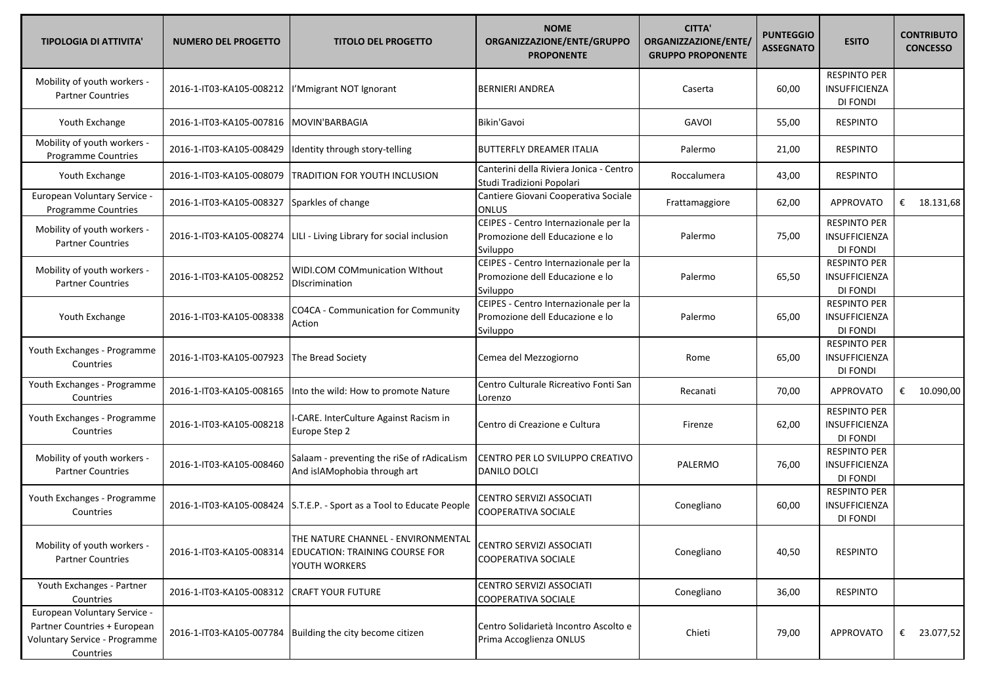| <b>TIPOLOGIA DI ATTIVITA'</b>                                                                              | <b>NUMERO DEL PROGETTO</b> | <b>TITOLO DEL PROGETTO</b>                                                            | <b>NOME</b><br>ORGANIZZAZIONE/ENTE/GRUPPO<br><b>PROPONENTE</b>                       | <b>CITTA'</b><br>ORGANIZZAZIONE/ENTE/<br><b>GRUPPO PROPONENTE</b> | <b>PUNTEGGIO</b><br><b>ASSEGNATO</b> | <b>ESITO</b>                                            | <b>CONTRIBUTO</b><br><b>CONCESSO</b> |
|------------------------------------------------------------------------------------------------------------|----------------------------|---------------------------------------------------------------------------------------|--------------------------------------------------------------------------------------|-------------------------------------------------------------------|--------------------------------------|---------------------------------------------------------|--------------------------------------|
| Mobility of youth workers -<br><b>Partner Countries</b>                                                    | 2016-1-IT03-KA105-008212   | l'Mmigrant NOT Ignorant                                                               | <b>BERNIERI ANDREA</b>                                                               | Caserta                                                           | 60,00                                | <b>RESPINTO PER</b><br><b>INSUFFICIENZA</b><br>DI FONDI |                                      |
| Youth Exchange                                                                                             | 2016-1-IT03-KA105-007816   | <b>MOVIN'BARBAGIA</b>                                                                 | Bikin'Gavoi                                                                          | <b>GAVOI</b>                                                      | 55,00                                | <b>RESPINTO</b>                                         |                                      |
| Mobility of youth workers -<br><b>Programme Countries</b>                                                  | 2016-1-IT03-KA105-008429   | Identity through story-telling                                                        | <b>BUTTERFLY DREAMER ITALIA</b>                                                      | Palermo                                                           | 21,00                                | <b>RESPINTO</b>                                         |                                      |
| Youth Exchange                                                                                             | 2016-1-IT03-KA105-008079   | TRADITION FOR YOUTH INCLUSION                                                         | Canterini della Riviera Jonica - Centro<br>Studi Tradizioni Popolari                 | Roccalumera                                                       | 43,00                                | <b>RESPINTO</b>                                         |                                      |
| European Voluntary Service -<br>Programme Countries                                                        | 2016-1-IT03-KA105-008327   | Sparkles of change                                                                    | Cantiere Giovani Cooperativa Sociale<br><b>ONLUS</b>                                 | Frattamaggiore                                                    | 62,00                                | APPROVATO                                               | € $18.131,68$                        |
| Mobility of youth workers -<br><b>Partner Countries</b>                                                    | 2016-1-IT03-KA105-008274   | LILI - Living Library for social inclusion                                            | CEIPES - Centro Internazionale per la<br>Promozione dell Educazione e lo<br>Sviluppo | Palermo                                                           | 75,00                                | <b>RESPINTO PER</b><br>INSUFFICIENZA<br>DI FONDI        |                                      |
| Mobility of youth workers -<br><b>Partner Countries</b>                                                    | 2016-1-IT03-KA105-008252   | <b>WIDI.COM COMmunication WIthout</b><br>Discrimination                               | CEIPES - Centro Internazionale per la<br>Promozione dell Educazione e lo<br>Sviluppo | Palermo                                                           | 65,50                                | <b>RESPINTO PER</b><br>INSUFFICIENZA<br>DI FONDI        |                                      |
| Youth Exchange                                                                                             | 2016-1-IT03-KA105-008338   | CO4CA - Communication for Community<br>Action                                         | CEIPES - Centro Internazionale per la<br>Promozione dell Educazione e lo<br>Sviluppo | Palermo                                                           | 65,00                                | <b>RESPINTO PER</b><br>INSUFFICIENZA<br>DI FONDI        |                                      |
| Youth Exchanges - Programme<br>Countries                                                                   | 2016-1-IT03-KA105-007923   | The Bread Society                                                                     | Cemea del Mezzogiorno                                                                | Rome                                                              | 65,00                                | <b>RESPINTO PER</b><br>INSUFFICIENZA<br>DI FONDI        |                                      |
| Youth Exchanges - Programme<br>Countries                                                                   | 2016-1-IT03-KA105-008165   | Into the wild: How to promote Nature                                                  | Centro Culturale Ricreativo Fonti San<br>Lorenzo                                     | Recanati                                                          | 70,00                                | APPROVATO                                               | € $10.090,00$                        |
| Youth Exchanges - Programme<br>Countries                                                                   | 2016-1-IT03-KA105-008218   | -CARE. InterCulture Against Racism in<br>Europe Step 2                                | Centro di Creazione e Cultura                                                        | Firenze                                                           | 62,00                                | <b>RESPINTO PER</b><br>INSUFFICIENZA<br>DI FONDI        |                                      |
| Mobility of youth workers -<br><b>Partner Countries</b>                                                    | 2016-1-IT03-KA105-008460   | Salaam - preventing the riSe of rAdicaLism<br>And islAMophobia through art            | CENTRO PER LO SVILUPPO CREATIVO<br>DANILO DOLCI                                      | PALERMO                                                           | 76,00                                | <b>RESPINTO PER</b><br>INSUFFICIENZA<br>DI FONDI        |                                      |
| Youth Exchanges - Programme<br>Countries                                                                   | 2016-1-IT03-KA105-008424   | S.T.E.P. - Sport as a Tool to Educate People                                          | CENTRO SERVIZI ASSOCIATI<br><b>COOPERATIVA SOCIALE</b>                               | Conegliano                                                        | 60,00                                | <b>RESPINTO PER</b><br>INSUFFICIENZA<br>DI FONDI        |                                      |
| Mobility of youth workers -<br><b>Partner Countries</b>                                                    | 2016-1-IT03-KA105-008314   | THE NATURE CHANNEL - ENVIRONMENTAL<br>EDUCATION: TRAINING COURSE FOR<br>YOUTH WORKERS | CENTRO SERVIZI ASSOCIATI<br>COOPERATIVA SOCIALE                                      | Conegliano                                                        | 40,50                                | <b>RESPINTO</b>                                         |                                      |
| Youth Exchanges - Partner<br>Countries                                                                     | 2016-1-IT03-KA105-008312   | <b>CRAFT YOUR FUTURE</b>                                                              | CENTRO SERVIZI ASSOCIATI<br>COOPERATIVA SOCIALE                                      | Conegliano                                                        | 36,00                                | <b>RESPINTO</b>                                         |                                      |
| European Voluntary Service -<br>Partner Countries + European<br>Voluntary Service - Programme<br>Countries | 2016-1-IT03-KA105-007784   | Building the city become citizen                                                      | Centro Solidarietà Incontro Ascolto e<br>Prima Accoglienza ONLUS                     | Chieti                                                            | 79,00                                | <b>APPROVATO</b>                                        | € 23.077,52                          |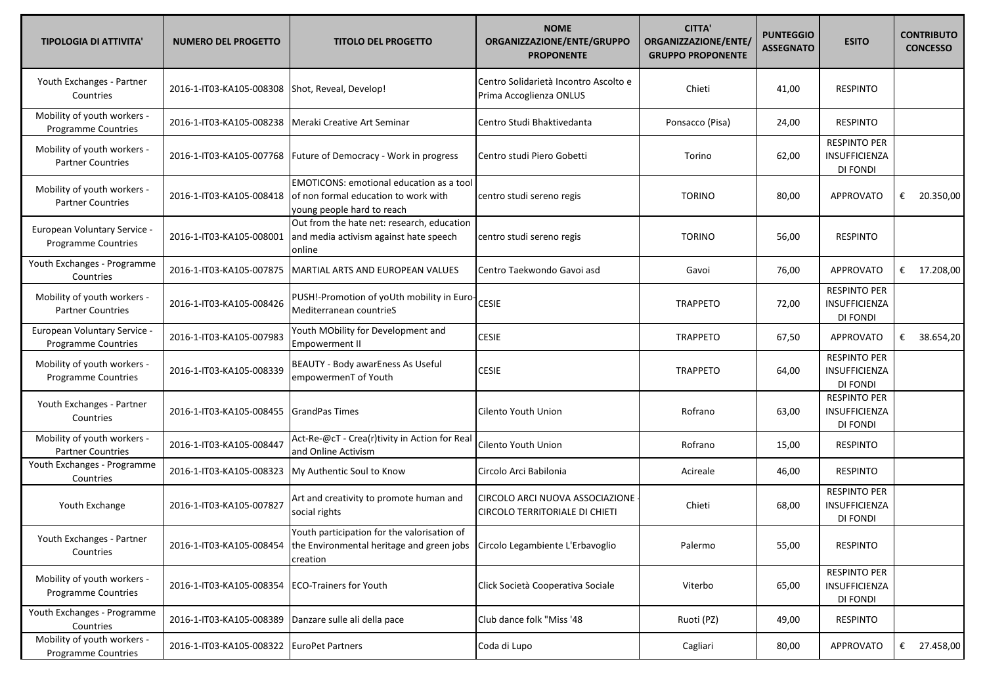| <b>TIPOLOGIA DI ATTIVITA'</b>                              | <b>NUMERO DEL PROGETTO</b>                | <b>TITOLO DEL PROGETTO</b>                                                                                                              | <b>NOME</b><br>ORGANIZZAZIONE/ENTE/GRUPPO<br><b>PROPONENTE</b>    | <b>CITTA'</b><br>ORGANIZZAZIONE/ENTE/<br><b>GRUPPO PROPONENTE</b> | <b>PUNTEGGIO</b><br><b>ASSEGNATO</b> | <b>ESITO</b>                                            | <b>CONTRIBUTO</b><br><b>CONCESSO</b> |
|------------------------------------------------------------|-------------------------------------------|-----------------------------------------------------------------------------------------------------------------------------------------|-------------------------------------------------------------------|-------------------------------------------------------------------|--------------------------------------|---------------------------------------------------------|--------------------------------------|
| Youth Exchanges - Partner<br>Countries                     | 2016-1-IT03-KA105-008308                  | Shot, Reveal, Develop!                                                                                                                  | Centro Solidarietà Incontro Ascolto e<br>Prima Accoglienza ONLUS  | Chieti                                                            | 41,00                                | <b>RESPINTO</b>                                         |                                      |
| Mobility of youth workers -<br>Programme Countries         | 2016-1-IT03-KA105-008238                  | Meraki Creative Art Seminar                                                                                                             | Centro Studi Bhaktivedanta                                        | Ponsacco (Pisa)                                                   | 24,00                                | <b>RESPINTO</b>                                         |                                      |
| Mobility of youth workers -<br><b>Partner Countries</b>    | 2016-1-IT03-KA105-007768                  | Future of Democracy - Work in progress                                                                                                  | Centro studi Piero Gobetti                                        | Torino                                                            | 62,00                                | <b>RESPINTO PER</b><br>INSUFFICIENZA<br><b>DI FONDI</b> |                                      |
| Mobility of youth workers -<br><b>Partner Countries</b>    | 2016-1-IT03-KA105-008418                  | <b>EMOTICONS: emotional education as a tool</b><br>of non formal education to work with<br>young people hard to reach                   | centro studi sereno regis                                         | <b>TORINO</b>                                                     | 80,00                                | <b>APPROVATO</b>                                        | € 20.350,00                          |
| European Voluntary Service -<br>Programme Countries        | 2016-1-IT03-KA105-008001                  | Out from the hate net: research, education<br>and media activism against hate speech<br>online                                          | centro studi sereno regis                                         | <b>TORINO</b>                                                     | 56,00                                | <b>RESPINTO</b>                                         |                                      |
| Youth Exchanges - Programme<br>Countries                   | 2016-1-IT03-KA105-007875                  | MARTIAL ARTS AND EUROPEAN VALUES                                                                                                        | Centro Taekwondo Gavoi asd                                        | Gavoi                                                             | 76,00                                | <b>APPROVATO</b>                                        | € 17.208,00                          |
| Mobility of youth workers -<br><b>Partner Countries</b>    | 2016-1-IT03-KA105-008426                  | PUSH!-Promotion of yoUth mobility in Euro-<br>Mediterranean countrieS                                                                   | <b>CESIE</b>                                                      | <b>TRAPPETO</b>                                                   | 72,00                                | <b>RESPINTO PER</b><br>INSUFFICIENZA<br>DI FONDI        |                                      |
| European Voluntary Service -<br><b>Programme Countries</b> | 2016-1-IT03-KA105-007983                  | Youth MObility for Development and<br><b>Empowerment II</b>                                                                             | <b>CESIE</b>                                                      | <b>TRAPPETO</b>                                                   | 67,50                                | <b>APPROVATO</b>                                        | €<br>38.654,20                       |
| Mobility of youth workers -<br>Programme Countries         | 2016-1-IT03-KA105-008339                  | BEAUTY - Body awarEness As Useful<br>empowermenT of Youth                                                                               | <b>CESIE</b>                                                      | <b>TRAPPETO</b>                                                   | 64,00                                | <b>RESPINTO PER</b><br>INSUFFICIENZA<br>DI FONDI        |                                      |
| Youth Exchanges - Partner<br>Countries                     | 2016-1-IT03-KA105-008455                  | GrandPas Times                                                                                                                          | Cilento Youth Union                                               | Rofrano                                                           | 63,00                                | <b>RESPINTO PER</b><br>INSUFFICIENZA<br>DI FONDI        |                                      |
| Mobility of youth workers -<br><b>Partner Countries</b>    | 2016-1-IT03-KA105-008447                  | Act-Re-@cT - Crea(r)tivity in Action for Real<br>and Online Activism                                                                    | Cilento Youth Union                                               | Rofrano                                                           | 15,00                                | <b>RESPINTO</b>                                         |                                      |
| Youth Exchanges - Programme<br>Countries                   | 2016-1-IT03-KA105-008323                  | My Authentic Soul to Know                                                                                                               | Circolo Arci Babilonia                                            | Acireale                                                          | 46,00                                | <b>RESPINTO</b>                                         |                                      |
| Youth Exchange                                             | 2016-1-IT03-KA105-007827                  | Art and creativity to promote human and<br>social rights                                                                                | CIRCOLO ARCI NUOVA ASSOCIAZIONE<br>CIRCOLO TERRITORIALE DI CHIETI | Chieti                                                            | 68,00                                | <b>RESPINTO PER</b><br>INSUFFICIENZA<br><b>DI FONDI</b> |                                      |
| Youth Exchanges - Partner<br>Countries                     | 2016-1-IT03-KA105-008454                  | Youth participation for the valorisation of<br>the Environmental heritage and green jobs   Circolo Legambiente L'Erbavoglio<br>creation |                                                                   | Palermo                                                           | 55,00                                | <b>RESPINTO</b>                                         |                                      |
| Mobility of youth workers -<br>Programme Countries         | 2016-1-IT03-KA105-008354                  | <b>ECO-Trainers for Youth</b>                                                                                                           | Click Società Cooperativa Sociale                                 | Viterbo                                                           | 65,00                                | <b>RESPINTO PER</b><br>INSUFFICIENZA<br>DI FONDI        |                                      |
| Youth Exchanges - Programme<br>Countries                   | 2016-1-IT03-KA105-008389                  | Danzare sulle ali della pace                                                                                                            | Club dance folk "Miss '48                                         | Ruoti (PZ)                                                        | 49,00                                | <b>RESPINTO</b>                                         |                                      |
| Mobility of youth workers -<br>Programme Countries         | 2016-1-IT03-KA105-008322 EuroPet Partners |                                                                                                                                         | Coda di Lupo                                                      | Cagliari                                                          | 80,00                                | APPROVATO                                               | € 27.458,00                          |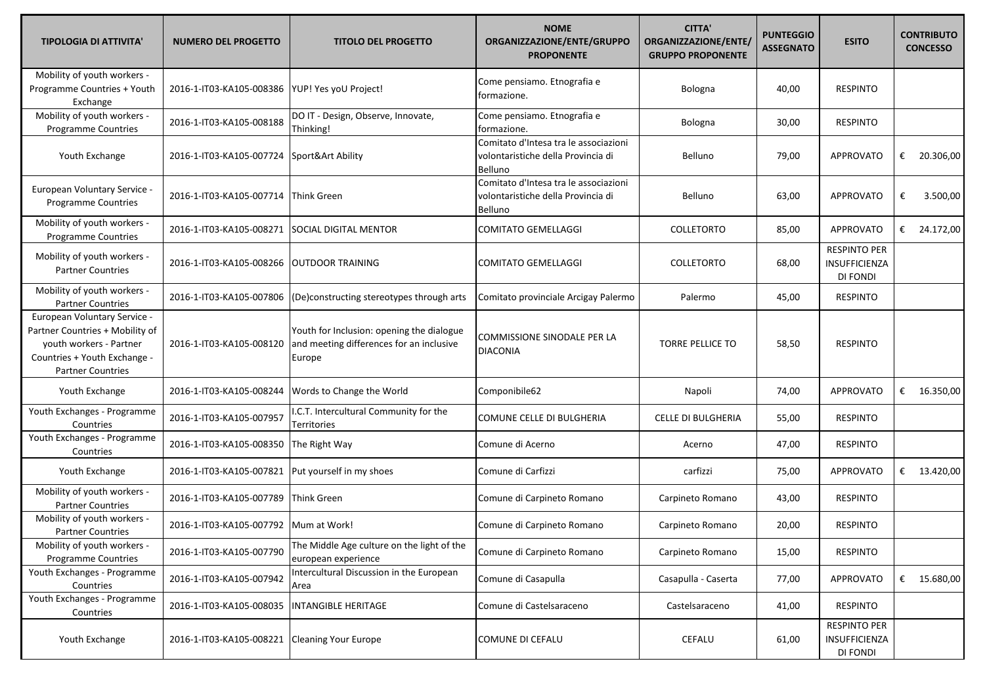| <b>TIPOLOGIA DI ATTIVITA'</b>                                                                                                                          | <b>NUMERO DEL PROGETTO</b>              | <b>TITOLO DEL PROGETTO</b>                                                                      | <b>NOME</b><br>ORGANIZZAZIONE/ENTE/GRUPPO<br><b>PROPONENTE</b>                                | <b>CITTA'</b><br>ORGANIZZAZIONE/ENTE/<br><b>GRUPPO PROPONENTE</b> | <b>PUNTEGGIO</b><br><b>ASSEGNATO</b> | <b>ESITO</b>                                            | <b>CONTRIBUTO</b><br><b>CONCESSO</b> |
|--------------------------------------------------------------------------------------------------------------------------------------------------------|-----------------------------------------|-------------------------------------------------------------------------------------------------|-----------------------------------------------------------------------------------------------|-------------------------------------------------------------------|--------------------------------------|---------------------------------------------------------|--------------------------------------|
| Mobility of youth workers -<br>Programme Countries + Youth<br>Exchange                                                                                 | 2016-1-IT03-KA105-008386                | YUP! Yes yoU Project!                                                                           | Come pensiamo. Etnografia e<br>formazione.                                                    | Bologna                                                           | 40,00                                | <b>RESPINTO</b>                                         |                                      |
| Mobility of youth workers -<br>Programme Countries                                                                                                     | 2016-1-IT03-KA105-008188                | DO IT - Design, Observe, Innovate,<br>Thinking!                                                 | Come pensiamo. Etnografia e<br>formazione.                                                    | Bologna                                                           | 30,00                                | <b>RESPINTO</b>                                         |                                      |
| Youth Exchange                                                                                                                                         | 2016-1-IT03-KA105-007724                | Sport&Art Ability                                                                               | Comitato d'Intesa tra le associazioni<br>volontaristiche della Provincia di<br><b>Belluno</b> | Belluno                                                           | 79,00                                | <b>APPROVATO</b>                                        | 20.306,00<br>€                       |
| European Voluntary Service -<br>Programme Countries                                                                                                    | 2016-1-IT03-KA105-007714                | <b>Think Green</b>                                                                              | Comitato d'Intesa tra le associazioni<br>volontaristiche della Provincia di<br>Belluno        | Belluno                                                           | 63,00                                | <b>APPROVATO</b>                                        | 3.500,00<br>€                        |
| Mobility of youth workers -<br>Programme Countries                                                                                                     | 2016-1-IT03-KA105-008271                | SOCIAL DIGITAL MENTOR                                                                           | COMITATO GEMELLAGGI                                                                           | <b>COLLETORTO</b>                                                 | 85,00                                | APPROVATO                                               | € 24.172,00                          |
| Mobility of youth workers -<br><b>Partner Countries</b>                                                                                                | 2016-1-IT03-KA105-008266                | <b>OUTDOOR TRAINING</b>                                                                         | <b>COMITATO GEMELLAGGI</b>                                                                    | <b>COLLETORTO</b>                                                 | 68,00                                | <b>RESPINTO PER</b><br><b>INSUFFICIENZA</b><br>DI FONDI |                                      |
| Mobility of youth workers -<br><b>Partner Countries</b>                                                                                                | 2016-1-IT03-KA105-007806                | (De)constructing stereotypes through arts                                                       | Comitato provinciale Arcigay Palermo                                                          | Palermo                                                           | 45,00                                | <b>RESPINTO</b>                                         |                                      |
| European Voluntary Service -<br>Partner Countries + Mobility of<br>youth workers - Partner<br>Countries + Youth Exchange -<br><b>Partner Countries</b> | 2016-1-IT03-KA105-008120                | Youth for Inclusion: opening the dialogue<br>and meeting differences for an inclusive<br>Europe | <b>COMMISSIONE SINODALE PER LA</b><br><b>DIACONIA</b>                                         | <b>TORRE PELLICE TO</b>                                           | 58,50                                | <b>RESPINTO</b>                                         |                                      |
| Youth Exchange                                                                                                                                         | 2016-1-IT03-KA105-008244                | Words to Change the World                                                                       | Componibile62                                                                                 | Napoli                                                            | 74,00                                | <b>APPROVATO</b>                                        | € $16.350,00$                        |
| Youth Exchanges - Programme<br>Countries                                                                                                               | 2016-1-IT03-KA105-007957                | I.C.T. Intercultural Community for the<br>Territories                                           | COMUNE CELLE DI BULGHERIA                                                                     | <b>CELLE DI BULGHERIA</b>                                         | 55,00                                | <b>RESPINTO</b>                                         |                                      |
| Youth Exchanges - Programme<br>Countries                                                                                                               | 2016-1-IT03-KA105-008350                | The Right Way                                                                                   | Comune di Acerno                                                                              | Acerno                                                            | 47,00                                | <b>RESPINTO</b>                                         |                                      |
| Youth Exchange                                                                                                                                         | 2016-1-IT03-KA105-007821                | Put yourself in my shoes                                                                        | Comune di Carfizzi                                                                            | carfizzi                                                          | 75,00                                | <b>APPROVATO</b>                                        | € 13.420,00                          |
| Mobility of youth workers -<br><b>Partner Countries</b>                                                                                                | 2016-1-IT03-KA105-007789                | Think Green                                                                                     | Comune di Carpineto Romano                                                                    | Carpineto Romano                                                  | 43,00                                | <b>RESPINTO</b>                                         |                                      |
| Mobility of youth workers -<br><b>Partner Countries</b>                                                                                                | 2016-1-IT03-KA105-007792   Mum at Work! |                                                                                                 | Comune di Carpineto Romano                                                                    | Carpineto Romano                                                  | 20,00                                | <b>RESPINTO</b>                                         |                                      |
| Mobility of youth workers -<br>Programme Countries                                                                                                     | 2016-1-IT03-KA105-007790                | The Middle Age culture on the light of the<br>european experience                               | Comune di Carpineto Romano                                                                    | Carpineto Romano                                                  | 15,00                                | <b>RESPINTO</b>                                         |                                      |
| Youth Exchanges - Programme<br>Countries                                                                                                               | 2016-1-IT03-KA105-007942                | Intercultural Discussion in the European<br>Area                                                | Comune di Casapulla                                                                           | Casapulla - Caserta                                               | 77,00                                | <b>APPROVATO</b>                                        | € $15.680,00$                        |
| Youth Exchanges - Programme<br>Countries                                                                                                               | 2016-1-IT03-KA105-008035                | <b>INTANGIBLE HERITAGE</b>                                                                      | Comune di Castelsaraceno                                                                      | Castelsaraceno                                                    | 41,00                                | <b>RESPINTO</b>                                         |                                      |
| Youth Exchange                                                                                                                                         | 2016-1-IT03-KA105-008221                | <b>Cleaning Your Europe</b>                                                                     | COMUNE DI CEFALU                                                                              | CEFALU                                                            | 61,00                                | <b>RESPINTO PER</b><br>INSUFFICIENZA<br>DI FONDI        |                                      |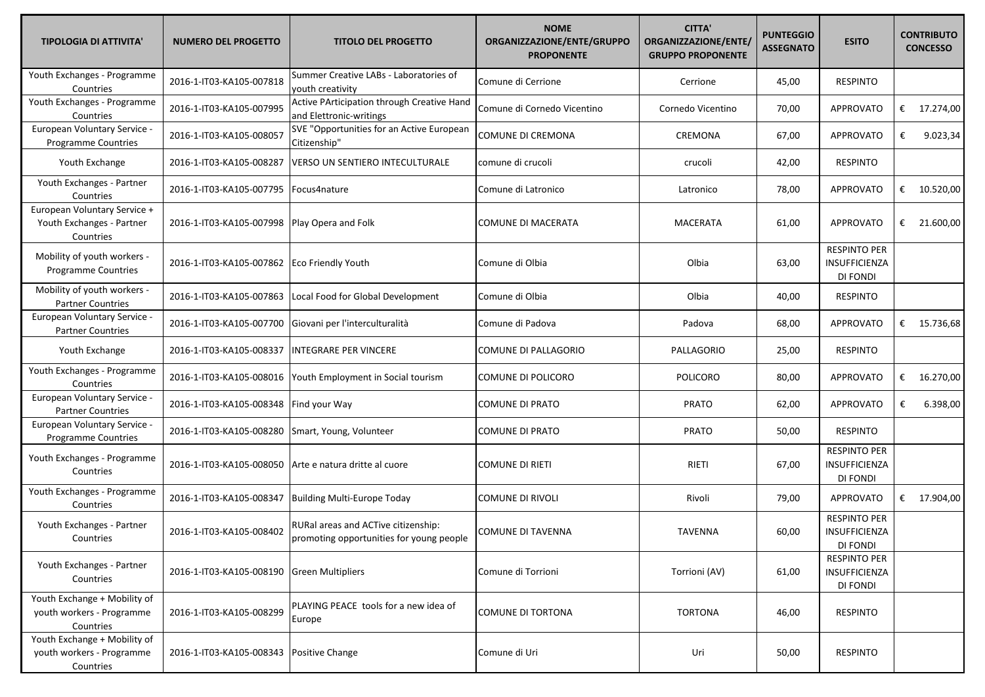| <b>TIPOLOGIA DI ATTIVITA'</b>                                          | <b>NUMERO DEL PROGETTO</b> | <b>TITOLO DEL PROGETTO</b>                                                      | <b>NOME</b><br>ORGANIZZAZIONE/ENTE/GRUPPO<br><b>PROPONENTE</b> | <b>CITTA'</b><br>ORGANIZZAZIONE/ENTE/<br><b>GRUPPO PROPONENTE</b> | <b>PUNTEGGIO</b><br><b>ASSEGNATO</b> | <b>ESITO</b>                                     | <b>CONTRIBUTO</b><br><b>CONCESSO</b> |
|------------------------------------------------------------------------|----------------------------|---------------------------------------------------------------------------------|----------------------------------------------------------------|-------------------------------------------------------------------|--------------------------------------|--------------------------------------------------|--------------------------------------|
| Youth Exchanges - Programme<br>Countries                               | 2016-1-IT03-KA105-007818   | Summer Creative LABs - Laboratories of<br>youth creativity                      | Comune di Cerrione                                             | Cerrione                                                          | 45,00                                | <b>RESPINTO</b>                                  |                                      |
| Youth Exchanges - Programme<br>Countries                               | 2016-1-IT03-KA105-007995   | Active PArticipation through Creative Hand<br>and Elettronic-writings           | Comune di Cornedo Vicentino                                    | Cornedo Vicentino                                                 | 70,00                                | <b>APPROVATO</b>                                 | € 17.274,00                          |
| European Voluntary Service -<br>Programme Countries                    | 2016-1-IT03-KA105-008057   | SVE "Opportunities for an Active European<br>Citizenship"                       | COMUNE DI CREMONA                                              | CREMONA                                                           | 67,00                                | APPROVATO                                        | 9.023,34<br>€                        |
| Youth Exchange                                                         | 2016-1-IT03-KA105-008287   | VERSO UN SENTIERO INTECULTURALE                                                 | comune di crucoli                                              | crucoli                                                           | 42,00                                | <b>RESPINTO</b>                                  |                                      |
| Youth Exchanges - Partner<br>Countries                                 | 2016-1-IT03-KA105-007795   | Focus4nature                                                                    | Comune di Latronico                                            | Latronico                                                         | 78,00                                | <b>APPROVATO</b>                                 | € $10.520,00$                        |
| European Voluntary Service +<br>Youth Exchanges - Partner<br>Countries | 2016-1-IT03-KA105-007998   | Play Opera and Folk                                                             | COMUNE DI MACERATA                                             | <b>MACERATA</b>                                                   | 61,00                                | <b>APPROVATO</b>                                 | € 21.600,00                          |
| Mobility of youth workers -<br>Programme Countries                     | 2016-1-IT03-KA105-007862   | Eco Friendly Youth                                                              | Comune di Olbia                                                | Olbia                                                             | 63,00                                | <b>RESPINTO PER</b><br>INSUFFICIENZA<br>DI FONDI |                                      |
| Mobility of youth workers -<br><b>Partner Countries</b>                | 2016-1-IT03-KA105-007863   | Local Food for Global Development                                               | Comune di Olbia                                                | Olbia                                                             | 40,00                                | <b>RESPINTO</b>                                  |                                      |
| European Voluntary Service -<br><b>Partner Countries</b>               | 2016-1-IT03-KA105-007700   | Giovani per l'interculturalità                                                  | Comune di Padova                                               | Padova                                                            | 68,00                                | <b>APPROVATO</b>                                 | € $15.736,68$                        |
| Youth Exchange                                                         | 2016-1-IT03-KA105-008337   | INTEGRARE PER VINCERE                                                           | COMUNE DI PALLAGORIO                                           | PALLAGORIO                                                        | 25,00                                | <b>RESPINTO</b>                                  |                                      |
| Youth Exchanges - Programme<br>Countries                               | 2016-1-IT03-KA105-008016   | Youth Employment in Social tourism                                              | COMUNE DI POLICORO                                             | <b>POLICORO</b>                                                   | 80,00                                | <b>APPROVATO</b>                                 | € $16.270,00$                        |
| European Voluntary Service -<br><b>Partner Countries</b>               | 2016-1-IT03-KA105-008348   | Find your Way                                                                   | COMUNE DI PRATO                                                | <b>PRATO</b>                                                      | 62,00                                | APPROVATO                                        | 6.398,00<br>€                        |
| European Voluntary Service -<br>Programme Countries                    | 2016-1-IT03-KA105-008280   | Smart, Young, Volunteer                                                         | COMUNE DI PRATO                                                | <b>PRATO</b>                                                      | 50,00                                | <b>RESPINTO</b>                                  |                                      |
| Youth Exchanges - Programme<br>Countries                               | 2016-1-IT03-KA105-008050   | Arte e natura dritte al cuore                                                   | COMUNE DI RIETI                                                | RIETI                                                             | 67,00                                | <b>RESPINTO PER</b><br>INSUFFICIENZA<br>DI FONDI |                                      |
| Youth Exchanges - Programme<br>Countries                               | 2016-1-IT03-KA105-008347   | <b>Building Multi-Europe Today</b>                                              | COMUNE DI RIVOLI                                               | Rivoli                                                            | 79,00                                | APPROVATO                                        | € $17.904,00$                        |
| Youth Exchanges - Partner<br>Countries                                 | 2016-1-IT03-KA105-008402   | RURal areas and ACTive citizenship:<br>promoting opportunities for young people | COMUNE DI TAVENNA                                              | <b>TAVENNA</b>                                                    | 60,00                                | <b>RESPINTO PER</b><br>INSUFFICIENZA<br>DI FONDI |                                      |
| Youth Exchanges - Partner<br>Countries                                 | 2016-1-IT03-KA105-008190   | <b>Green Multipliers</b>                                                        | Comune di Torrioni                                             | Torrioni (AV)                                                     | 61,00                                | <b>RESPINTO PER</b><br>INSUFFICIENZA<br>DI FONDI |                                      |
| Youth Exchange + Mobility of<br>youth workers - Programme<br>Countries | 2016-1-IT03-KA105-008299   | PLAYING PEACE tools for a new idea of<br>Europe                                 | <b>COMUNE DI TORTONA</b>                                       | <b>TORTONA</b>                                                    | 46,00                                | <b>RESPINTO</b>                                  |                                      |
| Youth Exchange + Mobility of<br>youth workers - Programme<br>Countries | 2016-1-IT03-KA105-008343   | Positive Change                                                                 | Comune di Uri                                                  | Uri                                                               | 50,00                                | <b>RESPINTO</b>                                  |                                      |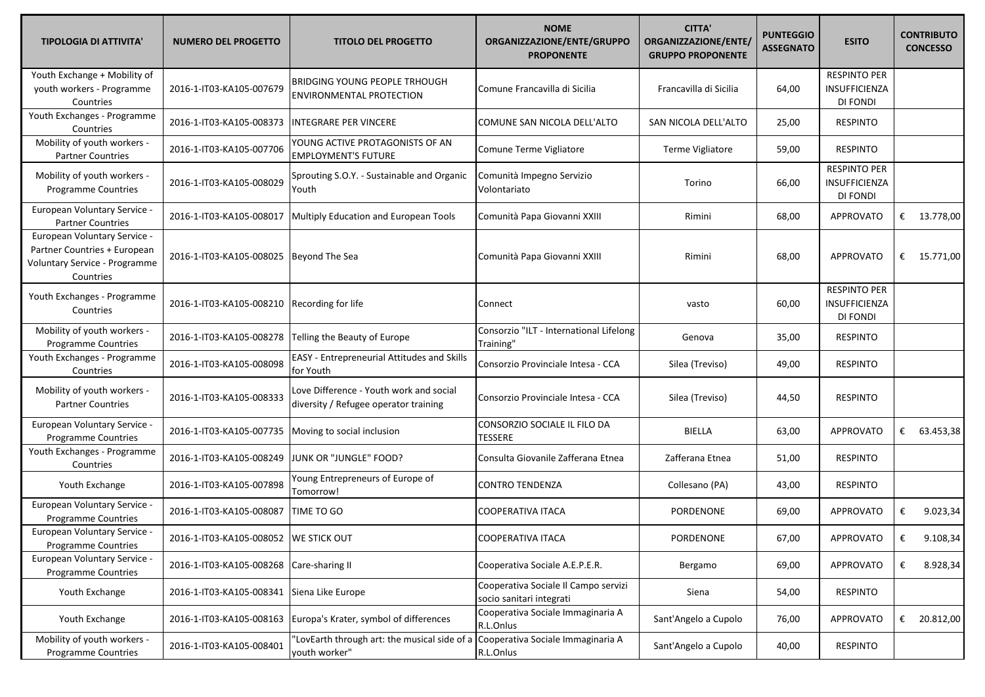| <b>TIPOLOGIA DI ATTIVITA'</b>                                                                              | <b>NUMERO DEL PROGETTO</b>            | <b>TITOLO DEL PROGETTO</b>                                                       | <b>NOME</b><br>ORGANIZZAZIONE/ENTE/GRUPPO<br><b>PROPONENTE</b>   | <b>CITTA'</b><br>ORGANIZZAZIONE/ENTE/<br><b>GRUPPO PROPONENTE</b> | <b>PUNTEGGIO</b><br><b>ASSEGNATO</b> | <b>ESITO</b>                                     | <b>CONTRIBUTO</b><br><b>CONCESSO</b> |
|------------------------------------------------------------------------------------------------------------|---------------------------------------|----------------------------------------------------------------------------------|------------------------------------------------------------------|-------------------------------------------------------------------|--------------------------------------|--------------------------------------------------|--------------------------------------|
| Youth Exchange + Mobility of<br>youth workers - Programme<br>Countries                                     | 2016-1-IT03-KA105-007679              | <b>BRIDGING YOUNG PEOPLE TRHOUGH</b><br><b>ENVIRONMENTAL PROTECTION</b>          | Comune Francavilla di Sicilia                                    | Francavilla di Sicilia                                            | 64,00                                | <b>RESPINTO PER</b><br>INSUFFICIENZA<br>DI FONDI |                                      |
| Youth Exchanges - Programme<br>Countries                                                                   | 2016-1-IT03-KA105-008373              | <b>INTEGRARE PER VINCERE</b>                                                     | COMUNE SAN NICOLA DELL'ALTO                                      | SAN NICOLA DELL'ALTO                                              | 25,00                                | <b>RESPINTO</b>                                  |                                      |
| Mobility of youth workers -<br><b>Partner Countries</b>                                                    | 2016-1-IT03-KA105-007706              | YOUNG ACTIVE PROTAGONISTS OF AN<br><b>EMPLOYMENT'S FUTURE</b>                    | Comune Terme Vigliatore                                          | Terme Vigliatore                                                  | 59,00                                | <b>RESPINTO</b>                                  |                                      |
| Mobility of youth workers -<br>Programme Countries                                                         | 2016-1-IT03-KA105-008029              | Sprouting S.O.Y. - Sustainable and Organic<br>Youth                              | Comunità Impegno Servizio<br>Volontariato                        | Torino                                                            | 66,00                                | <b>RESPINTO PER</b><br>INSUFFICIENZA<br>DI FONDI |                                      |
| <b>European Voluntary Service -</b><br><b>Partner Countries</b>                                            | 2016-1-IT03-KA105-008017              | Multiply Education and European Tools                                            | Comunità Papa Giovanni XXIII                                     | Rimini                                                            | 68,00                                | <b>APPROVATO</b>                                 | € 13.778,00                          |
| European Voluntary Service -<br>Partner Countries + European<br>Voluntary Service - Programme<br>Countries | 2016-1-IT03-KA105-008025              | <b>Beyond The Sea</b>                                                            | Comunità Papa Giovanni XXIII                                     | Rimini                                                            | 68,00                                | <b>APPROVATO</b>                                 | € $15.771,00$                        |
| Youth Exchanges - Programme<br>Countries                                                                   | 2016-1-IT03-KA105-008210              | Recording for life                                                               | Connect                                                          | vasto                                                             | 60,00                                | <b>RESPINTO PER</b><br>INSUFFICIENZA<br>DI FONDI |                                      |
| Mobility of youth workers -<br>Programme Countries                                                         | 2016-1-IT03-KA105-008278              | Telling the Beauty of Europe                                                     | Consorzio "ILT - International Lifelong<br>Training"             | Genova                                                            | 35,00                                | <b>RESPINTO</b>                                  |                                      |
| Youth Exchanges - Programme<br>Countries                                                                   | 2016-1-IT03-KA105-008098              | <b>EASY</b> - Entrepreneurial Attitudes and Skills<br>for Youth                  | Consorzio Provinciale Intesa - CCA                               | Silea (Treviso)                                                   | 49,00                                | <b>RESPINTO</b>                                  |                                      |
| Mobility of youth workers -<br><b>Partner Countries</b>                                                    | 2016-1-IT03-KA105-008333              | Love Difference - Youth work and social<br>diversity / Refugee operator training | Consorzio Provinciale Intesa - CCA                               | Silea (Treviso)                                                   | 44,50                                | <b>RESPINTO</b>                                  |                                      |
| European Voluntary Service -<br>Programme Countries                                                        | 2016-1-IT03-KA105-007735              | Moving to social inclusion                                                       | CONSORZIO SOCIALE IL FILO DA<br><b>TESSERE</b>                   | BIELLA                                                            | 63,00                                | <b>APPROVATO</b>                                 | € 63.453,38                          |
| Youth Exchanges - Programme<br>Countries                                                                   | 2016-1-IT03-KA105-008249              | JUNK OR "JUNGLE" FOOD?                                                           | Consulta Giovanile Zafferana Etnea                               | Zafferana Etnea                                                   | 51,00                                | <b>RESPINTO</b>                                  |                                      |
| Youth Exchange                                                                                             | 2016-1-IT03-KA105-007898              | Young Entrepreneurs of Europe of<br>Tomorrow!                                    | <b>CONTRO TENDENZA</b>                                           | Collesano (PA)                                                    | 43,00                                | <b>RESPINTO</b>                                  |                                      |
| European Voluntary Service -<br>Programme Countries                                                        | 2016-1-IT03-KA105-008087              | TIME TO GO                                                                       | <b>COOPERATIVA ITACA</b>                                         | PORDENONE                                                         | 69,00                                | <b>APPROVATO</b>                                 | €<br>9.023,34                        |
| <b>European Voluntary Service -</b><br>Programme Countries                                                 | 2016-1-IT03-KA105-008052 WE STICK OUT |                                                                                  | COOPERATIVA ITACA                                                | PORDENONE                                                         | 67,00                                | APPROVATO                                        | 9.108,34                             |
| European Voluntary Service -<br>Programme Countries                                                        | 2016-1-IT03-KA105-008268              | Care-sharing II                                                                  | Cooperativa Sociale A.E.P.E.R.                                   | Bergamo                                                           | 69,00                                | APPROVATO                                        | 8.928,34<br>€                        |
| Youth Exchange                                                                                             | 2016-1-IT03-KA105-008341              | Siena Like Europe                                                                | Cooperativa Sociale Il Campo servizi<br>socio sanitari integrati | Siena                                                             | 54,00                                | <b>RESPINTO</b>                                  |                                      |
| Youth Exchange                                                                                             | 2016-1-IT03-KA105-008163              | Europa's Krater, symbol of differences                                           | Cooperativa Sociale Immaginaria A<br>R.L.Onlus                   | Sant'Angelo a Cupolo                                              | 76,00                                | APPROVATO                                        | € 20.812,00                          |
| Mobility of youth workers -<br>Programme Countries                                                         | 2016-1-IT03-KA105-008401              | 'LovEarth through art: the musical side of a<br>youth worker"                    | Cooperativa Sociale Immaginaria A<br>R.L.Onlus                   | Sant'Angelo a Cupolo                                              | 40,00                                | <b>RESPINTO</b>                                  |                                      |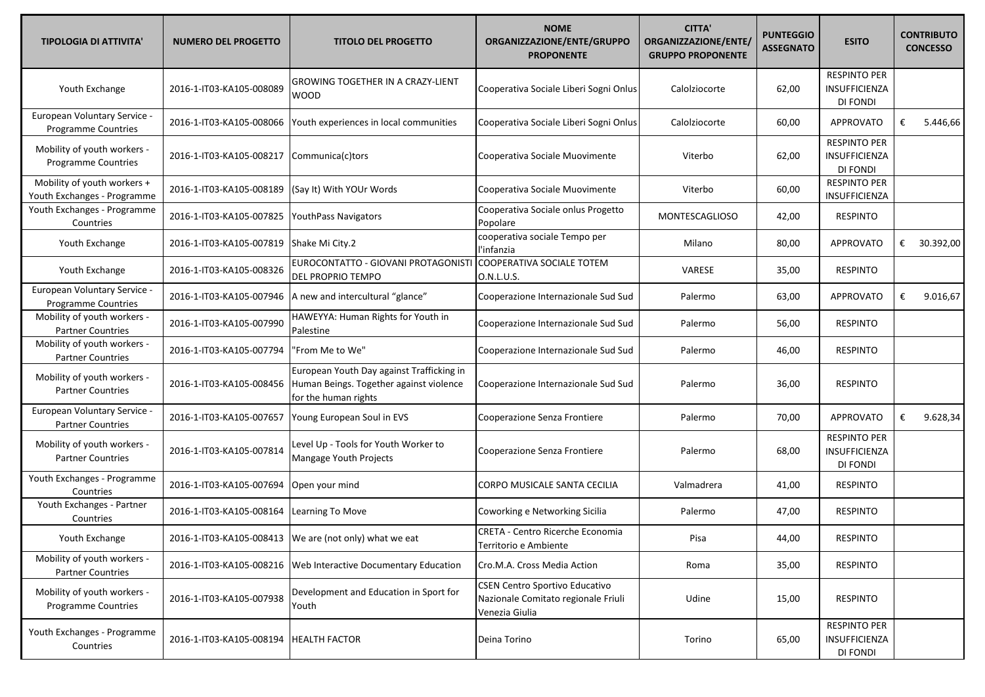| <b>TIPOLOGIA DI ATTIVITA'</b>                              | <b>NUMERO DEL PROGETTO</b> | <b>TITOLO DEL PROGETTO</b>                                                                                   | <b>NOME</b><br>ORGANIZZAZIONE/ENTE/GRUPPO<br><b>PROPONENTE</b>                                 | <b>CITTA'</b><br>ORGANIZZAZIONE/ENTE/<br><b>GRUPPO PROPONENTE</b> | <b>PUNTEGGIO</b><br><b>ASSEGNATO</b> | <b>ESITO</b>                                            | <b>CONTRIBUTO</b><br><b>CONCESSO</b> |
|------------------------------------------------------------|----------------------------|--------------------------------------------------------------------------------------------------------------|------------------------------------------------------------------------------------------------|-------------------------------------------------------------------|--------------------------------------|---------------------------------------------------------|--------------------------------------|
| Youth Exchange                                             | 2016-1-IT03-KA105-008089   | GROWING TOGETHER IN A CRAZY-LIENT<br><b>WOOD</b>                                                             | Cooperativa Sociale Liberi Sogni Onlus                                                         | Calolziocorte                                                     | 62,00                                | <b>RESPINTO PER</b><br>INSUFFICIENZA<br>DI FONDI        |                                      |
| European Voluntary Service -<br>Programme Countries        | 2016-1-IT03-KA105-008066   | Youth experiences in local communities                                                                       | Cooperativa Sociale Liberi Sogni Onlus                                                         | Calolziocorte                                                     | 60,00                                | <b>APPROVATO</b>                                        | 5.446,66<br>€                        |
| Mobility of youth workers -<br>Programme Countries         | 2016-1-IT03-KA105-008217   | Communica(c)tors                                                                                             | Cooperativa Sociale Muovimente                                                                 | Viterbo                                                           | 62,00                                | <b>RESPINTO PER</b><br>INSUFFICIENZA<br>DI FONDI        |                                      |
| Mobility of youth workers +<br>Youth Exchanges - Programme | 2016-1-IT03-KA105-008189   | (Say It) With YOUr Words                                                                                     | Cooperativa Sociale Muovimente                                                                 | Viterbo                                                           | 60,00                                | <b>RESPINTO PER</b><br>INSUFFICIENZA                    |                                      |
| Youth Exchanges - Programme<br>Countries                   | 2016-1-IT03-KA105-007825   | <b>YouthPass Navigators</b>                                                                                  | Cooperativa Sociale onlus Progetto<br>Popolare                                                 | <b>MONTESCAGLIOSO</b>                                             | 42,00                                | <b>RESPINTO</b>                                         |                                      |
| Youth Exchange                                             | 2016-1-IT03-KA105-007819   | Shake Mi City.2                                                                                              | cooperativa sociale Tempo per<br>l'infanzia                                                    | Milano                                                            | 80,00                                | <b>APPROVATO</b>                                        | 30.392,00<br>€                       |
| Youth Exchange                                             | 2016-1-IT03-KA105-008326   | EUROCONTATTO - GIOVANI PROTAGONISTI<br>DEL PROPRIO TEMPO                                                     | COOPERATIVA SOCIALE TOTEM<br>O.N.L.U.S.                                                        | VARESE                                                            | 35,00                                | <b>RESPINTO</b>                                         |                                      |
| European Voluntary Service -<br>Programme Countries        | 2016-1-IT03-KA105-007946   | A new and intercultural "glance"                                                                             | Cooperazione Internazionale Sud Sud                                                            | Palermo                                                           | 63,00                                | <b>APPROVATO</b>                                        | 9.016,67<br>€                        |
| Mobility of youth workers -<br><b>Partner Countries</b>    | 2016-1-IT03-KA105-007990   | HAWEYYA: Human Rights for Youth in<br>Palestine                                                              | Cooperazione Internazionale Sud Sud                                                            | Palermo                                                           | 56,00                                | <b>RESPINTO</b>                                         |                                      |
| Mobility of youth workers -<br><b>Partner Countries</b>    | 2016-1-IT03-KA105-007794   | "From Me to We"                                                                                              | Cooperazione Internazionale Sud Sud                                                            | Palermo                                                           | 46,00                                | <b>RESPINTO</b>                                         |                                      |
| Mobility of youth workers -<br><b>Partner Countries</b>    | 2016-1-IT03-KA105-008456   | European Youth Day against Trafficking in<br>Human Beings. Together against violence<br>for the human rights | Cooperazione Internazionale Sud Sud                                                            | Palermo                                                           | 36,00                                | <b>RESPINTO</b>                                         |                                      |
| European Voluntary Service -<br><b>Partner Countries</b>   | 2016-1-IT03-KA105-007657   | Young European Soul in EVS                                                                                   | Cooperazione Senza Frontiere                                                                   | Palermo                                                           | 70,00                                | <b>APPROVATO</b>                                        | 9.628,34<br>€                        |
| Mobility of youth workers -<br><b>Partner Countries</b>    | 2016-1-IT03-KA105-007814   | Level Up - Tools for Youth Worker to<br>Mangage Youth Projects                                               | Cooperazione Senza Frontiere                                                                   | Palermo                                                           | 68,00                                | <b>RESPINTO PER</b><br>INSUFFICIENZA<br>DI FONDI        |                                      |
| Youth Exchanges - Programme<br>Countries                   | 2016-1-IT03-KA105-007694   | Open your mind                                                                                               | CORPO MUSICALE SANTA CECILIA                                                                   | Valmadrera                                                        | 41,00                                | <b>RESPINTO</b>                                         |                                      |
| Youth Exchanges - Partner<br>Countries                     | 2016-1-IT03-KA105-008164   | Learning To Move                                                                                             | Coworking e Networking Sicilia                                                                 | Palermo                                                           | 47,00                                | <b>RESPINTO</b>                                         |                                      |
| Youth Exchange                                             |                            | 2016-1-IT03-KA105-008413  We are (not only) what we eat                                                      | <b>CRETA - Centro Ricerche Economia</b><br>Territorio e Ambiente                               | Pisa                                                              | 44,00                                | <b>RESPINTO</b>                                         |                                      |
| Mobility of youth workers -<br><b>Partner Countries</b>    | 2016-1-IT03-KA105-008216   | Web Interactive Documentary Education                                                                        | Cro.M.A. Cross Media Action                                                                    | Roma                                                              | 35,00                                | <b>RESPINTO</b>                                         |                                      |
| Mobility of youth workers -<br>Programme Countries         | 2016-1-IT03-KA105-007938   | Development and Education in Sport for<br>Youth                                                              | <b>CSEN Centro Sportivo Educativo</b><br>Nazionale Comitato regionale Friuli<br>Venezia Giulia | Udine                                                             | 15,00                                | <b>RESPINTO</b>                                         |                                      |
| Youth Exchanges - Programme<br>Countries                   | 2016-1-IT03-KA105-008194   | <b>HEALTH FACTOR</b>                                                                                         | Deina Torino                                                                                   | Torino                                                            | 65,00                                | <b>RESPINTO PER</b><br><b>INSUFFICIENZA</b><br>DI FONDI |                                      |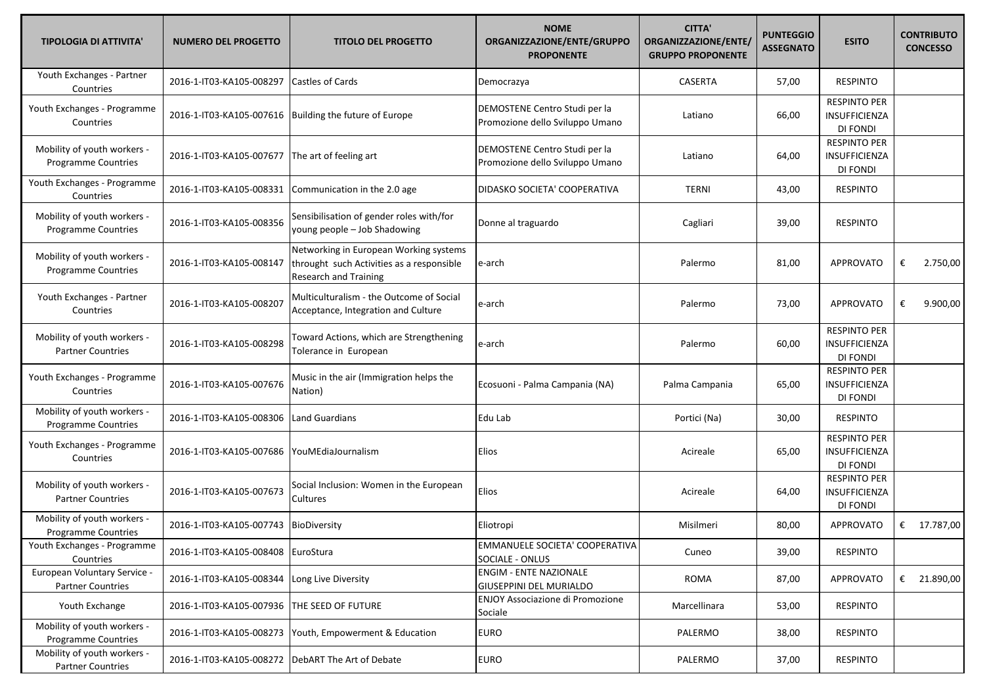| <b>TIPOLOGIA DI ATTIVITA'</b>                             | <b>NUMERO DEL PROGETTO</b>                        | <b>TITOLO DEL PROGETTO</b>                                                                                          | <b>NOME</b><br>ORGANIZZAZIONE/ENTE/GRUPPO<br><b>PROPONENTE</b>   | <b>CITTA'</b><br>ORGANIZZAZIONE/ENTE/<br><b>GRUPPO PROPONENTE</b> | <b>PUNTEGGIO</b><br><b>ASSEGNATO</b> | <b>ESITO</b>                                     |   | <b>CONTRIBUTO</b><br><b>CONCESSO</b> |
|-----------------------------------------------------------|---------------------------------------------------|---------------------------------------------------------------------------------------------------------------------|------------------------------------------------------------------|-------------------------------------------------------------------|--------------------------------------|--------------------------------------------------|---|--------------------------------------|
| Youth Exchanges - Partner<br>Countries                    | 2016-1-IT03-KA105-008297                          | <b>Castles of Cards</b>                                                                                             | Democrazya                                                       | <b>CASERTA</b>                                                    | 57,00                                | <b>RESPINTO</b>                                  |   |                                      |
| Youth Exchanges - Programme<br>Countries                  | 2016-1-IT03-KA105-007616                          | Building the future of Europe                                                                                       | DEMOSTENE Centro Studi per la<br>Promozione dello Sviluppo Umano | Latiano                                                           | 66,00                                | <b>RESPINTO PER</b><br>INSUFFICIENZA<br>DI FONDI |   |                                      |
| Mobility of youth workers -<br>Programme Countries        | 2016-1-IT03-KA105-007677                          | The art of feeling art                                                                                              | DEMOSTENE Centro Studi per la<br>Promozione dello Sviluppo Umano | Latiano                                                           | 64,00                                | <b>RESPINTO PER</b><br>INSUFFICIENZA<br>DI FONDI |   |                                      |
| Youth Exchanges - Programme<br>Countries                  | 2016-1-IT03-KA105-008331                          | Communication in the 2.0 age                                                                                        | DIDASKO SOCIETA' COOPERATIVA                                     | <b>TERNI</b>                                                      | 43,00                                | <b>RESPINTO</b>                                  |   |                                      |
| Mobility of youth workers -<br>Programme Countries        | 2016-1-IT03-KA105-008356                          | Sensibilisation of gender roles with/for<br>young people - Job Shadowing                                            | Donne al traguardo                                               | Cagliari                                                          | 39,00                                | <b>RESPINTO</b>                                  |   |                                      |
| Mobility of youth workers -<br><b>Programme Countries</b> | 2016-1-IT03-KA105-008147                          | Networking in European Working systems<br>throught such Activities as a responsible<br><b>Research and Training</b> | e-arch                                                           | Palermo                                                           | 81,00                                | <b>APPROVATO</b>                                 | € | 2.750,00                             |
| Youth Exchanges - Partner<br>Countries                    | 2016-1-IT03-KA105-008207                          | Multiculturalism - the Outcome of Social<br>Acceptance, Integration and Culture                                     | e-arch                                                           | Palermo                                                           | 73,00                                | <b>APPROVATO</b>                                 | € | 9.900,00                             |
| Mobility of youth workers -<br><b>Partner Countries</b>   | 2016-1-IT03-KA105-008298                          | Toward Actions, which are Strengthening<br>Tolerance in European                                                    | e-arch                                                           | Palermo                                                           | 60,00                                | <b>RESPINTO PER</b><br>INSUFFICIENZA<br>DI FONDI |   |                                      |
| Youth Exchanges - Programme<br>Countries                  | 2016-1-IT03-KA105-007676                          | Music in the air (Immigration helps the<br>Nation)                                                                  | Ecosuoni - Palma Campania (NA)                                   | Palma Campania                                                    | 65,00                                | <b>RESPINTO PER</b><br>INSUFFICIENZA<br>DI FONDI |   |                                      |
| Mobility of youth workers -<br>Programme Countries        | 2016-1-IT03-KA105-008306                          | Land Guardians                                                                                                      | Edu Lab                                                          | Portici (Na)                                                      | 30,00                                | <b>RESPINTO</b>                                  |   |                                      |
| Youth Exchanges - Programme<br>Countries                  | 2016-1-IT03-KA105-007686                          | YouMEdiaJournalism                                                                                                  | Elios                                                            | Acireale                                                          | 65,00                                | <b>RESPINTO PER</b><br>INSUFFICIENZA<br>DI FONDI |   |                                      |
| Mobility of youth workers -<br><b>Partner Countries</b>   | 2016-1-IT03-KA105-007673                          | Social Inclusion: Women in the European<br>Cultures                                                                 | Elios                                                            | Acireale                                                          | 64,00                                | <b>RESPINTO PER</b><br>INSUFFICIENZA<br>DI FONDI |   |                                      |
| Mobility of youth workers -<br><b>Programme Countries</b> | 2016-1-IT03-KA105-007743                          | BioDiversity                                                                                                        | Eliotropi                                                        | Misilmeri                                                         | 80,00                                | <b>APPROVATO</b>                                 |   | € 17.787,00                          |
| Youth Exchanges - Programme<br>Countries                  | 2016-1-IT03-KA105-008408 EuroStura                |                                                                                                                     | EMMANUELE SOCIETA' COOPERATIVA<br>SOCIALE - ONLUS                | Cuneo                                                             | 39,00                                | <b>RESPINTO</b>                                  |   |                                      |
| European Voluntary Service -<br><b>Partner Countries</b>  | 2016-1-IT03-KA105-008344                          | Long Live Diversity                                                                                                 | <b>ENGIM - ENTE NAZIONALE</b><br>GIUSEPPINI DEL MURIALDO         | ROMA                                                              | 87,00                                | <b>APPROVATO</b>                                 |   | € 21.890,00                          |
| Youth Exchange                                            | 2016-1-IT03-KA105-007936                          | THE SEED OF FUTURE                                                                                                  | ENJOY Associazione di Promozione<br>Sociale                      | Marcellinara                                                      | 53,00                                | <b>RESPINTO</b>                                  |   |                                      |
| Mobility of youth workers -<br>Programme Countries        | 2016-1-IT03-KA105-008273                          | Youth, Empowerment & Education                                                                                      | <b>EURO</b>                                                      | PALERMO                                                           | 38,00                                | <b>RESPINTO</b>                                  |   |                                      |
| Mobility of youth workers -<br><b>Partner Countries</b>   | 2016-1-IT03-KA105-008272 DebART The Art of Debate |                                                                                                                     | <b>EURO</b>                                                      | PALERMO                                                           | 37,00                                | <b>RESPINTO</b>                                  |   |                                      |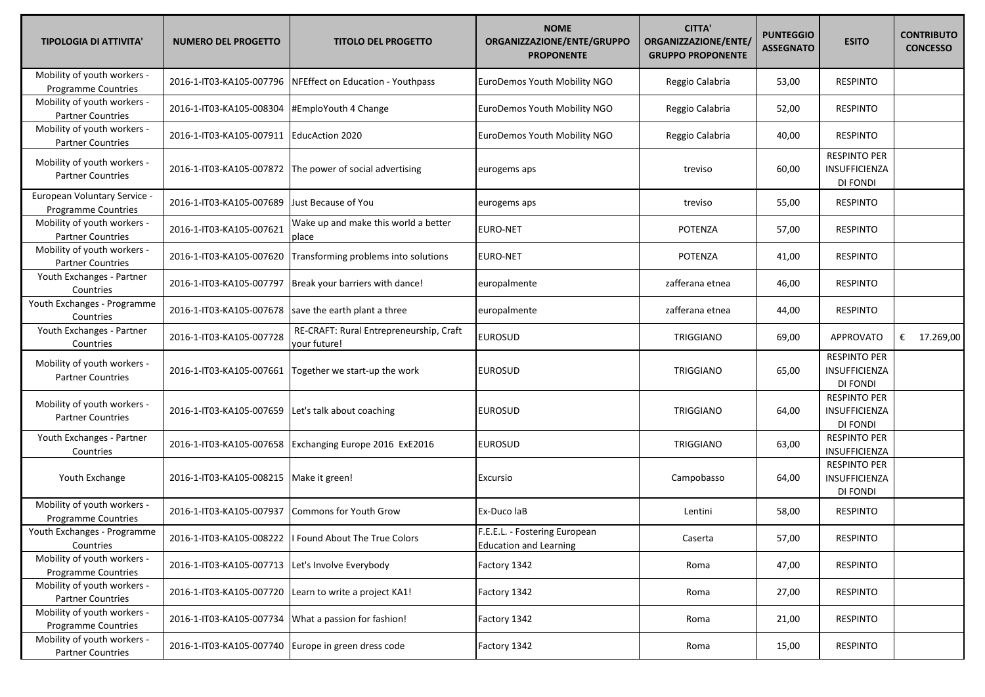| <b>TIPOLOGIA DI ATTIVITA'</b>                             | <b>NUMERO DEL PROGETTO</b> | <b>TITOLO DEL PROGETTO</b>                              | <b>NOME</b><br>ORGANIZZAZIONE/ENTE/GRUPPO<br><b>PROPONENTE</b> | <b>CITTA'</b><br>ORGANIZZAZIONE/ENTE/<br><b>GRUPPO PROPONENTE</b> | <b>PUNTEGGIO</b><br><b>ASSEGNATO</b> | <b>ESITO</b>                                            | <b>CONTRIBUTO</b><br><b>CONCESSO</b> |
|-----------------------------------------------------------|----------------------------|---------------------------------------------------------|----------------------------------------------------------------|-------------------------------------------------------------------|--------------------------------------|---------------------------------------------------------|--------------------------------------|
| Mobility of youth workers -<br><b>Programme Countries</b> | 2016-1-IT03-KA105-007796   | NFEffect on Education - Youthpass                       | <b>EuroDemos Youth Mobility NGO</b>                            | Reggio Calabria                                                   | 53,00                                | <b>RESPINTO</b>                                         |                                      |
| Mobility of youth workers -<br><b>Partner Countries</b>   | 2016-1-IT03-KA105-008304   | #EmploYouth 4 Change                                    | EuroDemos Youth Mobility NGO                                   | Reggio Calabria                                                   | 52,00                                | <b>RESPINTO</b>                                         |                                      |
| Mobility of youth workers -<br><b>Partner Countries</b>   | 2016-1-IT03-KA105-007911   | <b>EducAction 2020</b>                                  | <b>EuroDemos Youth Mobility NGO</b>                            | Reggio Calabria                                                   | 40,00                                | <b>RESPINTO</b>                                         |                                      |
| Mobility of youth workers -<br><b>Partner Countries</b>   | 2016-1-IT03-KA105-007872   | The power of social advertising                         | eurogems aps                                                   | treviso                                                           | 60,00                                | <b>RESPINTO PER</b><br><b>INSUFFICIENZA</b><br>DI FONDI |                                      |
| European Voluntary Service -<br>Programme Countries       | 2016-1-IT03-KA105-007689   | Just Because of You                                     | eurogems aps                                                   | treviso                                                           | 55,00                                | <b>RESPINTO</b>                                         |                                      |
| Mobility of youth workers -<br><b>Partner Countries</b>   | 2016-1-IT03-KA105-007621   | Wake up and make this world a better<br>place           | <b>EURO-NET</b>                                                | POTENZA                                                           | 57,00                                | <b>RESPINTO</b>                                         |                                      |
| Mobility of youth workers -<br><b>Partner Countries</b>   | 2016-1-IT03-KA105-007620   | Transforming problems into solutions                    | <b>EURO-NET</b>                                                | <b>POTENZA</b>                                                    | 41,00                                | <b>RESPINTO</b>                                         |                                      |
| Youth Exchanges - Partner<br>Countries                    | 2016-1-IT03-KA105-007797   | Break your barriers with dance!                         | europalmente                                                   | zafferana etnea                                                   | 46,00                                | <b>RESPINTO</b>                                         |                                      |
| Youth Exchanges - Programme<br>Countries                  | 2016-1-IT03-KA105-007678   | save the earth plant a three                            | europalmente                                                   | zafferana etnea                                                   | 44,00                                | <b>RESPINTO</b>                                         |                                      |
| Youth Exchanges - Partner<br>Countries                    | 2016-1-IT03-KA105-007728   | RE-CRAFT: Rural Entrepreneurship, Craft<br>vour future! | <b>EUROSUD</b>                                                 | TRIGGIANO                                                         | 69,00                                | <b>APPROVATO</b>                                        | € $17.269,00$                        |
| Mobility of youth workers -<br><b>Partner Countries</b>   | 2016-1-IT03-KA105-007661   | Together we start-up the work                           | <b>EUROSUD</b>                                                 | TRIGGIANO                                                         | 65,00                                | <b>RESPINTO PER</b><br><b>INSUFFICIENZA</b><br>DI FONDI |                                      |
| Mobility of youth workers -<br><b>Partner Countries</b>   | 2016-1-IT03-KA105-007659   | Let's talk about coaching                               | <b>EUROSUD</b>                                                 | TRIGGIANO                                                         | 64,00                                | <b>RESPINTO PER</b><br>INSUFFICIENZA<br>DI FONDI        |                                      |
| Youth Exchanges - Partner<br>Countries                    | 2016-1-IT03-KA105-007658   | Exchanging Europe 2016 ExE2016                          | <b>EUROSUD</b>                                                 | TRIGGIANO                                                         | 63,00                                | <b>RESPINTO PER</b><br>INSUFFICIENZA                    |                                      |
| Youth Exchange                                            | 2016-1-IT03-KA105-008215   | Make it green!                                          | Excursio                                                       | Campobasso                                                        | 64,00                                | <b>RESPINTO PER</b><br>INSUFFICIENZA<br>DI FONDI        |                                      |
| Mobility of youth workers -<br>Programme Countries        | 2016-1-IT03-KA105-007937   | <b>Commons for Youth Grow</b>                           | Ex-Duco laB                                                    | Lentini                                                           | 58,00                                | <b>RESPINTO</b>                                         |                                      |
| Youth Exchanges - Programme<br>Countries                  | 2016-1-IT03-KA105-008222   | I Found About The True Colors                           | F.E.E.L. - Fostering European<br><b>Education and Learning</b> | Caserta                                                           | 57,00                                | RESPINTO                                                |                                      |
| Mobility of youth workers -<br><b>Programme Countries</b> | 2016-1-IT03-KA105-007713   | Let's Involve Everybody                                 | Factory 1342                                                   | Roma                                                              | 47,00                                | <b>RESPINTO</b>                                         |                                      |
| Mobility of youth workers -<br><b>Partner Countries</b>   | 2016-1-IT03-KA105-007720   | Learn to write a project KA1!                           | Factory 1342                                                   | Roma                                                              | 27,00                                | <b>RESPINTO</b>                                         |                                      |
| Mobility of youth workers -<br>Programme Countries        | 2016-1-IT03-KA105-007734   | What a passion for fashion!                             | Factory 1342                                                   | Roma                                                              | 21,00                                | <b>RESPINTO</b>                                         |                                      |
| Mobility of youth workers -<br><b>Partner Countries</b>   | 2016-1-IT03-KA105-007740   | Europe in green dress code                              | Factory 1342                                                   | Roma                                                              | 15,00                                | <b>RESPINTO</b>                                         |                                      |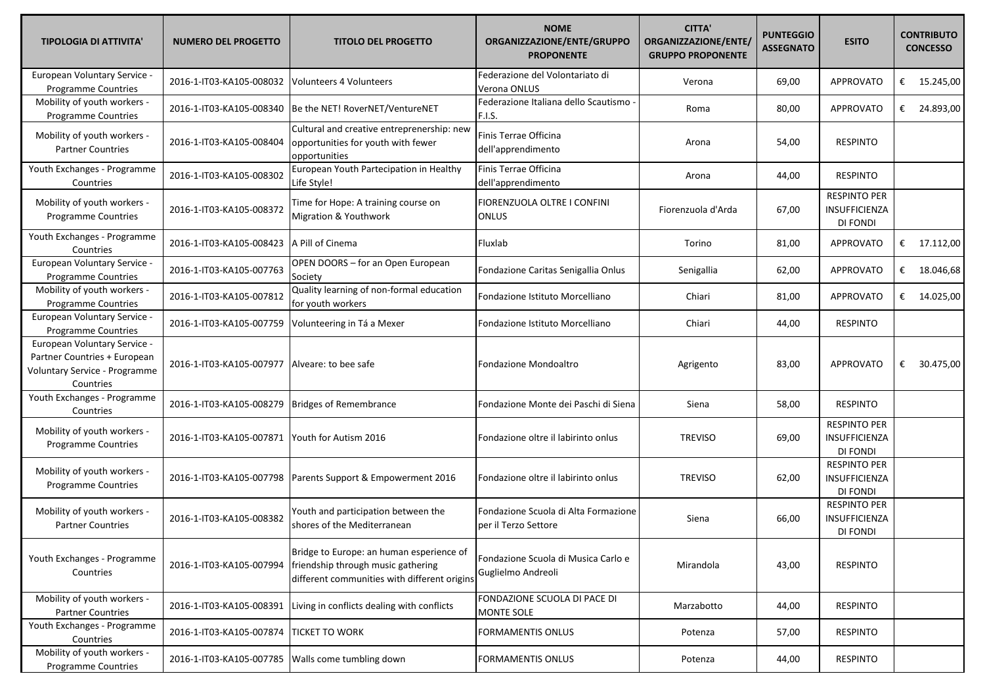| <b>TIPOLOGIA DI ATTIVITA'</b>                                                                              | <b>NUMERO DEL PROGETTO</b> | <b>TITOLO DEL PROGETTO</b>                                                                                                     | <b>NOME</b><br>ORGANIZZAZIONE/ENTE/GRUPPO<br><b>PROPONENTE</b> | <b>CITTA'</b><br>ORGANIZZAZIONE/ENTE/<br><b>GRUPPO PROPONENTE</b> | <b>PUNTEGGIO</b><br><b>ASSEGNATO</b> | <b>ESITO</b>                                                   |   | <b>CONTRIBUTO</b><br><b>CONCESSO</b> |
|------------------------------------------------------------------------------------------------------------|----------------------------|--------------------------------------------------------------------------------------------------------------------------------|----------------------------------------------------------------|-------------------------------------------------------------------|--------------------------------------|----------------------------------------------------------------|---|--------------------------------------|
| European Voluntary Service -<br><b>Programme Countries</b>                                                 | 2016-1-IT03-KA105-008032   | Volunteers 4 Volunteers                                                                                                        | Federazione del Volontariato di<br>Verona ONLUS                | Verona                                                            | 69,00                                | <b>APPROVATO</b>                                               |   | € $15.245,00$                        |
| Mobility of youth workers -<br><b>Programme Countries</b>                                                  | 2016-1-IT03-KA105-008340   | Be the NET! RoverNET/VentureNET                                                                                                | Federazione Italiana dello Scautismo<br>F.I.S.                 | Roma                                                              | 80,00                                | APPROVATO                                                      | € | 24.893,00                            |
| Mobility of youth workers -<br><b>Partner Countries</b>                                                    | 2016-1-IT03-KA105-008404   | Cultural and creative entreprenership: new<br>opportunities for youth with fewer<br>opportunities                              | Finis Terrae Officina<br>dell'apprendimento                    | Arona                                                             | 54,00                                | <b>RESPINTO</b>                                                |   |                                      |
| Youth Exchanges - Programme<br>Countries                                                                   | 2016-1-IT03-KA105-008302   | European Youth Partecipation in Healthy<br>Life Style!                                                                         | Finis Terrae Officina<br>dell'apprendimento                    | Arona                                                             | 44,00                                | <b>RESPINTO</b>                                                |   |                                      |
| Mobility of youth workers -<br>Programme Countries                                                         | 2016-1-IT03-KA105-008372   | Time for Hope: A training course on<br>Migration & Youthwork                                                                   | FIORENZUOLA OLTRE I CONFINI<br><b>ONLUS</b>                    | Fiorenzuola d'Arda                                                | 67,00                                | <b>RESPINTO PER</b><br><b>INSUFFICIENZA</b><br><b>DI FONDI</b> |   |                                      |
| Youth Exchanges - Programme<br>Countries                                                                   | 2016-1-IT03-KA105-008423   | A Pill of Cinema                                                                                                               | Fluxlab                                                        | Torino                                                            | 81,00                                | APPROVATO                                                      |   | € $17.112,00$                        |
| European Voluntary Service -<br>Programme Countries                                                        | 2016-1-IT03-KA105-007763   | OPEN DOORS - for an Open European<br>Society                                                                                   | Fondazione Caritas Senigallia Onlus                            | Senigallia                                                        | 62,00                                | <b>APPROVATO</b>                                               |   | € 18.046,68                          |
| Mobility of youth workers -<br><b>Programme Countries</b>                                                  | 2016-1-IT03-KA105-007812   | Quality learning of non-formal education<br>for youth workers                                                                  | Fondazione Istituto Morcelliano                                | Chiari                                                            | 81,00                                | <b>APPROVATO</b>                                               |   | € 14.025,00                          |
| European Voluntary Service -<br><b>Programme Countries</b>                                                 | 2016-1-IT03-KA105-007759   | Volunteering in Tá a Mexer                                                                                                     | Fondazione Istituto Morcelliano                                | Chiari                                                            | 44,00                                | <b>RESPINTO</b>                                                |   |                                      |
| European Voluntary Service -<br>Partner Countries + European<br>Voluntary Service - Programme<br>Countries | 2016-1-IT03-KA105-007977   | Alveare: to bee safe                                                                                                           | Fondazione Mondoaltro                                          | Agrigento                                                         | 83,00                                | APPROVATO                                                      | € | 30.475,00                            |
| Youth Exchanges - Programme<br>Countries                                                                   | 2016-1-IT03-KA105-008279   | Bridges of Remembrance                                                                                                         | Fondazione Monte dei Paschi di Siena                           | Siena                                                             | 58,00                                | <b>RESPINTO</b>                                                |   |                                      |
| Mobility of youth workers -<br><b>Programme Countries</b>                                                  | 2016-1-IT03-KA105-007871   | Youth for Autism 2016                                                                                                          | Fondazione oltre il labirinto onlus                            | <b>TREVISO</b>                                                    | 69,00                                | <b>RESPINTO PER</b><br>INSUFFICIENZA<br><b>DI FONDI</b>        |   |                                      |
| Mobility of youth workers -<br><b>Programme Countries</b>                                                  | 2016-1-IT03-KA105-007798   | Parents Support & Empowerment 2016                                                                                             | Fondazione oltre il labirinto onlus                            | <b>TREVISO</b>                                                    | 62,00                                | <b>RESPINTO PER</b><br><b>INSUFFICIENZA</b><br>DI FONDI        |   |                                      |
| Mobility of youth workers -<br><b>Partner Countries</b>                                                    | 2016-1-IT03-KA105-008382   | Youth and participation between the<br>shores of the Mediterranean                                                             | Fondazione Scuola di Alta Formazione<br>per il Terzo Settore   | Siena                                                             | 66,00                                | <b>RESPINTO PER</b><br>INSUFFICIENZA<br><b>DI FONDI</b>        |   |                                      |
| Youth Exchanges - Programme<br>Countries                                                                   | 2016-1-IT03-KA105-007994   | Bridge to Europe: an human esperience of<br>friendship through music gathering<br>different communities with different origins | Fondazione Scuola di Musica Carlo e<br>Guglielmo Andreoli      | Mirandola                                                         | 43,00                                | <b>RESPINTO</b>                                                |   |                                      |
| Mobility of youth workers -<br><b>Partner Countries</b>                                                    | 2016-1-IT03-KA105-008391   | Living in conflicts dealing with conflicts                                                                                     | FONDAZIONE SCUOLA DI PACE DI<br>MONTE SOLE                     | Marzabotto                                                        | 44,00                                | <b>RESPINTO</b>                                                |   |                                      |
| Youth Exchanges - Programme<br>Countries                                                                   | 2016-1-IT03-KA105-007874   | <b>TICKET TO WORK</b>                                                                                                          | <b>FORMAMENTIS ONLUS</b>                                       | Potenza                                                           | 57,00                                | <b>RESPINTO</b>                                                |   |                                      |
| Mobility of youth workers -<br>Programme Countries                                                         | 2016-1-IT03-KA105-007785   | Walls come tumbling down                                                                                                       | <b>FORMAMENTIS ONLUS</b>                                       | Potenza                                                           | 44,00                                | <b>RESPINTO</b>                                                |   |                                      |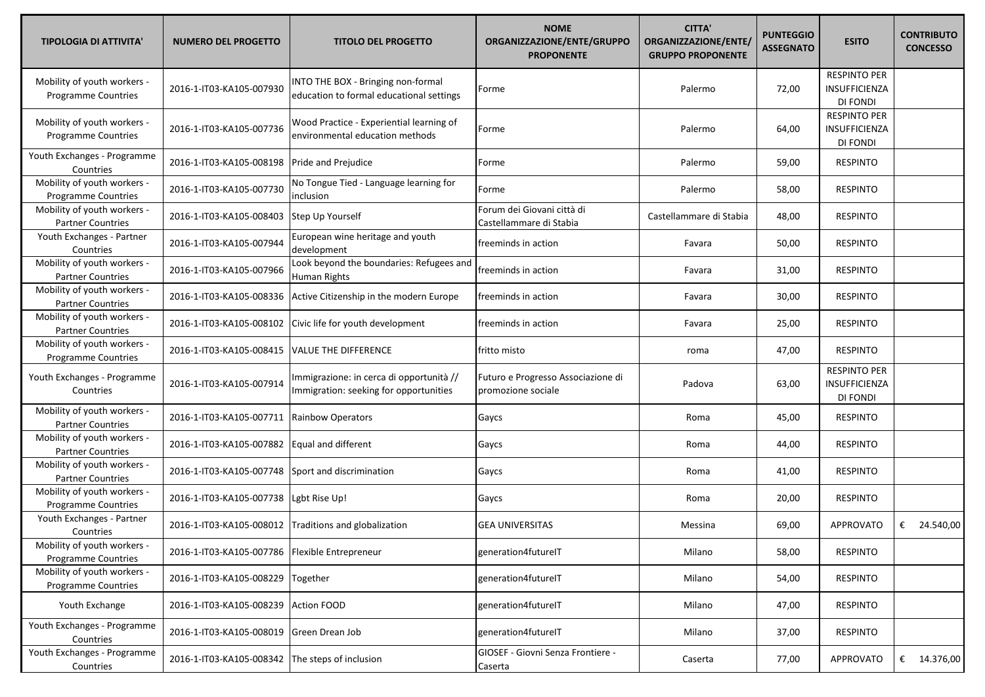| <b>TIPOLOGIA DI ATTIVITA'</b>                             | <b>NUMERO DEL PROGETTO</b> | <b>TITOLO DEL PROGETTO</b>                                                         | <b>NOME</b><br>ORGANIZZAZIONE/ENTE/GRUPPO<br><b>PROPONENTE</b> | <b>CITTA'</b><br>ORGANIZZAZIONE/ENTE/<br><b>GRUPPO PROPONENTE</b> | <b>PUNTEGGIO</b><br><b>ASSEGNATO</b> | <b>ESITO</b>                                     | <b>CONTRIBUTO</b><br><b>CONCESSO</b> |
|-----------------------------------------------------------|----------------------------|------------------------------------------------------------------------------------|----------------------------------------------------------------|-------------------------------------------------------------------|--------------------------------------|--------------------------------------------------|--------------------------------------|
| Mobility of youth workers -<br><b>Programme Countries</b> | 2016-1-IT03-KA105-007930   | INTO THE BOX - Bringing non-formal<br>education to formal educational settings     | Forme                                                          | Palermo                                                           | 72,00                                | <b>RESPINTO PER</b><br>INSUFFICIENZA<br>DI FONDI |                                      |
| Mobility of youth workers -<br><b>Programme Countries</b> | 2016-1-IT03-KA105-007736   | Wood Practice - Experiential learning of<br>environmental education methods        | Forme                                                          | Palermo                                                           | 64,00                                | <b>RESPINTO PER</b><br>INSUFFICIENZA<br>DI FONDI |                                      |
| Youth Exchanges - Programme<br>Countries                  | 2016-1-IT03-KA105-008198   | Pride and Prejudice                                                                | Forme                                                          | Palermo                                                           | 59,00                                | <b>RESPINTO</b>                                  |                                      |
| Mobility of youth workers -<br>Programme Countries        | 2016-1-IT03-KA105-007730   | No Tongue Tied - Language learning for<br>inclusion                                | Forme                                                          | Palermo                                                           | 58,00                                | <b>RESPINTO</b>                                  |                                      |
| Mobility of youth workers -<br><b>Partner Countries</b>   | 2016-1-IT03-KA105-008403   | Step Up Yourself                                                                   | Forum dei Giovani città di<br>Castellammare di Stabia          | Castellammare di Stabia                                           | 48,00                                | <b>RESPINTO</b>                                  |                                      |
| Youth Exchanges - Partner<br>Countries                    | 2016-1-IT03-KA105-007944   | European wine heritage and youth<br>development                                    | freeminds in action                                            | Favara                                                            | 50,00                                | <b>RESPINTO</b>                                  |                                      |
| Mobility of youth workers -<br><b>Partner Countries</b>   | 2016-1-IT03-KA105-007966   | Look beyond the boundaries: Refugees and<br>Human Rights                           | freeminds in action                                            | Favara                                                            | 31,00                                | <b>RESPINTO</b>                                  |                                      |
| Mobility of youth workers -<br><b>Partner Countries</b>   | 2016-1-IT03-KA105-008336   | Active Citizenship in the modern Europe                                            | freeminds in action                                            | Favara                                                            | 30,00                                | <b>RESPINTO</b>                                  |                                      |
| Mobility of youth workers -<br><b>Partner Countries</b>   | 2016-1-IT03-KA105-008102   | Civic life for youth development                                                   | freeminds in action                                            | Favara                                                            | 25,00                                | <b>RESPINTO</b>                                  |                                      |
| Mobility of youth workers -<br>Programme Countries        | 2016-1-IT03-KA105-008415   | VALUE THE DIFFERENCE                                                               | fritto misto                                                   | roma                                                              | 47,00                                | <b>RESPINTO</b>                                  |                                      |
| Youth Exchanges - Programme<br>Countries                  | 2016-1-IT03-KA105-007914   | Immigrazione: in cerca di opportunità //<br>Immigration: seeking for opportunities | Futuro e Progresso Associazione di<br>promozione sociale       | Padova                                                            | 63,00                                | <b>RESPINTO PER</b><br>INSUFFICIENZA<br>DI FONDI |                                      |
| Mobility of youth workers -<br><b>Partner Countries</b>   | 2016-1-IT03-KA105-007711   | <b>Rainbow Operators</b>                                                           | Gaycs                                                          | Roma                                                              | 45,00                                | <b>RESPINTO</b>                                  |                                      |
| Mobility of youth workers -<br><b>Partner Countries</b>   | 2016-1-IT03-KA105-007882   | Equal and different                                                                | Gaycs                                                          | Roma                                                              | 44,00                                | <b>RESPINTO</b>                                  |                                      |
| Mobility of youth workers -<br><b>Partner Countries</b>   | 2016-1-IT03-KA105-007748   | Sport and discrimination                                                           | Gaycs                                                          | Roma                                                              | 41,00                                | <b>RESPINTO</b>                                  |                                      |
| Mobility of youth workers -<br>Programme Countries        | 2016-1-IT03-KA105-007738   | Lgbt Rise Up!                                                                      | Gaycs                                                          | Roma                                                              | 20,00                                | <b>RESPINTO</b>                                  |                                      |
| Youth Exchanges - Partner<br>Countries                    | 2016-1-IT03-KA105-008012   | Traditions and globalization                                                       | <b>GEA UNIVERSITAS</b>                                         | Messina                                                           | 69,00                                | <b>APPROVATO</b>                                 | 24.540,00<br>€                       |
| Mobility of youth workers -<br><b>Programme Countries</b> | 2016-1-IT03-KA105-007786   | Flexible Entrepreneur                                                              | generation4futureIT                                            | Milano                                                            | 58,00                                | <b>RESPINTO</b>                                  |                                      |
| Mobility of youth workers -<br>Programme Countries        | 2016-1-IT03-KA105-008229   | Together                                                                           | generation4futureIT                                            | Milano                                                            | 54,00                                | <b>RESPINTO</b>                                  |                                      |
| Youth Exchange                                            | 2016-1-IT03-KA105-008239   | <b>Action FOOD</b>                                                                 | generation4futureIT                                            | Milano                                                            | 47,00                                | <b>RESPINTO</b>                                  |                                      |
| Youth Exchanges - Programme<br>Countries                  | 2016-1-IT03-KA105-008019   | Green Drean Job                                                                    | generation4futureIT                                            | Milano                                                            | 37,00                                | <b>RESPINTO</b>                                  |                                      |
| Youth Exchanges - Programme<br>Countries                  | 2016-1-IT03-KA105-008342   | The steps of inclusion                                                             | GIOSEF - Giovni Senza Frontiere -<br>Caserta                   | Caserta                                                           | 77,00                                | APPROVATO                                        | € $14.376,00$                        |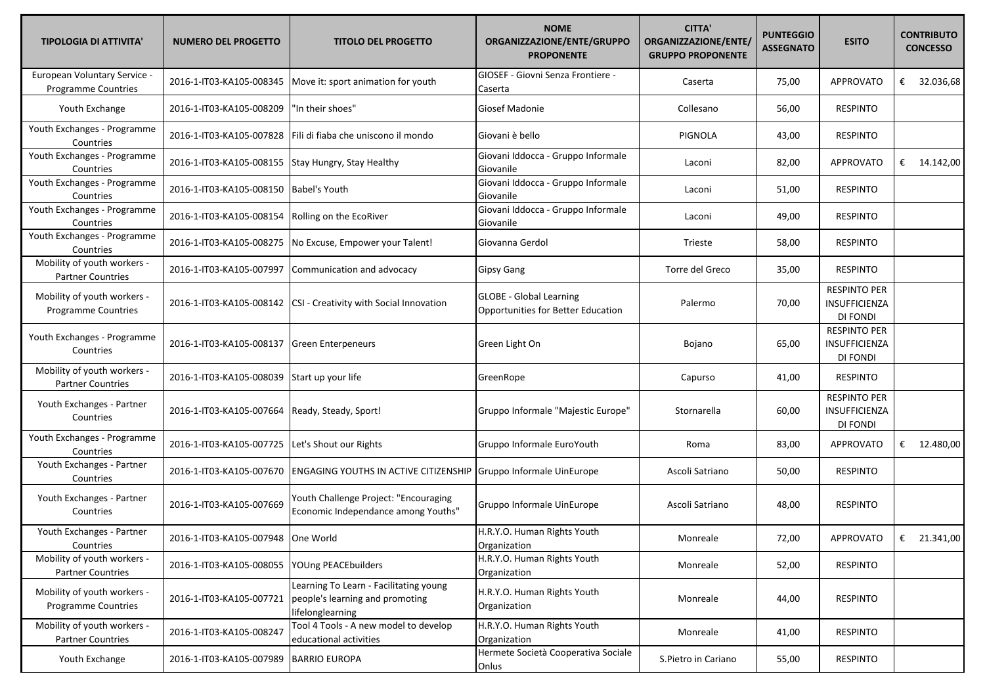| <b>TIPOLOGIA DI ATTIVITA'</b>                             | <b>NUMERO DEL PROGETTO</b>         | <b>TITOLO DEL PROGETTO</b>                                                                    | <b>NOME</b><br>ORGANIZZAZIONE/ENTE/GRUPPO<br><b>PROPONENTE</b>       | <b>CITTA'</b><br>ORGANIZZAZIONE/ENTE/<br><b>GRUPPO PROPONENTE</b> | <b>PUNTEGGIO</b><br><b>ASSEGNATO</b> | <b>ESITO</b>                                            | <b>CONTRIBUTO</b><br><b>CONCESSO</b> |
|-----------------------------------------------------------|------------------------------------|-----------------------------------------------------------------------------------------------|----------------------------------------------------------------------|-------------------------------------------------------------------|--------------------------------------|---------------------------------------------------------|--------------------------------------|
| European Voluntary Service -<br>Programme Countries       | 2016-1-IT03-KA105-008345           | Move it: sport animation for youth                                                            | GIOSEF - Giovni Senza Frontiere -<br>Caserta                         | Caserta                                                           | 75,00                                | <b>APPROVATO</b>                                        | €<br>32.036,68                       |
| Youth Exchange                                            | 2016-1-IT03-KA105-008209           | 'In their shoes"                                                                              | <b>Giosef Madonie</b>                                                | Collesano                                                         | 56,00                                | <b>RESPINTO</b>                                         |                                      |
| Youth Exchanges - Programme<br>Countries                  | 2016-1-IT03-KA105-007828           | Fili di fiaba che uniscono il mondo                                                           | Giovani è bello                                                      | <b>PIGNOLA</b>                                                    | 43,00                                | <b>RESPINTO</b>                                         |                                      |
| Youth Exchanges - Programme<br>Countries                  | 2016-1-IT03-KA105-008155           | Stay Hungry, Stay Healthy                                                                     | Giovani Iddocca - Gruppo Informale<br>Giovanile                      | Laconi                                                            | 82,00                                | <b>APPROVATO</b>                                        | € $14.142,00$                        |
| Youth Exchanges - Programme<br>Countries                  | 2016-1-IT03-KA105-008150           | <b>Babel's Youth</b>                                                                          | Giovani Iddocca - Gruppo Informale<br>Giovanile                      | Laconi                                                            | 51,00                                | <b>RESPINTO</b>                                         |                                      |
| Youth Exchanges - Programme<br>Countries                  | 2016-1-IT03-KA105-008154           | Rolling on the EcoRiver                                                                       | Giovani Iddocca - Gruppo Informale<br>Giovanile                      | Laconi                                                            | 49,00                                | <b>RESPINTO</b>                                         |                                      |
| Youth Exchanges - Programme<br>Countries                  | 2016-1-IT03-KA105-008275           | No Excuse, Empower your Talent!                                                               | Giovanna Gerdol                                                      | Trieste                                                           | 58,00                                | <b>RESPINTO</b>                                         |                                      |
| Mobility of youth workers -<br><b>Partner Countries</b>   | 2016-1-IT03-KA105-007997           | Communication and advocacy                                                                    | <b>Gipsy Gang</b>                                                    | Torre del Greco                                                   | 35,00                                | <b>RESPINTO</b>                                         |                                      |
| Mobility of youth workers -<br><b>Programme Countries</b> |                                    | 2016-1-IT03-KA105-008142  CSI - Creativity with Social Innovation                             | <b>GLOBE - Global Learning</b><br>Opportunities for Better Education | Palermo                                                           | 70,00                                | <b>RESPINTO PER</b><br><b>INSUFFICIENZA</b><br>DI FONDI |                                      |
| Youth Exchanges - Programme<br>Countries                  | 2016-1-IT03-KA105-008137           | <b>Green Enterpeneurs</b>                                                                     | Green Light On                                                       | Bojano                                                            | 65,00                                | <b>RESPINTO PER</b><br>INSUFFICIENZA<br>DI FONDI        |                                      |
| Mobility of youth workers -<br><b>Partner Countries</b>   | 2016-1-IT03-KA105-008039           | Start up your life                                                                            | GreenRope                                                            | Capurso                                                           | 41,00                                | <b>RESPINTO</b>                                         |                                      |
| Youth Exchanges - Partner<br>Countries                    | 2016-1-IT03-KA105-007664           | Ready, Steady, Sport!                                                                         | Gruppo Informale "Majestic Europe"                                   | Stornarella                                                       | 60,00                                | <b>RESPINTO PER</b><br>INSUFFICIENZA<br>DI FONDI        |                                      |
| Youth Exchanges - Programme<br>Countries                  | 2016-1-IT03-KA105-007725           | Let's Shout our Rights                                                                        | Gruppo Informale EuroYouth                                           | Roma                                                              | 83,00                                | <b>APPROVATO</b>                                        | € 12.480,00                          |
| Youth Exchanges - Partner<br>Countries                    | 2016-1-IT03-KA105-007670           | <b>ENGAGING YOUTHS IN ACTIVE CITIZENSHIP Gruppo Informale UinEurope</b>                       |                                                                      | Ascoli Satriano                                                   | 50,00                                | <b>RESPINTO</b>                                         |                                      |
| Youth Exchanges - Partner<br>Countries                    | 2016-1-IT03-KA105-007669           | Youth Challenge Project: "Encouraging<br>Economic Independance among Youths"                  | Gruppo Informale UinEurope                                           | Ascoli Satriano                                                   | 48,00                                | <b>RESPINTO</b>                                         |                                      |
| Youth Exchanges - Partner<br>Countries                    | 2016-1-IT03-KA105-007948 One World |                                                                                               | H.R.Y.O. Human Rights Youth<br>Organization                          | Monreale                                                          | 72,00                                | APPROVATO                                               | $\epsilon$<br>21.341,00              |
| Mobility of youth workers -<br><b>Partner Countries</b>   | 2016-1-IT03-KA105-008055           | YOUng PEACEbuilders                                                                           | H.R.Y.O. Human Rights Youth<br>Organization                          | Monreale                                                          | 52,00                                | <b>RESPINTO</b>                                         |                                      |
| Mobility of youth workers -<br><b>Programme Countries</b> | 2016-1-IT03-KA105-007721           | Learning To Learn - Facilitating young<br>people's learning and promoting<br>lifelonglearning | H.R.Y.O. Human Rights Youth<br>Organization                          | Monreale                                                          | 44,00                                | <b>RESPINTO</b>                                         |                                      |
| Mobility of youth workers -<br><b>Partner Countries</b>   | 2016-1-IT03-KA105-008247           | Tool 4 Tools - A new model to develop<br>educational activities                               | H.R.Y.O. Human Rights Youth<br>Organization                          | Monreale                                                          | 41,00                                | <b>RESPINTO</b>                                         |                                      |
| Youth Exchange                                            | 2016-1-IT03-KA105-007989           | <b>BARRIO EUROPA</b>                                                                          | Hermete Società Cooperativa Sociale<br>Onlus                         | S.Pietro in Cariano                                               | 55,00                                | <b>RESPINTO</b>                                         |                                      |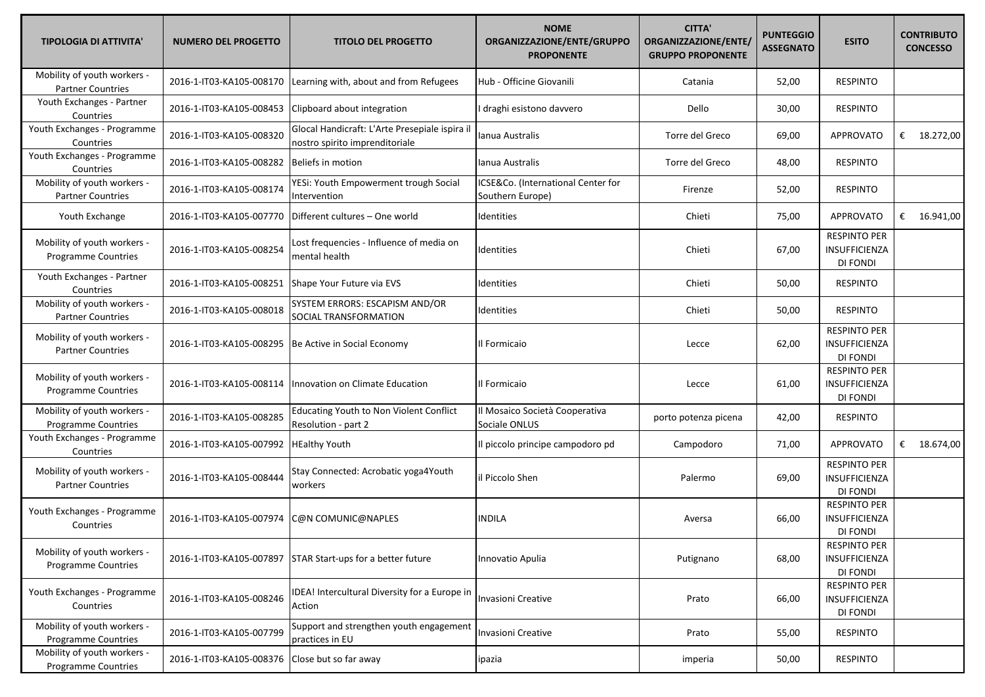| <b>TIPOLOGIA DI ATTIVITA'</b>                             | <b>NUMERO DEL PROGETTO</b> | <b>TITOLO DEL PROGETTO</b>                                                       | <b>NOME</b><br>ORGANIZZAZIONE/ENTE/GRUPPO<br><b>PROPONENTE</b> | <b>CITTA'</b><br>ORGANIZZAZIONE/ENTE/<br><b>GRUPPO PROPONENTE</b> | <b>PUNTEGGIO</b><br><b>ASSEGNATO</b> | <b>ESITO</b>                                            | <b>CONTRIBUTO</b><br><b>CONCESSO</b> |
|-----------------------------------------------------------|----------------------------|----------------------------------------------------------------------------------|----------------------------------------------------------------|-------------------------------------------------------------------|--------------------------------------|---------------------------------------------------------|--------------------------------------|
| Mobility of youth workers -<br><b>Partner Countries</b>   | 2016-1-IT03-KA105-008170   | Learning with, about and from Refugees                                           | Hub - Officine Giovanili                                       | Catania                                                           | 52,00                                | <b>RESPINTO</b>                                         |                                      |
| Youth Exchanges - Partner<br>Countries                    | 2016-1-IT03-KA105-008453   | Clipboard about integration                                                      | I draghi esistono davvero                                      | Dello                                                             | 30,00                                | <b>RESPINTO</b>                                         |                                      |
| Youth Exchanges - Programme<br>Countries                  | 2016-1-IT03-KA105-008320   | Glocal Handicraft: L'Arte Presepiale ispira il<br>nostro spirito imprenditoriale | Ianua Australis                                                | Torre del Greco                                                   | 69,00                                | <b>APPROVATO</b>                                        | € $18.272,00$                        |
| Youth Exchanges - Programme<br>Countries                  | 2016-1-IT03-KA105-008282   | <b>Beliefs in motion</b>                                                         | lanua Australis                                                | Torre del Greco                                                   | 48,00                                | <b>RESPINTO</b>                                         |                                      |
| Mobility of youth workers -<br><b>Partner Countries</b>   | 2016-1-IT03-KA105-008174   | YESi: Youth Empowerment trough Social<br>Intervention                            | ICSE&Co. (International Center for<br>Southern Europe)         | Firenze                                                           | 52,00                                | RESPINTO                                                |                                      |
| Youth Exchange                                            | 2016-1-IT03-KA105-007770   | Different cultures - One world                                                   | Identities                                                     | Chieti                                                            | 75,00                                | APPROVATO                                               | € $16.941,00$                        |
| Mobility of youth workers -<br><b>Programme Countries</b> | 2016-1-IT03-KA105-008254   | Lost frequencies - Influence of media on<br>mental health                        | Identities                                                     | Chieti                                                            | 67,00                                | <b>RESPINTO PER</b><br>INSUFFICIENZA<br>DI FONDI        |                                      |
| Youth Exchanges - Partner<br>Countries                    | 2016-1-IT03-KA105-008251   | Shape Your Future via EVS                                                        | Identities                                                     | Chieti                                                            | 50,00                                | <b>RESPINTO</b>                                         |                                      |
| Mobility of youth workers -<br><b>Partner Countries</b>   | 2016-1-IT03-KA105-008018   | SYSTEM ERRORS: ESCAPISM AND/OR<br>SOCIAL TRANSFORMATION                          | Identities                                                     | Chieti                                                            | 50,00                                | <b>RESPINTO</b>                                         |                                      |
| Mobility of youth workers -<br><b>Partner Countries</b>   | 2016-1-IT03-KA105-008295   | Be Active in Social Economy                                                      | Il Formicaio                                                   | Lecce                                                             | 62,00                                | <b>RESPINTO PER</b><br><b>INSUFFICIENZA</b><br>DI FONDI |                                      |
| Mobility of youth workers -<br><b>Programme Countries</b> | 2016-1-IT03-KA105-008114   | Innovation on Climate Education                                                  | Il Formicaio                                                   | Lecce                                                             | 61,00                                | <b>RESPINTO PER</b><br>INSUFFICIENZA<br><b>DI FONDI</b> |                                      |
| Mobility of youth workers -<br><b>Programme Countries</b> | 2016-1-IT03-KA105-008285   | <b>Educating Youth to Non Violent Conflict</b><br>Resolution - part 2            | Il Mosaico Società Cooperativa<br>Sociale ONLUS                | porto potenza picena                                              | 42,00                                | <b>RESPINTO</b>                                         |                                      |
| Youth Exchanges - Programme<br>Countries                  | 2016-1-IT03-KA105-007992   | <b>HEalthy Youth</b>                                                             | Il piccolo principe campodoro pd                               | Campodoro                                                         | 71,00                                | APPROVATO                                               | € $18.674,00$                        |
| Mobility of youth workers -<br><b>Partner Countries</b>   | 2016-1-IT03-KA105-008444   | Stay Connected: Acrobatic yoga4Youth<br>workers                                  | lil Piccolo Shen                                               | Palermo                                                           | 69,00                                | <b>RESPINTO PER</b><br>INSUFFICIENZA<br>DI FONDI        |                                      |
| Youth Exchanges - Programme<br>Countries                  | 2016-1-IT03-KA105-007974   | C@N COMUNIC@NAPLES                                                               | <b>INDILA</b>                                                  | Aversa                                                            | 66,00                                | <b>RESPINTO PER</b><br><b>INSUFFICIENZA</b><br>DI FONDI |                                      |
| Mobility of youth workers -<br>Programme Countries        | 2016-1-IT03-KA105-007897   | STAR Start-ups for a better future                                               | Innovatio Apulia                                               | Putignano                                                         | 68,00                                | <b>RESPINTO PER</b><br>INSUFFICIENZA<br>DI FONDI        |                                      |
| Youth Exchanges - Programme<br>Countries                  | 2016-1-IT03-KA105-008246   | IDEA! Intercultural Diversity for a Europe in<br>Action                          | Invasioni Creative                                             | Prato                                                             | 66,00                                | <b>RESPINTO PER</b><br>INSUFFICIENZA<br>DI FONDI        |                                      |
| Mobility of youth workers -<br>Programme Countries        | 2016-1-IT03-KA105-007799   | Support and strengthen youth engagement<br>practices in EU                       | Invasioni Creative                                             | Prato                                                             | 55,00                                | <b>RESPINTO</b>                                         |                                      |
| Mobility of youth workers -<br>Programme Countries        | 2016-1-IT03-KA105-008376   | Close but so far away                                                            | ipazia                                                         | imperia                                                           | 50,00                                | <b>RESPINTO</b>                                         |                                      |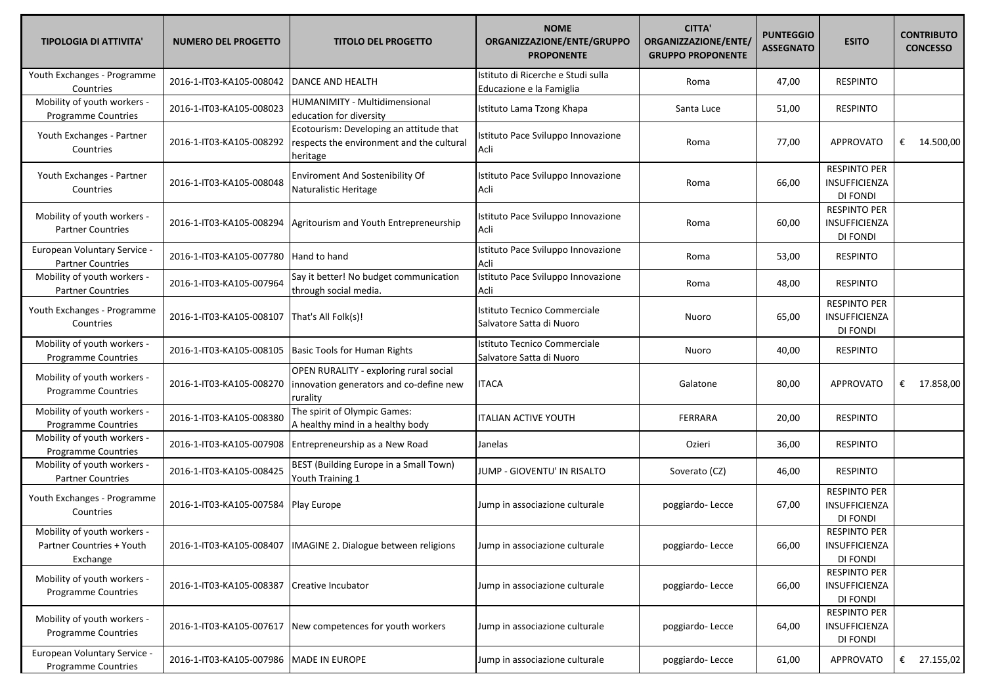| <b>TIPOLOGIA DI ATTIVITA'</b>                                        | <b>NUMERO DEL PROGETTO</b> | <b>TITOLO DEL PROGETTO</b>                                                                       | <b>NOME</b><br>ORGANIZZAZIONE/ENTE/GRUPPO<br><b>PROPONENTE</b> | <b>CITTA'</b><br>ORGANIZZAZIONE/ENTE/<br><b>GRUPPO PROPONENTE</b> | <b>PUNTEGGIO</b><br><b>ASSEGNATO</b> | <b>ESITO</b>                                            | <b>CONTRIBUTO</b><br><b>CONCESSO</b> |
|----------------------------------------------------------------------|----------------------------|--------------------------------------------------------------------------------------------------|----------------------------------------------------------------|-------------------------------------------------------------------|--------------------------------------|---------------------------------------------------------|--------------------------------------|
| Youth Exchanges - Programme<br>Countries                             | 2016-1-IT03-KA105-008042   | DANCE AND HEALTH                                                                                 | Istituto di Ricerche e Studi sulla<br>Educazione e la Famiglia | Roma                                                              | 47,00                                | <b>RESPINTO</b>                                         |                                      |
| Mobility of youth workers -<br>Programme Countries                   | 2016-1-IT03-KA105-008023   | HUMANIMITY - Multidimensional<br>education for diversity                                         | Istituto Lama Tzong Khapa                                      | Santa Luce                                                        | 51,00                                | <b>RESPINTO</b>                                         |                                      |
| Youth Exchanges - Partner<br>Countries                               | 2016-1-IT03-KA105-008292   | Ecotourism: Developing an attitude that<br>respects the environment and the cultural<br>heritage | Istituto Pace Sviluppo Innovazione<br>Acli                     | Roma                                                              | 77,00                                | <b>APPROVATO</b>                                        | € $14.500,00$                        |
| Youth Exchanges - Partner<br>Countries                               | 2016-1-IT03-KA105-008048   | <b>Enviroment And Sostenibility Of</b><br>Naturalistic Heritage                                  | Istituto Pace Sviluppo Innovazione<br>Acli                     | Roma                                                              | 66,00                                | <b>RESPINTO PER</b><br>INSUFFICIENZA<br><b>DI FONDI</b> |                                      |
| Mobility of youth workers -<br><b>Partner Countries</b>              | 2016-1-IT03-KA105-008294   | Agritourism and Youth Entrepreneurship                                                           | Istituto Pace Sviluppo Innovazione<br>Acli                     | Roma                                                              | 60,00                                | <b>RESPINTO PER</b><br>INSUFFICIENZA<br>DI FONDI        |                                      |
| European Voluntary Service -<br><b>Partner Countries</b>             | 2016-1-IT03-KA105-007780   | Hand to hand                                                                                     | Istituto Pace Sviluppo Innovazione<br>Acli                     | Roma                                                              | 53,00                                | <b>RESPINTO</b>                                         |                                      |
| Mobility of youth workers -<br><b>Partner Countries</b>              | 2016-1-IT03-KA105-007964   | Say it better! No budget communication<br>through social media.                                  | Istituto Pace Sviluppo Innovazione<br>Acli                     | Roma                                                              | 48,00                                | <b>RESPINTO</b>                                         |                                      |
| Youth Exchanges - Programme<br>Countries                             | 2016-1-IT03-KA105-008107   | That's All Folk(s)!                                                                              | Istituto Tecnico Commerciale<br>Salvatore Satta di Nuoro       | Nuoro                                                             | 65,00                                | <b>RESPINTO PER</b><br>INSUFFICIENZA<br><b>DI FONDI</b> |                                      |
| Mobility of youth workers -<br>Programme Countries                   | 2016-1-IT03-KA105-008105   | <b>Basic Tools for Human Rights</b>                                                              | Istituto Tecnico Commerciale<br>Salvatore Satta di Nuoro       | Nuoro                                                             | 40,00                                | <b>RESPINTO</b>                                         |                                      |
| Mobility of youth workers -<br>Programme Countries                   | 2016-1-IT03-KA105-008270   | OPEN RURALITY - exploring rural social<br>innovation generators and co-define new<br>rurality    | <b>ITACA</b>                                                   | Galatone                                                          | 80,00                                | <b>APPROVATO</b>                                        | € $17.858,00$                        |
| Mobility of youth workers -<br>Programme Countries                   | 2016-1-IT03-KA105-008380   | The spirit of Olympic Games:<br>A healthy mind in a healthy body                                 | <b>ITALIAN ACTIVE YOUTH</b>                                    | <b>FERRARA</b>                                                    | 20,00                                | <b>RESPINTO</b>                                         |                                      |
| Mobility of youth workers -<br>Programme Countries                   | 2016-1-IT03-KA105-007908   | Entrepreneurship as a New Road                                                                   | Janelas                                                        | Ozieri                                                            | 36,00                                | <b>RESPINTO</b>                                         |                                      |
| Mobility of youth workers -<br><b>Partner Countries</b>              | 2016-1-IT03-KA105-008425   | BEST (Building Europe in a Small Town)<br>Youth Training 1                                       | JUMP - GIOVENTU' IN RISALTO                                    | Soverato (CZ)                                                     | 46,00                                | <b>RESPINTO</b>                                         |                                      |
| Youth Exchanges - Programme<br>Countries                             | 2016-1-IT03-KA105-007584   | Play Europe                                                                                      | Jump in associazione culturale                                 | poggiardo-Lecce                                                   | 67,00                                | <b>RESPINTO PER</b><br>INSUFFICIENZA<br>DI FONDI        |                                      |
| Mobility of youth workers -<br>Partner Countries + Youth<br>Exchange | 2016-1-IT03-KA105-008407   | IMAGINE 2. Dialogue between religions                                                            | Jump in associazione culturale                                 | poggiardo-Lecce                                                   | 66,00                                | <b>RESPINTO PER</b><br>INSUFFICIENZA<br>DI FONDI        |                                      |
| Mobility of youth workers -<br>Programme Countries                   | 2016-1-IT03-KA105-008387   | Creative Incubator                                                                               | Jump in associazione culturale                                 | poggiardo-Lecce                                                   | 66,00                                | <b>RESPINTO PER</b><br>INSUFFICIENZA<br>DI FONDI        |                                      |
| Mobility of youth workers -<br>Programme Countries                   | 2016-1-IT03-KA105-007617   | New competences for youth workers                                                                | Jump in associazione culturale                                 | poggiardo-Lecce                                                   | 64,00                                | RESPINTO PER<br>INSUFFICIENZA<br>DI FONDI               |                                      |
| European Voluntary Service -<br>Programme Countries                  | 2016-1-IT03-KA105-007986   | <b>MADE IN EUROPE</b>                                                                            | Jump in associazione culturale                                 | poggiardo-Lecce                                                   | 61,00                                | APPROVATO                                               | € 27.155,02                          |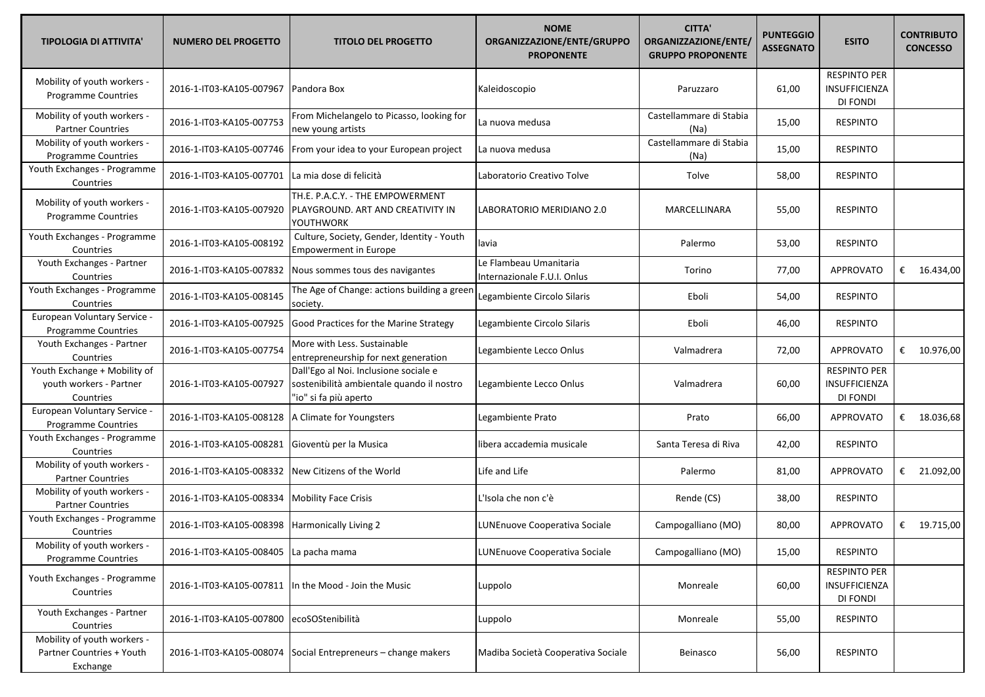| <b>TIPOLOGIA DI ATTIVITA'</b>                                        | <b>NUMERO DEL PROGETTO</b>             | <b>TITOLO DEL PROGETTO</b>                                                                                  | <b>NOME</b><br>ORGANIZZAZIONE/ENTE/GRUPPO<br><b>PROPONENTE</b> | <b>CITTA'</b><br>ORGANIZZAZIONE/ENTE/<br><b>GRUPPO PROPONENTE</b> | <b>PUNTEGGIO</b><br><b>ASSEGNATO</b> | <b>ESITO</b>                                            | <b>CONTRIBUTO</b><br><b>CONCESSO</b> |
|----------------------------------------------------------------------|----------------------------------------|-------------------------------------------------------------------------------------------------------------|----------------------------------------------------------------|-------------------------------------------------------------------|--------------------------------------|---------------------------------------------------------|--------------------------------------|
| Mobility of youth workers -<br><b>Programme Countries</b>            | 2016-1-IT03-KA105-007967               | Pandora Box                                                                                                 | Kaleidoscopio                                                  | Paruzzaro                                                         | 61,00                                | <b>RESPINTO PER</b><br>INSUFFICIENZA<br>DI FONDI        |                                      |
| Mobility of youth workers -<br><b>Partner Countries</b>              | 2016-1-IT03-KA105-007753               | From Michelangelo to Picasso, looking for<br>new young artists                                              | La nuova medusa                                                | Castellammare di Stabia<br>(Na)                                   | 15,00                                | <b>RESPINTO</b>                                         |                                      |
| Mobility of youth workers -<br><b>Programme Countries</b>            | 2016-1-IT03-KA105-007746               | From your idea to your European project                                                                     | La nuova medusa                                                | Castellammare di Stabia<br>(Na)                                   | 15,00                                | <b>RESPINTO</b>                                         |                                      |
| Youth Exchanges - Programme<br>Countries                             | 2016-1-IT03-KA105-007701               | La mia dose di felicità                                                                                     | Laboratorio Creativo Tolve                                     | Tolve                                                             | 58,00                                | <b>RESPINTO</b>                                         |                                      |
| Mobility of youth workers -<br>Programme Countries                   | 2016-1-IT03-KA105-007920               | TH.E. P.A.C.Y. - THE EMPOWERMENT<br>PLAYGROUND. ART AND CREATIVITY IN<br>YOUTHWORK                          | LABORATORIO MERIDIANO 2.0                                      | MARCELLINARA                                                      | 55,00                                | <b>RESPINTO</b>                                         |                                      |
| Youth Exchanges - Programme<br>Countries                             | 2016-1-IT03-KA105-008192               | Culture, Society, Gender, Identity - Youth<br><b>Empowerment in Europe</b>                                  | lavia                                                          | Palermo                                                           | 53,00                                | <b>RESPINTO</b>                                         |                                      |
| Youth Exchanges - Partner<br>Countries                               | 2016-1-IT03-KA105-007832               | Nous sommes tous des navigantes                                                                             | Le Flambeau Umanitaria<br>Internazionale F.U.I. Onlus          | Torino                                                            | 77,00                                | <b>APPROVATO</b>                                        | € $16.434,00$                        |
| Youth Exchanges - Programme<br>Countries                             | 2016-1-IT03-KA105-008145               | The Age of Change: actions building a greer<br>society.                                                     | Legambiente Circolo Silaris                                    | Eboli                                                             | 54,00                                | <b>RESPINTO</b>                                         |                                      |
| European Voluntary Service -<br>Programme Countries                  | 2016-1-IT03-KA105-007925               | Good Practices for the Marine Strategy                                                                      | Legambiente Circolo Silaris                                    | Eboli                                                             | 46,00                                | <b>RESPINTO</b>                                         |                                      |
| Youth Exchanges - Partner<br>Countries                               | 2016-1-IT03-KA105-007754               | More with Less. Sustainable<br>entrepreneurship for next generation                                         | Legambiente Lecco Onlus                                        | Valmadrera                                                        | 72,00                                | <b>APPROVATO</b>                                        | € $10.976,00$                        |
| Youth Exchange + Mobility of<br>youth workers - Partner<br>Countries | 2016-1-IT03-KA105-007927               | Dall'Ego al Noi. Inclusione sociale e<br>sostenibilità ambientale quando il nostro<br>"io" si fa più aperto | Legambiente Lecco Onlus                                        | Valmadrera                                                        | 60,00                                | <b>RESPINTO PER</b><br>INSUFFICIENZA<br><b>DI FONDI</b> |                                      |
| European Voluntary Service -<br>Programme Countries                  | 2016-1-IT03-KA105-008128               | A Climate for Youngsters                                                                                    | Legambiente Prato                                              | Prato                                                             | 66,00                                | <b>APPROVATO</b>                                        | € 18.036,68                          |
| Youth Exchanges - Programme<br>Countries                             | 2016-1-IT03-KA105-008281               | Gioventù per la Musica                                                                                      | libera accademia musicale                                      | Santa Teresa di Riva                                              | 42,00                                | <b>RESPINTO</b>                                         |                                      |
| Mobility of youth workers -<br><b>Partner Countries</b>              | 2016-1-IT03-KA105-008332               | New Citizens of the World                                                                                   | Life and Life                                                  | Palermo                                                           | 81,00                                | <b>APPROVATO</b>                                        | € 21.092,00                          |
| Mobility of youth workers -<br><b>Partner Countries</b>              | 2016-1-IT03-KA105-008334               | <b>Mobility Face Crisis</b>                                                                                 | L'Isola che non c'è                                            | Rende (CS)                                                        | 38,00                                | <b>RESPINTO</b>                                         |                                      |
| Youth Exchanges - Programme<br>Countries                             | 2016-1-IT03-KA105-008398               | Harmonically Living 2                                                                                       | LUNEnuove Cooperativa Sociale                                  | Campogalliano (MO)                                                | 80,00                                | APPROVATO                                               | € $19.715,00$                        |
| Mobility of youth workers -<br>Programme Countries                   | 2016-1-IT03-KA105-008405 La pacha mama |                                                                                                             | LUNEnuove Cooperativa Sociale                                  | Campogalliano (MO)                                                | 15,00                                | <b>RESPINTO</b>                                         |                                      |
| Youth Exchanges - Programme<br>Countries                             | 2016-1-IT03-KA105-007811               | In the Mood - Join the Music                                                                                | Luppolo                                                        | Monreale                                                          | 60,00                                | <b>RESPINTO PER</b><br>INSUFFICIENZA<br>DI FONDI        |                                      |
| Youth Exchanges - Partner<br>Countries                               | 2016-1-IT03-KA105-007800               | ecoSOStenibilità                                                                                            | Luppolo                                                        | Monreale                                                          | 55,00                                | <b>RESPINTO</b>                                         |                                      |
| Mobility of youth workers -<br>Partner Countries + Youth<br>Exchange | 2016-1-IT03-KA105-008074               | Social Entrepreneurs - change makers                                                                        | Madiba Società Cooperativa Sociale                             | Beinasco                                                          | 56,00                                | <b>RESPINTO</b>                                         |                                      |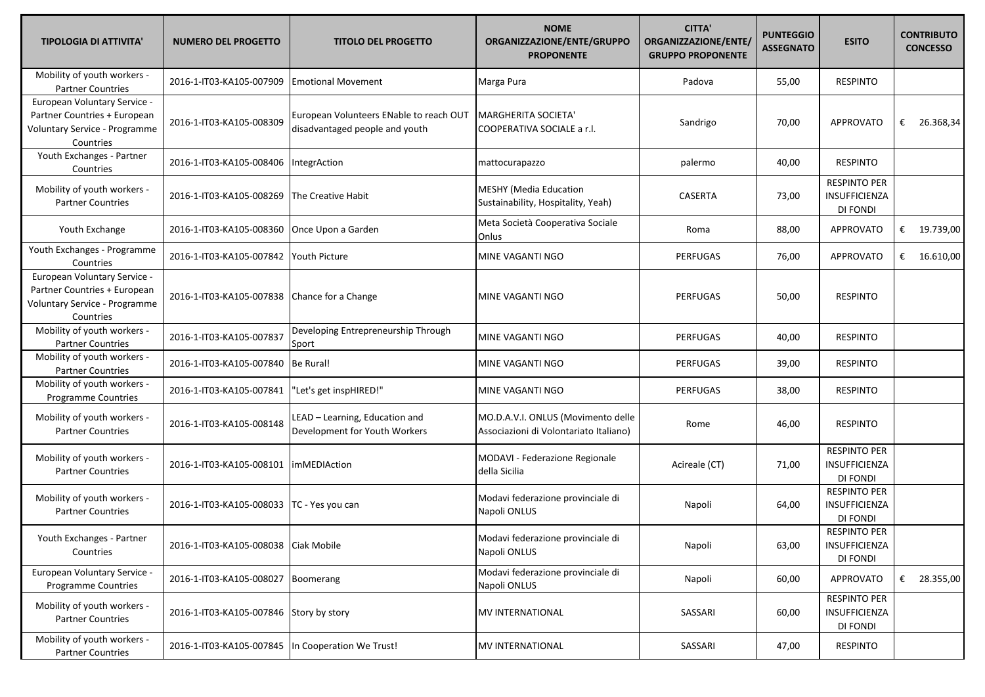| <b>TIPOLOGIA DI ATTIVITA'</b>                                                                              | <b>NUMERO DEL PROGETTO</b>           | <b>TITOLO DEL PROGETTO</b>                                                | <b>NOME</b><br>ORGANIZZAZIONE/ENTE/GRUPPO<br><b>PROPONENTE</b>               | <b>CITTA'</b><br>ORGANIZZAZIONE/ENTE/<br><b>GRUPPO PROPONENTE</b> | <b>PUNTEGGIO</b><br><b>ASSEGNATO</b> | <b>ESITO</b>                                            | <b>CONTRIBUTO</b><br><b>CONCESSO</b> |
|------------------------------------------------------------------------------------------------------------|--------------------------------------|---------------------------------------------------------------------------|------------------------------------------------------------------------------|-------------------------------------------------------------------|--------------------------------------|---------------------------------------------------------|--------------------------------------|
| Mobility of youth workers -<br><b>Partner Countries</b>                                                    | 2016-1-IT03-KA105-007909             | <b>Emotional Movement</b>                                                 | Marga Pura                                                                   | Padova                                                            | 55,00                                | <b>RESPINTO</b>                                         |                                      |
| European Voluntary Service -<br>Partner Countries + European<br>Voluntary Service - Programme<br>Countries | 2016-1-IT03-KA105-008309             | European Volunteers ENable to reach OUT<br>disadvantaged people and youth | MARGHERITA SOCIETA'<br>COOPERATIVA SOCIALE a r.l.                            | Sandrigo                                                          | 70,00                                | <b>APPROVATO</b>                                        | € 26.368,34                          |
| Youth Exchanges - Partner<br>Countries                                                                     | 2016-1-IT03-KA105-008406             | IntegrAction                                                              | mattocurapazzo                                                               | palermo                                                           | 40,00                                | <b>RESPINTO</b>                                         |                                      |
| Mobility of youth workers -<br><b>Partner Countries</b>                                                    | 2016-1-IT03-KA105-008269             | The Creative Habit                                                        | <b>MESHY (Media Education</b><br>Sustainability, Hospitality, Yeah)          | <b>CASERTA</b>                                                    | 73,00                                | <b>RESPINTO PER</b><br><b>INSUFFICIENZA</b><br>DI FONDI |                                      |
| Youth Exchange                                                                                             | 2016-1-IT03-KA105-008360             | Once Upon a Garden                                                        | Meta Società Cooperativa Sociale<br>Onlus                                    | Roma                                                              | 88,00                                | <b>APPROVATO</b>                                        | € 19.739,00                          |
| Youth Exchanges - Programme<br>Countries                                                                   | 2016-1-IT03-KA105-007842             | Youth Picture                                                             | MINE VAGANTI NGO                                                             | <b>PERFUGAS</b>                                                   | 76,00                                | <b>APPROVATO</b>                                        | € $16.610,00$                        |
| European Voluntary Service -<br>Partner Countries + European<br>Voluntary Service - Programme<br>Countries | 2016-1-IT03-KA105-007838             | Chance for a Change                                                       | MINE VAGANTI NGO                                                             | <b>PERFUGAS</b>                                                   | 50,00                                | <b>RESPINTO</b>                                         |                                      |
| Mobility of youth workers -<br><b>Partner Countries</b>                                                    | 2016-1-IT03-KA105-007837             | Developing Entrepreneurship Through<br>Sport                              | MINE VAGANTI NGO                                                             | <b>PERFUGAS</b>                                                   | 40,00                                | <b>RESPINTO</b>                                         |                                      |
| Mobility of youth workers -<br><b>Partner Countries</b>                                                    | 2016-1-IT03-KA105-007840             | Be Rural!                                                                 | MINE VAGANTI NGO                                                             | <b>PERFUGAS</b>                                                   | 39,00                                | <b>RESPINTO</b>                                         |                                      |
| Mobility of youth workers -<br>Programme Countries                                                         | 2016-1-IT03-KA105-007841             | 'Let's get inspHIRED!"                                                    | MINE VAGANTI NGO                                                             | <b>PERFUGAS</b>                                                   | 38,00                                | <b>RESPINTO</b>                                         |                                      |
| Mobility of youth workers -<br><b>Partner Countries</b>                                                    | 2016-1-IT03-KA105-008148             | LEAD - Learning, Education and<br>Development for Youth Workers           | MO.D.A.V.I. ONLUS (Movimento delle<br>Associazioni di Volontariato Italiano) | Rome                                                              | 46,00                                | <b>RESPINTO</b>                                         |                                      |
| Mobility of youth workers -<br><b>Partner Countries</b>                                                    | 2016-1-IT03-KA105-008101             | <b>imMEDIAction</b>                                                       | MODAVI - Federazione Regionale<br>della Sicilia                              | Acireale (CT)                                                     | 71,00                                | <b>RESPINTO PER</b><br>INSUFFICIENZA<br>DI FONDI        |                                      |
| Mobility of youth workers -<br><b>Partner Countries</b>                                                    | 2016-1-IT03-KA105-008033             | TC - Yes you can                                                          | Modavi federazione provinciale di<br>Napoli ONLUS                            | Napoli                                                            | 64,00                                | <b>RESPINTO PER</b><br>INSUFFICIENZA<br>DI FONDI        |                                      |
| Youth Exchanges - Partner<br>Countries                                                                     | 2016-1-IT03-KA105-008038 Ciak Mobile |                                                                           | Modavi federazione provinciale di<br>Napoli ONLUS                            | Napoli                                                            | 63,00                                | <b>RESPINTO PER</b><br>INSUFFICIENZA<br>DI FONDI        |                                      |
| European Voluntary Service -<br>Programme Countries                                                        | 2016-1-IT03-KA105-008027             | Boomerang                                                                 | Modavi federazione provinciale di<br>Napoli ONLUS                            | Napoli                                                            | 60,00                                | <b>APPROVATO</b>                                        | € 28.355,00                          |
| Mobility of youth workers -<br><b>Partner Countries</b>                                                    | 2016-1-IT03-KA105-007846             | Story by story                                                            | <b>MV INTERNATIONAL</b>                                                      | SASSARI                                                           | 60,00                                | <b>RESPINTO PER</b><br>INSUFFICIENZA<br>DI FONDI        |                                      |
| Mobility of youth workers -<br><b>Partner Countries</b>                                                    | 2016-1-IT03-KA105-007845             | In Cooperation We Trust!                                                  | <b>MV INTERNATIONAL</b>                                                      | SASSARI                                                           | 47,00                                | <b>RESPINTO</b>                                         |                                      |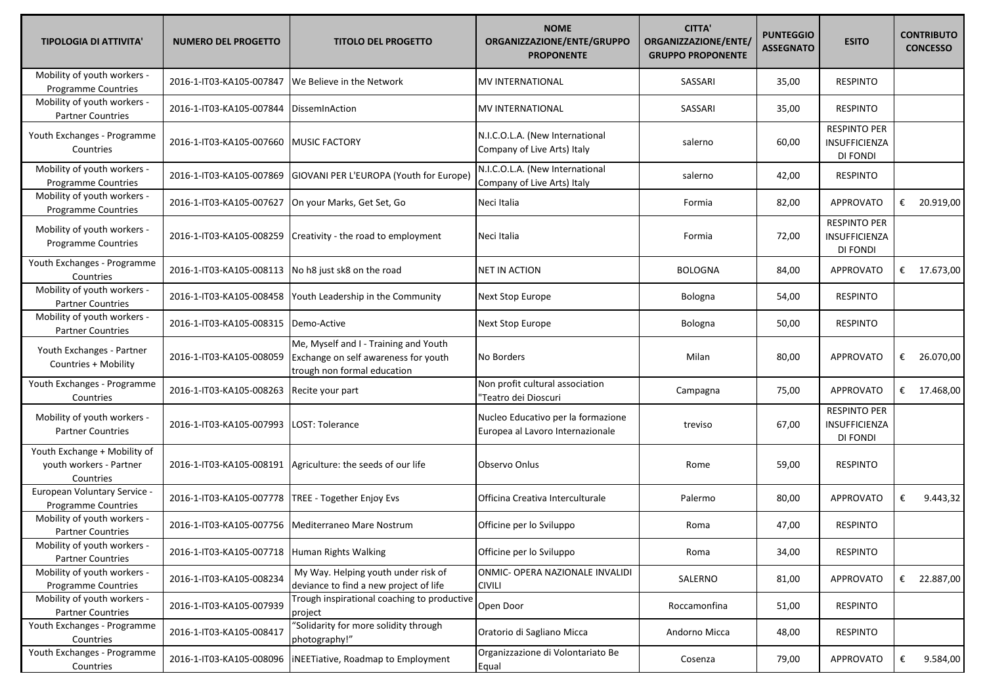| <b>TIPOLOGIA DI ATTIVITA'</b>                                        | <b>NUMERO DEL PROGETTO</b> | <b>TITOLO DEL PROGETTO</b>                                                                                   | <b>NOME</b><br>ORGANIZZAZIONE/ENTE/GRUPPO<br><b>PROPONENTE</b>         | <b>CITTA'</b><br>ORGANIZZAZIONE/ENTE/<br><b>GRUPPO PROPONENTE</b> | <b>PUNTEGGIO</b><br><b>ASSEGNATO</b> | <b>ESITO</b>                                     | <b>CONTRIBUTO</b><br><b>CONCESSO</b> |
|----------------------------------------------------------------------|----------------------------|--------------------------------------------------------------------------------------------------------------|------------------------------------------------------------------------|-------------------------------------------------------------------|--------------------------------------|--------------------------------------------------|--------------------------------------|
| Mobility of youth workers -<br><b>Programme Countries</b>            | 2016-1-IT03-KA105-007847   | We Believe in the Network                                                                                    | <b>MV INTERNATIONAL</b>                                                | SASSARI                                                           | 35,00                                | <b>RESPINTO</b>                                  |                                      |
| Mobility of youth workers -<br><b>Partner Countries</b>              | 2016-1-IT03-KA105-007844   | DissemInAction                                                                                               | <b>MV INTERNATIONAL</b>                                                | SASSARI                                                           | 35,00                                | <b>RESPINTO</b>                                  |                                      |
| Youth Exchanges - Programme<br>Countries                             | 2016-1-IT03-KA105-007660   | <b>MUSIC FACTORY</b>                                                                                         | N.I.C.O.L.A. (New International<br>Company of Live Arts) Italy         | salerno                                                           | 60,00                                | <b>RESPINTO PER</b><br>INSUFFICIENZA<br>DI FONDI |                                      |
| Mobility of youth workers -<br>Programme Countries                   | 2016-1-IT03-KA105-007869   | GIOVANI PER L'EUROPA (Youth for Europe)                                                                      | N.I.C.O.L.A. (New International<br>Company of Live Arts) Italy         | salerno                                                           | 42,00                                | <b>RESPINTO</b>                                  |                                      |
| Mobility of youth workers -<br>Programme Countries                   | 2016-1-IT03-KA105-007627   | On your Marks, Get Set, Go                                                                                   | Neci Italia                                                            | Formia                                                            | 82,00                                | <b>APPROVATO</b>                                 | € 20.919,00                          |
| Mobility of youth workers -<br>Programme Countries                   | 2016-1-IT03-KA105-008259   | Creativity - the road to employment                                                                          | Neci Italia                                                            | Formia                                                            | 72,00                                | <b>RESPINTO PER</b><br>INSUFFICIENZA<br>DI FONDI |                                      |
| Youth Exchanges - Programme<br>Countries                             | 2016-1-IT03-KA105-008113   | No h8 just sk8 on the road                                                                                   | <b>NET IN ACTION</b>                                                   | <b>BOLOGNA</b>                                                    | 84,00                                | <b>APPROVATO</b>                                 | € 17.673,00                          |
| Mobility of youth workers -<br><b>Partner Countries</b>              | 2016-1-IT03-KA105-008458   | Youth Leadership in the Community                                                                            | Next Stop Europe                                                       | Bologna                                                           | 54,00                                | <b>RESPINTO</b>                                  |                                      |
| Mobility of youth workers -<br><b>Partner Countries</b>              | 2016-1-IT03-KA105-008315   | Demo-Active                                                                                                  | Next Stop Europe                                                       | Bologna                                                           | 50,00                                | <b>RESPINTO</b>                                  |                                      |
| Youth Exchanges - Partner<br>Countries + Mobility                    | 2016-1-IT03-KA105-008059   | Me, Myself and I - Training and Youth<br>Exchange on self awareness for youth<br>trough non formal education | No Borders                                                             | Milan                                                             | 80,00                                | <b>APPROVATO</b>                                 | 26.070,00<br>€                       |
| Youth Exchanges - Programme<br>Countries                             | 2016-1-IT03-KA105-008263   | Recite your part                                                                                             | Non profit cultural association<br>"Teatro dei Dioscuri                | Campagna                                                          | 75,00                                | <b>APPROVATO</b>                                 | € $17.468,00$                        |
| Mobility of youth workers -<br><b>Partner Countries</b>              | 2016-1-IT03-KA105-007993   | LOST: Tolerance                                                                                              | Nucleo Educativo per la formazione<br>Europea al Lavoro Internazionale | treviso                                                           | 67,00                                | <b>RESPINTO PER</b><br>INSUFFICIENZA<br>DI FONDI |                                      |
| Youth Exchange + Mobility of<br>youth workers - Partner<br>Countries | 2016-1-IT03-KA105-008191   | Agriculture: the seeds of our life                                                                           | Observo Onlus                                                          | Rome                                                              | 59,00                                | <b>RESPINTO</b>                                  |                                      |
| European Voluntary Service -<br>Programme Countries                  | 2016-1-IT03-KA105-007778   | TREE - Together Enjoy Evs                                                                                    | Officina Creativa Interculturale                                       | Palermo                                                           | 80,00                                | APPROVATO                                        | 9.443,32<br>€                        |
| Mobility of youth workers -<br><b>Partner Countries</b>              | 2016-1-IT03-KA105-007756   | Mediterraneo Mare Nostrum                                                                                    | Officine per lo Sviluppo                                               | Roma                                                              | 47,00                                | <b>RESPINTO</b>                                  |                                      |
| Mobility of youth workers -<br><b>Partner Countries</b>              | 2016-1-IT03-KA105-007718   | Human Rights Walking                                                                                         | Officine per lo Sviluppo                                               | Roma                                                              | 34,00                                | <b>RESPINTO</b>                                  |                                      |
| Mobility of youth workers -<br>Programme Countries                   | 2016-1-IT03-KA105-008234   | My Way. Helping youth under risk of<br>deviance to find a new project of life                                | ONMIC- OPERA NAZIONALE INVALIDI<br><b>CIVILI</b>                       | SALERNO                                                           | 81,00                                | <b>APPROVATO</b>                                 | € 22.887,00                          |
| Mobility of youth workers -<br><b>Partner Countries</b>              | 2016-1-IT03-KA105-007939   | Trough inspirational coaching to productive<br>project                                                       | Open Door                                                              | Roccamonfina                                                      | 51,00                                | <b>RESPINTO</b>                                  |                                      |
| Youth Exchanges - Programme<br>Countries                             | 2016-1-IT03-KA105-008417   | 'Solidarity for more solidity through<br>photography!"                                                       | Oratorio di Sagliano Micca                                             | Andorno Micca                                                     | 48,00                                | <b>RESPINTO</b>                                  |                                      |
| Youth Exchanges - Programme<br>Countries                             | 2016-1-IT03-KA105-008096   | iNEETiative, Roadmap to Employment                                                                           | Organizzazione di Volontariato Be<br>Equal                             | Cosenza                                                           | 79,00                                | APPROVATO                                        | €<br>9.584,00                        |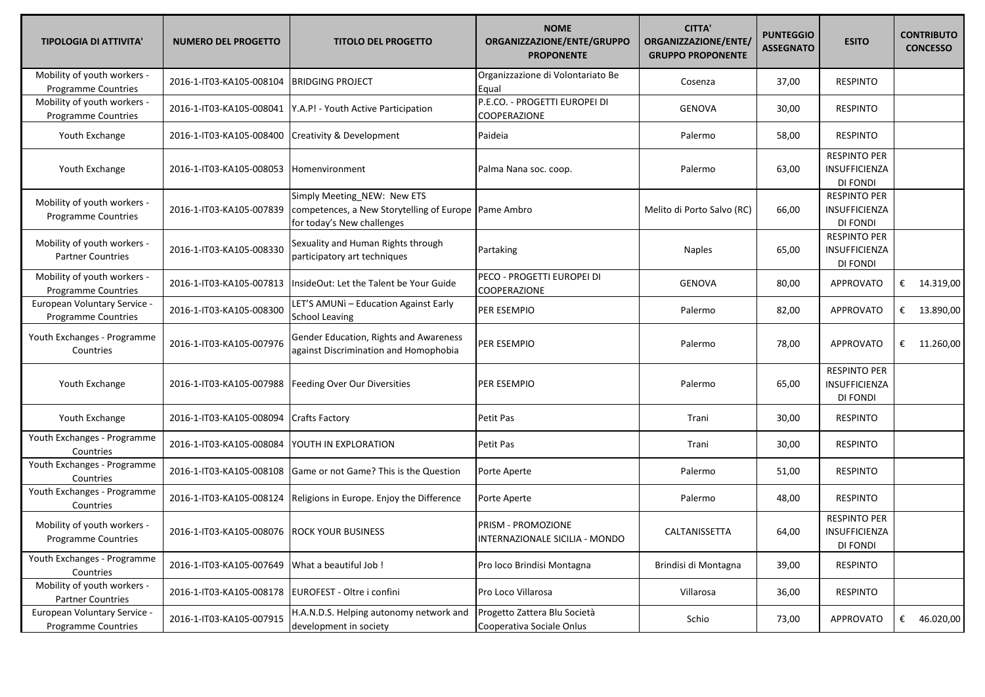| <b>TIPOLOGIA DI ATTIVITA'</b>                             | <b>NUMERO DEL PROGETTO</b>                  | <b>TITOLO DEL PROGETTO</b>                                                                                          | <b>NOME</b><br>ORGANIZZAZIONE/ENTE/GRUPPO<br><b>PROPONENTE</b> | <b>CITTA'</b><br>ORGANIZZAZIONE/ENTE/<br><b>GRUPPO PROPONENTE</b> | <b>PUNTEGGIO</b><br><b>ASSEGNATO</b> | <b>ESITO</b>                                            | <b>CONTRIBUTO</b><br><b>CONCESSO</b> |
|-----------------------------------------------------------|---------------------------------------------|---------------------------------------------------------------------------------------------------------------------|----------------------------------------------------------------|-------------------------------------------------------------------|--------------------------------------|---------------------------------------------------------|--------------------------------------|
| Mobility of youth workers -<br><b>Programme Countries</b> | 2016-1-IT03-KA105-008104                    | <b>BRIDGING PROJECT</b>                                                                                             | Organizzazione di Volontariato Be<br>Equal                     | Cosenza                                                           | 37,00                                | <b>RESPINTO</b>                                         |                                      |
| Mobility of youth workers -<br>Programme Countries        | 2016-1-IT03-KA105-008041                    | Y.A.P! - Youth Active Participation                                                                                 | P.E.CO. - PROGETTI EUROPEI DI<br>COOPERAZIONE                  | <b>GENOVA</b>                                                     | 30,00                                | <b>RESPINTO</b>                                         |                                      |
| Youth Exchange                                            | 2016-1-IT03-KA105-008400                    | <b>Creativity &amp; Development</b>                                                                                 | Paideia                                                        | Palermo                                                           | 58,00                                | <b>RESPINTO</b>                                         |                                      |
| Youth Exchange                                            | 2016-1-IT03-KA105-008053                    | Homenvironment                                                                                                      | Palma Nana soc. coop.                                          | Palermo                                                           | 63,00                                | <b>RESPINTO PER</b><br><b>INSUFFICIENZA</b><br>DI FONDI |                                      |
| Mobility of youth workers -<br>Programme Countries        | 2016-1-IT03-KA105-007839                    | Simply Meeting_NEW: New ETS<br>competences, a New Storytelling of Europe   Pame Ambro<br>for today's New challenges |                                                                | Melito di Porto Salvo (RC)                                        | 66,00                                | <b>RESPINTO PER</b><br>INSUFFICIENZA<br>DI FONDI        |                                      |
| Mobility of youth workers -<br><b>Partner Countries</b>   | 2016-1-IT03-KA105-008330                    | Sexuality and Human Rights through<br>participatory art techniques                                                  | Partaking                                                      | <b>Naples</b>                                                     | 65,00                                | <b>RESPINTO PER</b><br>INSUFFICIENZA<br>DI FONDI        |                                      |
| Mobility of youth workers -<br>Programme Countries        | 2016-1-IT03-KA105-007813                    | InsideOut: Let the Talent be Your Guide                                                                             | PECO - PROGETTI EUROPEI DI<br>COOPERAZIONE                     | <b>GENOVA</b>                                                     | 80,00                                | <b>APPROVATO</b>                                        | € $14.319,00$                        |
| European Voluntary Service -<br>Programme Countries       | 2016-1-IT03-KA105-008300                    | LET'S AMUNI - Education Against Early<br>School Leaving                                                             | PER ESEMPIO                                                    | Palermo                                                           | 82,00                                | <b>APPROVATO</b>                                        | € 13.890,00                          |
| Youth Exchanges - Programme<br>Countries                  | 2016-1-IT03-KA105-007976                    | Gender Education, Rights and Awareness<br>against Discrimination and Homophobia                                     | PER ESEMPIO                                                    | Palermo                                                           | 78,00                                | <b>APPROVATO</b>                                        | € $11.260,00$                        |
| Youth Exchange                                            | 2016-1-IT03-KA105-007988                    | Feeding Over Our Diversities                                                                                        | PER ESEMPIO                                                    | Palermo                                                           | 65,00                                | <b>RESPINTO PER</b><br>INSUFFICIENZA<br><b>DI FONDI</b> |                                      |
| Youth Exchange                                            | 2016-1-IT03-KA105-008094                    | <b>Crafts Factory</b>                                                                                               | Petit Pas                                                      | Trani                                                             | 30,00                                | <b>RESPINTO</b>                                         |                                      |
| Youth Exchanges - Programme<br>Countries                  | 2016-1-IT03-KA105-008084                    | YOUTH IN EXPLORATION                                                                                                | Petit Pas                                                      | Trani                                                             | 30,00                                | <b>RESPINTO</b>                                         |                                      |
| Youth Exchanges - Programme<br>Countries                  | 2016-1-IT03-KA105-008108                    | Game or not Game? This is the Question                                                                              | Porte Aperte                                                   | Palermo                                                           | 51,00                                | <b>RESPINTO</b>                                         |                                      |
| Youth Exchanges - Programme<br>Countries                  | 2016-1-IT03-KA105-008124                    | Religions in Europe. Enjoy the Difference                                                                           | Porte Aperte                                                   | Palermo                                                           | 48,00                                | <b>RESPINTO</b>                                         |                                      |
| Mobility of youth workers -<br>Programme Countries        | 2016-1-IT03-KA105-008076 ROCK YOUR BUSINESS |                                                                                                                     | PRISM - PROMOZIONE<br>INTERNAZIONALE SICILIA - MONDO           | CALTANISSETTA                                                     | 64,00                                | <b>RESPINTO PER</b><br>INSUFFICIENZA<br>DI FONDI        |                                      |
| Youth Exchanges - Programme<br>Countries                  | 2016-1-IT03-KA105-007649                    | What a beautiful Job!                                                                                               | Pro loco Brindisi Montagna                                     | Brindisi di Montagna                                              | 39,00                                | <b>RESPINTO</b>                                         |                                      |
| Mobility of youth workers -<br><b>Partner Countries</b>   | 2016-1-IT03-KA105-008178                    | EUROFEST - Oltre i confini                                                                                          | Pro Loco Villarosa                                             | Villarosa                                                         | 36,00                                | <b>RESPINTO</b>                                         |                                      |
| European Voluntary Service -<br>Programme Countries       | 2016-1-IT03-KA105-007915                    | H.A.N.D.S. Helping autonomy network and<br>development in society                                                   | Progetto Zattera Blu Società<br>Cooperativa Sociale Onlus      | Schio                                                             | 73,00                                | APPROVATO                                               | € 46.020,00                          |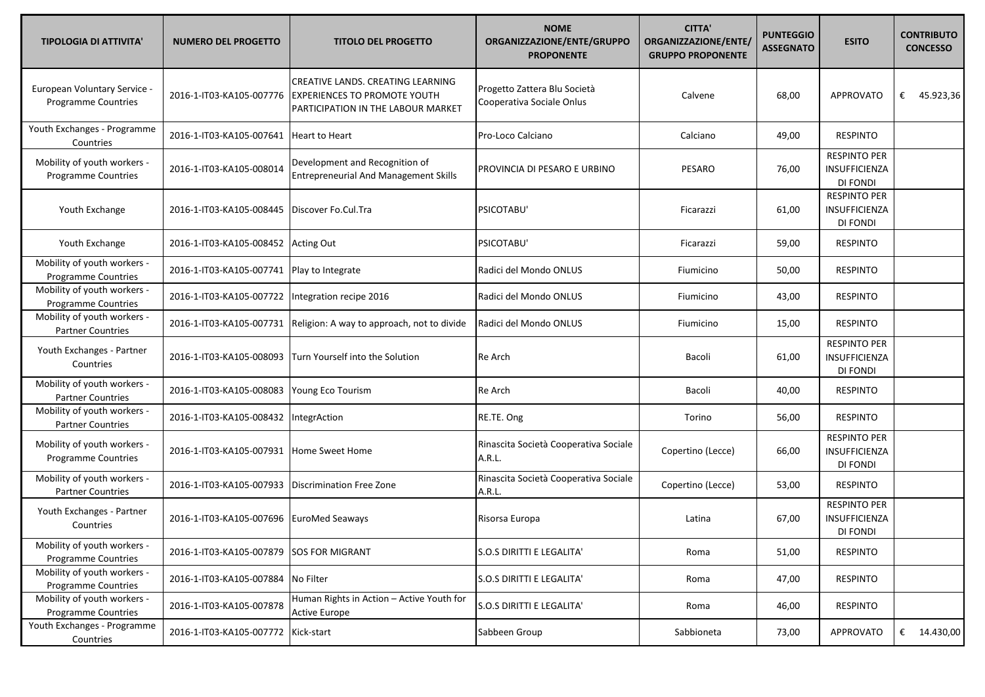| <b>TIPOLOGIA DI ATTIVITA'</b>                              | <b>NUMERO DEL PROGETTO</b>               | <b>TITOLO DEL PROGETTO</b>                                                                                     | <b>NOME</b><br>ORGANIZZAZIONE/ENTE/GRUPPO<br><b>PROPONENTE</b> | <b>CITTA'</b><br>ORGANIZZAZIONE/ENTE/<br><b>GRUPPO PROPONENTE</b> | <b>PUNTEGGIO</b><br><b>ASSEGNATO</b> | <b>ESITO</b>                                            | <b>CONTRIBUTO</b><br><b>CONCESSO</b> |
|------------------------------------------------------------|------------------------------------------|----------------------------------------------------------------------------------------------------------------|----------------------------------------------------------------|-------------------------------------------------------------------|--------------------------------------|---------------------------------------------------------|--------------------------------------|
| European Voluntary Service -<br><b>Programme Countries</b> | 2016-1-IT03-KA105-007776                 | CREATIVE LANDS. CREATING LEARNING<br><b>EXPERIENCES TO PROMOTE YOUTH</b><br>PARTICIPATION IN THE LABOUR MARKET | Progetto Zattera Blu Società<br>Cooperativa Sociale Onlus      | Calvene                                                           | 68,00                                | <b>APPROVATO</b>                                        | € 45.923,36                          |
| Youth Exchanges - Programme<br>Countries                   | 2016-1-IT03-KA105-007641                 | <b>Heart to Heart</b>                                                                                          | Pro-Loco Calciano                                              | Calciano                                                          | 49,00                                | <b>RESPINTO</b>                                         |                                      |
| Mobility of youth workers -<br>Programme Countries         | 2016-1-IT03-KA105-008014                 | Development and Recognition of<br><b>Entrepreneurial And Management Skills</b>                                 | PROVINCIA DI PESARO E URBINO                                   | PESARO                                                            | 76,00                                | <b>RESPINTO PER</b><br>INSUFFICIENZA<br>DI FONDI        |                                      |
| Youth Exchange                                             | 2016-1-IT03-KA105-008445                 | Discover Fo.Cul.Tra                                                                                            | PSICOTABU'                                                     | Ficarazzi                                                         | 61,00                                | <b>RESPINTO PER</b><br>INSUFFICIENZA<br>DI FONDI        |                                      |
| Youth Exchange                                             | 2016-1-IT03-KA105-008452                 | <b>Acting Out</b>                                                                                              | PSICOTABU'                                                     | Ficarazzi                                                         | 59,00                                | <b>RESPINTO</b>                                         |                                      |
| Mobility of youth workers -<br>Programme Countries         | 2016-1-IT03-KA105-007741                 | Play to Integrate                                                                                              | Radici del Mondo ONLUS                                         | Fiumicino                                                         | 50,00                                | <b>RESPINTO</b>                                         |                                      |
| Mobility of youth workers -<br><b>Programme Countries</b>  | 2016-1-IT03-KA105-007722                 | Integration recipe 2016                                                                                        | Radici del Mondo ONLUS                                         | Fiumicino                                                         | 43,00                                | <b>RESPINTO</b>                                         |                                      |
| Mobility of youth workers -<br><b>Partner Countries</b>    | 2016-1-IT03-KA105-007731                 | Religion: A way to approach, not to divide                                                                     | Radici del Mondo ONLUS                                         | Fiumicino                                                         | 15,00                                | <b>RESPINTO</b>                                         |                                      |
| Youth Exchanges - Partner<br>Countries                     | 2016-1-IT03-KA105-008093                 | Turn Yourself into the Solution                                                                                | Re Arch                                                        | Bacoli                                                            | 61,00                                | <b>RESPINTO PER</b><br>INSUFFICIENZA<br>DI FONDI        |                                      |
| Mobility of youth workers -<br><b>Partner Countries</b>    | 2016-1-IT03-KA105-008083                 | Young Eco Tourism                                                                                              | Re Arch                                                        | Bacoli                                                            | 40,00                                | <b>RESPINTO</b>                                         |                                      |
| Mobility of youth workers -<br><b>Partner Countries</b>    | 2016-1-IT03-KA105-008432                 | IntegrAction                                                                                                   | RE.TE. Ong                                                     | Torino                                                            | 56,00                                | <b>RESPINTO</b>                                         |                                      |
| Mobility of youth workers -<br><b>Programme Countries</b>  | 2016-1-IT03-KA105-007931                 | Home Sweet Home                                                                                                | Rinascita Società Cooperativa Sociale<br>A.R.L.                | Copertino (Lecce)                                                 | 66,00                                | <b>RESPINTO PER</b><br>INSUFFICIENZA<br>DI FONDI        |                                      |
| Mobility of youth workers -<br><b>Partner Countries</b>    | 2016-1-IT03-KA105-007933                 | Discrimination Free Zone                                                                                       | Rinascita Società Cooperativa Sociale<br>A.R.L.                | Copertino (Lecce)                                                 | 53,00                                | <b>RESPINTO</b>                                         |                                      |
| Youth Exchanges - Partner<br>Countries                     | 2016-1-IT03-KA105-007696                 | <b>EuroMed Seaways</b>                                                                                         | Risorsa Europa                                                 | Latina                                                            | 67,00                                | <b>RESPINTO PER</b><br><b>INSUFFICIENZA</b><br>DI FONDI |                                      |
| Mobility of youth workers -<br>Programme Countries         | 2016-1-IT03-KA105-007879 SOS FOR MIGRANT |                                                                                                                | S.O.S DIRITTI E LEGALITA'                                      | Roma                                                              | 51,00                                | <b>RESPINTO</b>                                         |                                      |
| Mobility of youth workers -<br>Programme Countries         | 2016-1-IT03-KA105-007884                 | No Filter                                                                                                      | S.O.S DIRITTI E LEGALITA'                                      | Roma                                                              | 47,00                                | <b>RESPINTO</b>                                         |                                      |
| Mobility of youth workers -<br><b>Programme Countries</b>  | 2016-1-IT03-KA105-007878                 | Human Rights in Action - Active Youth for<br><b>Active Europe</b>                                              | S.O.S DIRITTI E LEGALITA'                                      | Roma                                                              | 46,00                                | <b>RESPINTO</b>                                         |                                      |
| Youth Exchanges - Programme<br>Countries                   | 2016-1-IT03-KA105-007772                 | Kick-start                                                                                                     | Sabbeen Group                                                  | Sabbioneta                                                        | 73,00                                | APPROVATO                                               | € $14.430,00$                        |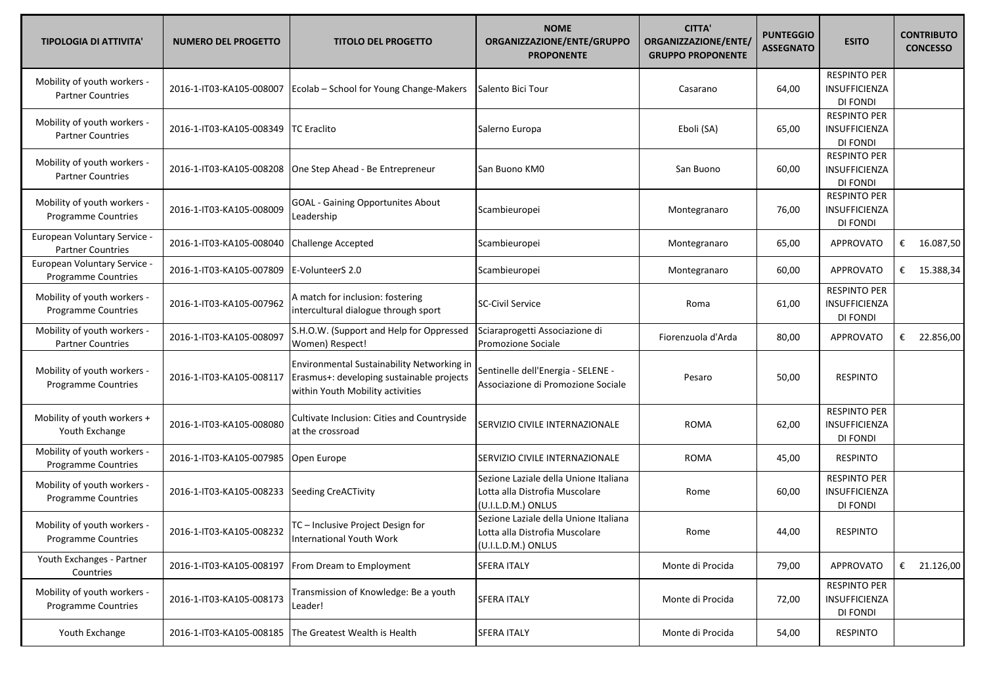| <b>TIPOLOGIA DI ATTIVITA'</b>                             | <b>NUMERO DEL PROGETTO</b> | <b>TITOLO DEL PROGETTO</b>                                                                                                  | <b>NOME</b><br>ORGANIZZAZIONE/ENTE/GRUPPO<br><b>PROPONENTE</b>                                | <b>CITTA'</b><br>ORGANIZZAZIONE/ENTE/<br><b>GRUPPO PROPONENTE</b> | <b>PUNTEGGIO</b><br><b>ASSEGNATO</b> | <b>ESITO</b>                                            | <b>CONTRIBUTO</b><br><b>CONCESSO</b> |
|-----------------------------------------------------------|----------------------------|-----------------------------------------------------------------------------------------------------------------------------|-----------------------------------------------------------------------------------------------|-------------------------------------------------------------------|--------------------------------------|---------------------------------------------------------|--------------------------------------|
| Mobility of youth workers -<br><b>Partner Countries</b>   | 2016-1-IT03-KA105-008007   | Ecolab - School for Young Change-Makers                                                                                     | Salento Bici Tour                                                                             | Casarano                                                          | 64,00                                | <b>RESPINTO PER</b><br>INSUFFICIENZA<br>DI FONDI        |                                      |
| Mobility of youth workers -<br><b>Partner Countries</b>   | 2016-1-IT03-KA105-008349   | <b>TC</b> Eraclito                                                                                                          | Salerno Europa                                                                                | Eboli (SA)                                                        | 65,00                                | <b>RESPINTO PER</b><br>INSUFFICIENZA<br>DI FONDI        |                                      |
| Mobility of youth workers -<br><b>Partner Countries</b>   | 2016-1-IT03-KA105-008208   | One Step Ahead - Be Entrepreneur                                                                                            | San Buono KM0                                                                                 | San Buono                                                         | 60,00                                | <b>RESPINTO PER</b><br>INSUFFICIENZA<br>DI FONDI        |                                      |
| Mobility of youth workers -<br><b>Programme Countries</b> | 2016-1-IT03-KA105-008009   | <b>GOAL - Gaining Opportunites About</b><br>Leadership                                                                      | Scambieuropei                                                                                 | Montegranaro                                                      | 76,00                                | <b>RESPINTO PER</b><br><b>INSUFFICIENZA</b><br>DI FONDI |                                      |
| European Voluntary Service -<br><b>Partner Countries</b>  | 2016-1-IT03-KA105-008040   | <b>Challenge Accepted</b>                                                                                                   | Scambieuropei                                                                                 | Montegranaro                                                      | 65,00                                | <b>APPROVATO</b>                                        | €<br>16.087,50                       |
| European Voluntary Service -<br>Programme Countries       | 2016-1-IT03-KA105-007809   | E-VolunteerS 2.0                                                                                                            | Scambieuropei                                                                                 | Montegranaro                                                      | 60,00                                | <b>APPROVATO</b>                                        | € 15.388,34                          |
| Mobility of youth workers -<br>Programme Countries        | 2016-1-IT03-KA105-007962   | A match for inclusion: fostering<br>intercultural dialogue through sport                                                    | <b>SC-Civil Service</b>                                                                       | Roma                                                              | 61,00                                | <b>RESPINTO PER</b><br>INSUFFICIENZA<br>DI FONDI        |                                      |
| Mobility of youth workers -<br><b>Partner Countries</b>   | 2016-1-IT03-KA105-008097   | S.H.O.W. (Support and Help for Oppressed<br>Women) Respect!                                                                 | Sciaraprogetti Associazione di<br>Promozione Sociale                                          | Fiorenzuola d'Arda                                                | 80,00                                | <b>APPROVATO</b>                                        | 22.856,00<br>€                       |
| Mobility of youth workers -<br><b>Programme Countries</b> | 2016-1-IT03-KA105-008117   | Environmental Sustainability Networking in<br>Erasmus+: developing sustainable projects<br>within Youth Mobility activities | Sentinelle dell'Energia - SELENE -<br>Associazione di Promozione Sociale                      | Pesaro                                                            | 50,00                                | <b>RESPINTO</b>                                         |                                      |
| Mobility of youth workers +<br>Youth Exchange             | 2016-1-IT03-KA105-008080   | Cultivate Inclusion: Cities and Countryside<br>at the crossroad                                                             | SERVIZIO CIVILE INTERNAZIONALE                                                                | <b>ROMA</b>                                                       | 62,00                                | <b>RESPINTO PER</b><br>INSUFFICIENZA<br>DI FONDI        |                                      |
| Mobility of youth workers -<br>Programme Countries        | 2016-1-IT03-KA105-007985   | Open Europe                                                                                                                 | SERVIZIO CIVILE INTERNAZIONALE                                                                | <b>ROMA</b>                                                       | 45,00                                | <b>RESPINTO</b>                                         |                                      |
| Mobility of youth workers -<br>Programme Countries        | 2016-1-IT03-KA105-008233   | Seeding CreACTivity                                                                                                         | Sezione Laziale della Unione Italiana<br>Lotta alla Distrofia Muscolare<br>(U.I.L.D.M.) ONLUS | Rome                                                              | 60,00                                | <b>RESPINTO PER</b><br>INSUFFICIENZA<br>DI FONDI        |                                      |
| Mobility of youth workers -<br>Programme Countries        | 2016-1-IT03-KA105-008232   | TC - Inclusive Project Design for<br>International Youth Work                                                               | Sezione Laziale della Unione Italiana<br>Lotta alla Distrofia Muscolare<br>(U.I.L.D.M.) ONLUS | Rome                                                              | 44,00                                | <b>RESPINTO</b>                                         |                                      |
| Youth Exchanges - Partner<br>Countries                    | 2016-1-IT03-KA105-008197   | From Dream to Employment                                                                                                    | <b>SFERA ITALY</b>                                                                            | Monte di Procida                                                  | 79,00                                | <b>APPROVATO</b>                                        | € 21.126,00                          |
| Mobility of youth workers -<br>Programme Countries        | 2016-1-IT03-KA105-008173   | Transmission of Knowledge: Be a youth<br>Leader!                                                                            | <b>SFERA ITALY</b>                                                                            | Monte di Procida                                                  | 72,00                                | <b>RESPINTO PER</b><br>INSUFFICIENZA<br>DI FONDI        |                                      |
| Youth Exchange                                            | 2016-1-IT03-KA105-008185   | The Greatest Wealth is Health                                                                                               | <b>SFERA ITALY</b>                                                                            | Monte di Procida                                                  | 54,00                                | <b>RESPINTO</b>                                         |                                      |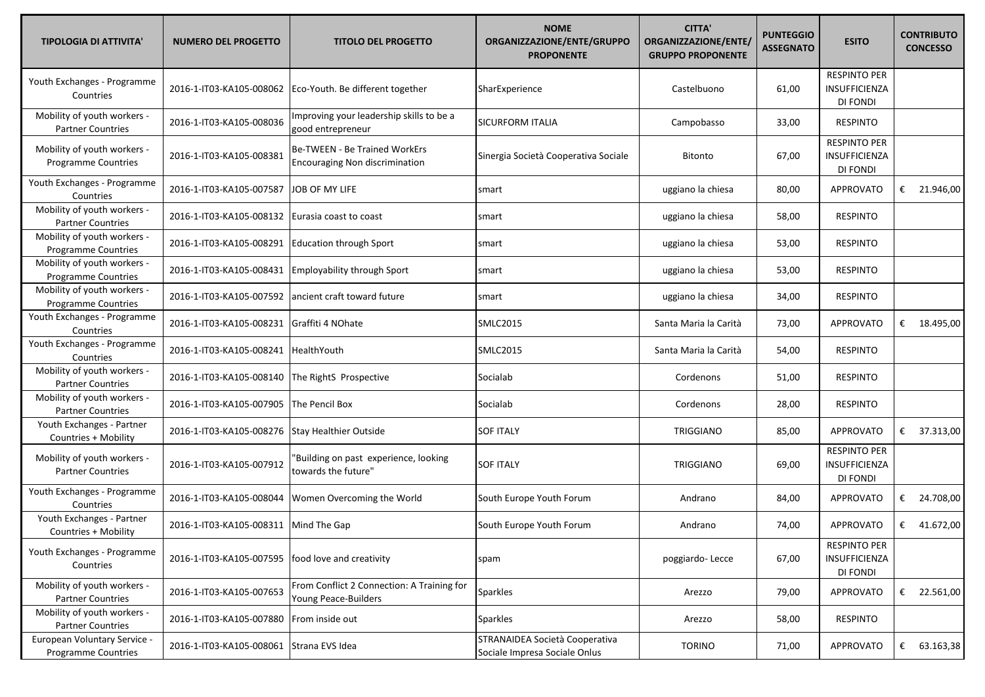| <b>TIPOLOGIA DI ATTIVITA'</b>                             | <b>NUMERO DEL PROGETTO</b>                      | <b>TITOLO DEL PROGETTO</b>                                             | <b>NOME</b><br>ORGANIZZAZIONE/ENTE/GRUPPO<br><b>PROPONENTE</b>  | <b>CITTA'</b><br>ORGANIZZAZIONE/ENTE/<br><b>GRUPPO PROPONENTE</b> | <b>PUNTEGGIO</b><br><b>ASSEGNATO</b> | <b>ESITO</b>                                     | <b>CONTRIBUTO</b><br><b>CONCESSO</b> |
|-----------------------------------------------------------|-------------------------------------------------|------------------------------------------------------------------------|-----------------------------------------------------------------|-------------------------------------------------------------------|--------------------------------------|--------------------------------------------------|--------------------------------------|
| Youth Exchanges - Programme<br>Countries                  | 2016-1-IT03-KA105-008062                        | Eco-Youth. Be different together                                       | SharExperience                                                  | Castelbuono                                                       | 61,00                                | <b>RESPINTO PER</b><br>INSUFFICIENZA<br>DI FONDI |                                      |
| Mobility of youth workers -<br><b>Partner Countries</b>   | 2016-1-IT03-KA105-008036                        | Improving your leadership skills to be a<br>good entrepreneur          | <b>SICURFORM ITALIA</b>                                         | Campobasso                                                        | 33,00                                | <b>RESPINTO</b>                                  |                                      |
| Mobility of youth workers -<br>Programme Countries        | 2016-1-IT03-KA105-008381                        | Be-TWEEN - Be Trained WorkErs<br><b>Encouraging Non discrimination</b> | Sinergia Società Cooperativa Sociale                            | <b>Bitonto</b>                                                    | 67,00                                | <b>RESPINTO PER</b><br>INSUFFICIENZA<br>DI FONDI |                                      |
| Youth Exchanges - Programme<br>Countries                  | 2016-1-IT03-KA105-007587                        | JOB OF MY LIFE                                                         | smart                                                           | uggiano la chiesa                                                 | 80,00                                | <b>APPROVATO</b>                                 | € 21.946,00                          |
| Mobility of youth workers -<br><b>Partner Countries</b>   | 2016-1-IT03-KA105-008132                        | Eurasia coast to coast                                                 | smart                                                           | uggiano la chiesa                                                 | 58,00                                | <b>RESPINTO</b>                                  |                                      |
| Mobility of youth workers -<br>Programme Countries        | 2016-1-IT03-KA105-008291                        | <b>Education through Sport</b>                                         | smart                                                           | uggiano la chiesa                                                 | 53,00                                | <b>RESPINTO</b>                                  |                                      |
| Mobility of youth workers -<br>Programme Countries        | 2016-1-IT03-KA105-008431                        | <b>Employability through Sport</b>                                     | smart                                                           | uggiano la chiesa                                                 | 53,00                                | <b>RESPINTO</b>                                  |                                      |
| Mobility of youth workers -<br><b>Programme Countries</b> | 2016-1-IT03-KA105-007592                        | ancient craft toward future                                            | smart                                                           | uggiano la chiesa                                                 | 34,00                                | <b>RESPINTO</b>                                  |                                      |
| Youth Exchanges - Programme<br>Countries                  | 2016-1-IT03-KA105-008231                        | Graffiti 4 NOhate                                                      | <b>SMLC2015</b>                                                 | Santa Maria la Carità                                             | 73,00                                | <b>APPROVATO</b>                                 | € $18.495,00$                        |
| Youth Exchanges - Programme<br>Countries                  | 2016-1-IT03-KA105-008241                        | HealthYouth                                                            | <b>SMLC2015</b>                                                 | Santa Maria la Carità                                             | 54,00                                | <b>RESPINTO</b>                                  |                                      |
| Mobility of youth workers -<br><b>Partner Countries</b>   | 2016-1-IT03-KA105-008140 The RightS Prospective |                                                                        | Socialab                                                        | Cordenons                                                         | 51,00                                | <b>RESPINTO</b>                                  |                                      |
| Mobility of youth workers -<br><b>Partner Countries</b>   | 2016-1-IT03-KA105-007905                        | The Pencil Box                                                         | Socialab                                                        | Cordenons                                                         | 28,00                                | <b>RESPINTO</b>                                  |                                      |
| Youth Exchanges - Partner<br>Countries + Mobility         | 2016-1-IT03-KA105-008276                        | Stay Healthier Outside                                                 | <b>SOF ITALY</b>                                                | TRIGGIANO                                                         | 85,00                                | <b>APPROVATO</b>                                 | € 37.313,00                          |
| Mobility of youth workers -<br><b>Partner Countries</b>   | 2016-1-IT03-KA105-007912                        | 'Building on past experience, looking<br>towards the future"           | <b>SOF ITALY</b>                                                | TRIGGIANO                                                         | 69,00                                | <b>RESPINTO PER</b><br>INSUFFICIENZA<br>DI FONDI |                                      |
| Youth Exchanges - Programme<br>Countries                  | 2016-1-IT03-KA105-008044                        | Women Overcoming the World                                             | South Europe Youth Forum                                        | Andrano                                                           | 84,00                                | <b>APPROVATO</b>                                 | € 24.708,00                          |
| Youth Exchanges - Partner<br>Countries + Mobility         | 2016-1-IT03-KA105-008311 Mind The Gap           |                                                                        | South Europe Youth Forum                                        | Andrano                                                           | 74,00                                | <b>APPROVATO</b>                                 | € 41.672,00                          |
| Youth Exchanges - Programme<br>Countries                  | 2016-1-IT03-KA105-007595                        | food love and creativity                                               | spam                                                            | poggiardo-Lecce                                                   | 67,00                                | <b>RESPINTO PER</b><br>INSUFFICIENZA<br>DI FONDI |                                      |
| Mobility of youth workers -<br><b>Partner Countries</b>   | 2016-1-IT03-KA105-007653                        | From Conflict 2 Connection: A Training for<br>Young Peace-Builders     | Sparkles                                                        | Arezzo                                                            | 79,00                                | <b>APPROVATO</b>                                 | € 22.561,00                          |
| Mobility of youth workers -<br><b>Partner Countries</b>   | 2016-1-IT03-KA105-007880                        | From inside out                                                        | <b>Sparkles</b>                                                 | Arezzo                                                            | 58,00                                | <b>RESPINTO</b>                                  |                                      |
| European Voluntary Service -<br>Programme Countries       | 2016-1-IT03-KA105-008061                        | Strana EVS Idea                                                        | STRANAIDEA Società Cooperativa<br>Sociale Impresa Sociale Onlus | <b>TORINO</b>                                                     | 71,00                                | APPROVATO                                        | €<br>63.163,38                       |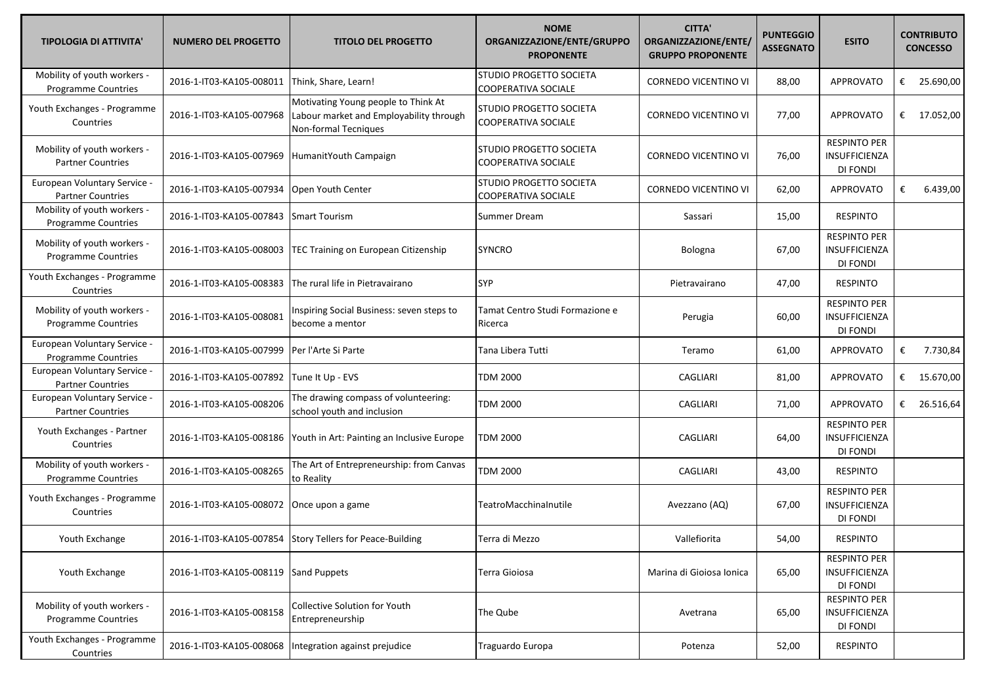| <b>TIPOLOGIA DI ATTIVITA'</b>                              | <b>NUMERO DEL PROGETTO</b> | <b>TITOLO DEL PROGETTO</b>                                                                             | <b>NOME</b><br>ORGANIZZAZIONE/ENTE/GRUPPO<br><b>PROPONENTE</b> | <b>CITTA'</b><br>ORGANIZZAZIONE/ENTE/<br><b>GRUPPO PROPONENTE</b> | <b>PUNTEGGIO</b><br><b>ASSEGNATO</b> | <b>ESITO</b>                                            |   | <b>CONTRIBUTO</b><br><b>CONCESSO</b> |
|------------------------------------------------------------|----------------------------|--------------------------------------------------------------------------------------------------------|----------------------------------------------------------------|-------------------------------------------------------------------|--------------------------------------|---------------------------------------------------------|---|--------------------------------------|
| Mobility of youth workers -<br><b>Programme Countries</b>  | 2016-1-IT03-KA105-008011   | Think, Share, Learn!                                                                                   | STUDIO PROGETTO SOCIETA<br><b>COOPERATIVA SOCIALE</b>          | <b>CORNEDO VICENTINO VI</b>                                       | 88,00                                | <b>APPROVATO</b>                                        | € | 25.690,00                            |
| Youth Exchanges - Programme<br>Countries                   | 2016-1-IT03-KA105-007968   | Motivating Young people to Think At<br>Labour market and Employability through<br>Non-formal Tecniques | <b>STUDIO PROGETTO SOCIETA</b><br>COOPERATIVA SOCIALE          | <b>CORNEDO VICENTINO VI</b>                                       | 77,00                                | <b>APPROVATO</b>                                        |   | € 17.052,00                          |
| Mobility of youth workers -<br><b>Partner Countries</b>    | 2016-1-IT03-KA105-007969   | HumanitYouth Campaign                                                                                  | STUDIO PROGETTO SOCIETA<br>COOPERATIVA SOCIALE                 | <b>CORNEDO VICENTINO VI</b>                                       | 76,00                                | <b>RESPINTO PER</b><br>INSUFFICIENZA<br>DI FONDI        |   |                                      |
| European Voluntary Service -<br><b>Partner Countries</b>   | 2016-1-IT03-KA105-007934   | Open Youth Center                                                                                      | STUDIO PROGETTO SOCIETA<br>COOPERATIVA SOCIALE                 | CORNEDO VICENTINO VI                                              | 62,00                                | <b>APPROVATO</b>                                        | € | 6.439,00                             |
| Mobility of youth workers -<br>Programme Countries         | 2016-1-IT03-KA105-007843   | <b>Smart Tourism</b>                                                                                   | Summer Dream                                                   | Sassari                                                           | 15,00                                | <b>RESPINTO</b>                                         |   |                                      |
| Mobility of youth workers -<br>Programme Countries         | 2016-1-IT03-KA105-008003   | TEC Training on European Citizenship                                                                   | <b>SYNCRO</b>                                                  | Bologna                                                           | 67,00                                | <b>RESPINTO PER</b><br>INSUFFICIENZA<br>DI FONDI        |   |                                      |
| Youth Exchanges - Programme<br>Countries                   | 2016-1-IT03-KA105-008383   | The rural life in Pietravairano                                                                        | SYP                                                            | Pietravairano                                                     | 47,00                                | <b>RESPINTO</b>                                         |   |                                      |
| Mobility of youth workers -<br><b>Programme Countries</b>  | 2016-1-IT03-KA105-008081   | Inspiring Social Business: seven steps to<br>become a mentor                                           | Tamat Centro Studi Formazione e<br>Ricerca                     | Perugia                                                           | 60,00                                | <b>RESPINTO PER</b><br><b>INSUFFICIENZA</b><br>DI FONDI |   |                                      |
| European Voluntary Service -<br><b>Programme Countries</b> | 2016-1-IT03-KA105-007999   | Per l'Arte Si Parte                                                                                    | Tana Libera Tutti                                              | Teramo                                                            | 61,00                                | <b>APPROVATO</b>                                        | € | 7.730,84                             |
| European Voluntary Service -<br><b>Partner Countries</b>   | 2016-1-IT03-KA105-007892   | Tune It Up - EVS                                                                                       | <b>TDM 2000</b>                                                | CAGLIARI                                                          | 81,00                                | <b>APPROVATO</b>                                        |   | € 15.670,00                          |
| European Voluntary Service -<br><b>Partner Countries</b>   | 2016-1-IT03-KA105-008206   | The drawing compass of volunteering:<br>school youth and inclusion                                     | <b>TDM 2000</b>                                                | CAGLIARI                                                          | 71,00                                | APPROVATO                                               | € | 26.516,64                            |
| Youth Exchanges - Partner<br>Countries                     | 2016-1-IT03-KA105-008186   | Youth in Art: Painting an Inclusive Europe                                                             | <b>TDM 2000</b>                                                | CAGLIARI                                                          | 64,00                                | <b>RESPINTO PER</b><br>INSUFFICIENZA<br>DI FONDI        |   |                                      |
| Mobility of youth workers -<br><b>Programme Countries</b>  | 2016-1-IT03-KA105-008265   | The Art of Entrepreneurship: from Canvas<br>to Reality                                                 | <b>TDM 2000</b>                                                | CAGLIARI                                                          | 43,00                                | <b>RESPINTO</b>                                         |   |                                      |
| Youth Exchanges - Programme<br>Countries                   | 2016-1-IT03-KA105-008072   | Once upon a game                                                                                       | TeatroMacchinalnutile                                          | Avezzano (AQ)                                                     | 67,00                                | <b>RESPINTO PER</b><br>INSUFFICIENZA<br>DI FONDI        |   |                                      |
| Youth Exchange                                             |                            | 2016-1-IT03-KA105-007854 Story Tellers for Peace-Building                                              | Terra di Mezzo                                                 | Vallefiorita                                                      | 54,00                                | <b>RESPINTO</b>                                         |   |                                      |
| Youth Exchange                                             | 2016-1-IT03-KA105-008119   | <b>Sand Puppets</b>                                                                                    | Terra Gioiosa                                                  | Marina di Gioiosa Ionica                                          | 65,00                                | <b>RESPINTO PER</b><br>INSUFFICIENZA<br>DI FONDI        |   |                                      |
| Mobility of youth workers -<br><b>Programme Countries</b>  | 2016-1-IT03-KA105-008158   | Collective Solution for Youth<br>Entrepreneurship                                                      | The Qube                                                       | Avetrana                                                          | 65,00                                | <b>RESPINTO PER</b><br><b>INSUFFICIENZA</b><br>DI FONDI |   |                                      |
| Youth Exchanges - Programme<br>Countries                   |                            | 2016-1-IT03-KA105-008068  Integration against prejudice                                                | Traguardo Europa                                               | Potenza                                                           | 52,00                                | <b>RESPINTO</b>                                         |   |                                      |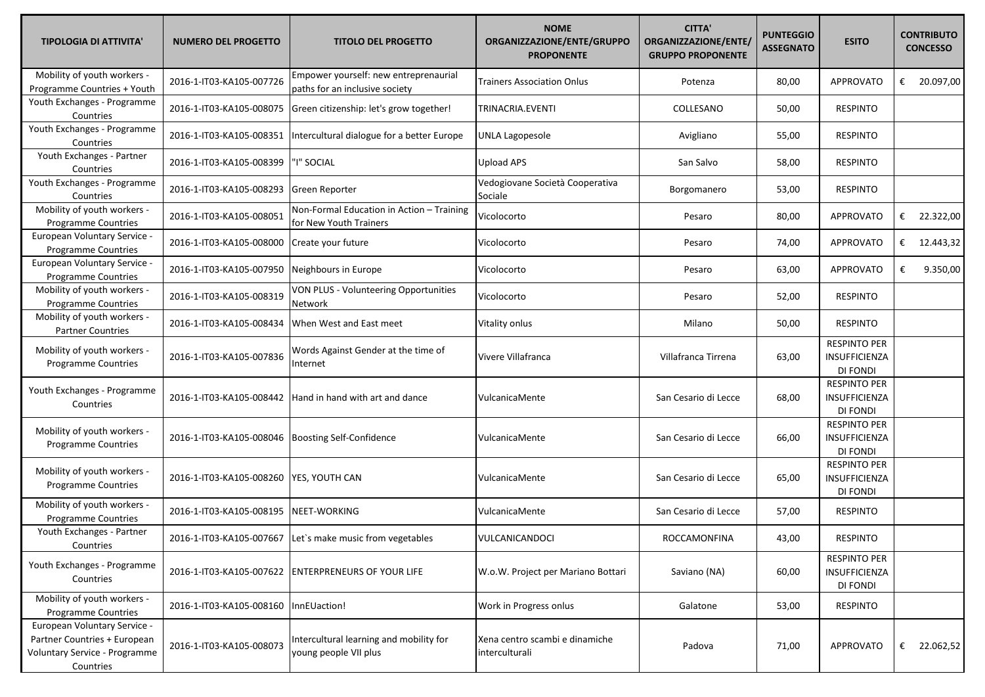| <b>TIPOLOGIA DI ATTIVITA'</b>                                                                              | <b>NUMERO DEL PROGETTO</b> | <b>TITOLO DEL PROGETTO</b>                                              | <b>NOME</b><br>ORGANIZZAZIONE/ENTE/GRUPPO<br><b>PROPONENTE</b> | <b>CITTA'</b><br>ORGANIZZAZIONE/ENTE/<br><b>GRUPPO PROPONENTE</b> | <b>PUNTEGGIO</b><br><b>ASSEGNATO</b> | <b>ESITO</b>                                            | <b>CONTRIBUTO</b><br><b>CONCESSO</b> |  |
|------------------------------------------------------------------------------------------------------------|----------------------------|-------------------------------------------------------------------------|----------------------------------------------------------------|-------------------------------------------------------------------|--------------------------------------|---------------------------------------------------------|--------------------------------------|--|
| Mobility of youth workers -<br>Programme Countries + Youth                                                 | 2016-1-IT03-KA105-007726   | Empower yourself: new entreprenaurial<br>paths for an inclusive society | Trainers Association Onlus                                     | Potenza                                                           | 80,00                                | <b>APPROVATO</b>                                        | € 20.097,00                          |  |
| Youth Exchanges - Programme<br>Countries                                                                   | 2016-1-IT03-KA105-008075   | Green citizenship: let's grow together!                                 | TRINACRIA.EVENTI                                               | COLLESANO                                                         | 50,00                                | <b>RESPINTO</b>                                         |                                      |  |
| Youth Exchanges - Programme<br>Countries                                                                   | 2016-1-IT03-KA105-008351   | Intercultural dialogue for a better Europe                              | UNLA Lagopesole                                                | Avigliano                                                         | 55,00                                | <b>RESPINTO</b>                                         |                                      |  |
| Youth Exchanges - Partner<br>Countries                                                                     | 2016-1-IT03-KA105-008399   | "I" SOCIAL                                                              | Upload APS                                                     | San Salvo                                                         | 58,00                                | <b>RESPINTO</b>                                         |                                      |  |
| Youth Exchanges - Programme<br>Countries                                                                   | 2016-1-IT03-KA105-008293   | <b>Green Reporter</b>                                                   | Vedogiovane Società Cooperativa<br>Sociale                     | Borgomanero                                                       | 53,00                                | <b>RESPINTO</b>                                         |                                      |  |
| Mobility of youth workers -<br>Programme Countries                                                         | 2016-1-IT03-KA105-008051   | Non-Formal Education in Action - Training<br>for New Youth Trainers     | Vicolocorto                                                    | Pesaro                                                            | 80,00                                | <b>APPROVATO</b>                                        | 22.322,00<br>€                       |  |
| European Voluntary Service -<br>Programme Countries                                                        | 2016-1-IT03-KA105-008000   | Create your future                                                      | Vicolocorto                                                    | Pesaro                                                            | 74,00                                | <b>APPROVATO</b>                                        | € 12.443,32                          |  |
| European Voluntary Service -<br>Programme Countries                                                        | 2016-1-IT03-KA105-007950   | Neighbours in Europe                                                    | Vicolocorto                                                    | Pesaro                                                            | 63,00                                | <b>APPROVATO</b>                                        | €<br>9.350,00                        |  |
| Mobility of youth workers -<br>Programme Countries                                                         | 2016-1-IT03-KA105-008319   | VON PLUS - Volunteering Opportunities<br>Network                        | Vicolocorto                                                    | Pesaro                                                            | 52,00                                | <b>RESPINTO</b>                                         |                                      |  |
| Mobility of youth workers -<br><b>Partner Countries</b>                                                    | 2016-1-IT03-KA105-008434   | When West and East meet                                                 | Vitality onlus                                                 | Milano                                                            | 50,00                                | <b>RESPINTO</b>                                         |                                      |  |
| Mobility of youth workers -<br>Programme Countries                                                         | 2016-1-IT03-KA105-007836   | Words Against Gender at the time of<br>Internet                         | Vivere Villafranca                                             | Villafranca Tirrena                                               | 63,00                                | <b>RESPINTO PER</b><br>INSUFFICIENZA<br>DI FONDI        |                                      |  |
| Youth Exchanges - Programme<br>Countries                                                                   | 2016-1-IT03-KA105-008442   | Hand in hand with art and dance                                         | VulcanicaMente                                                 | San Cesario di Lecce                                              | 68,00                                | <b>RESPINTO PER</b><br>INSUFFICIENZA<br>DI FONDI        |                                      |  |
| Mobility of youth workers -<br><b>Programme Countries</b>                                                  | 2016-1-IT03-KA105-008046   | <b>Boosting Self-Confidence</b>                                         | VulcanicaMente                                                 | San Cesario di Lecce                                              | 66,00                                | <b>RESPINTO PER</b><br><b>INSUFFICIENZA</b><br>DI FONDI |                                      |  |
| Mobility of youth workers -<br><b>Programme Countries</b>                                                  | 2016-1-IT03-KA105-008260   | YES, YOUTH CAN                                                          | VulcanicaMente                                                 | San Cesario di Lecce                                              | 65,00                                | <b>RESPINTO PER</b><br>INSUFFICIENZA<br>DI FONDI        |                                      |  |
| Mobility of youth workers -<br>Programme Countries                                                         | 2016-1-IT03-KA105-008195   | NEET-WORKING                                                            | VulcanicaMente                                                 | San Cesario di Lecce                                              | 57,00                                | <b>RESPINTO</b>                                         |                                      |  |
| Youth Exchanges - Partner<br>Countries                                                                     |                            | 2016-1-IT03-KA105-007667 Let's make music from vegetables               | VULCANICANDOCI                                                 | ROCCAMONFINA                                                      | 43,00                                | <b>RESPINTO</b>                                         |                                      |  |
| Youth Exchanges - Programme<br>Countries                                                                   | 2016-1-IT03-KA105-007622   | <b>ENTERPRENEURS OF YOUR LIFE</b>                                       | W.o.W. Project per Mariano Bottari                             | Saviano (NA)                                                      | 60,00                                | <b>RESPINTO PER</b><br>INSUFFICIENZA<br>DI FONDI        |                                      |  |
| Mobility of youth workers -<br>Programme Countries                                                         | 2016-1-IT03-KA105-008160   | InnEUaction!                                                            | Work in Progress onlus                                         | Galatone                                                          | 53,00                                | <b>RESPINTO</b>                                         |                                      |  |
| European Voluntary Service -<br>Partner Countries + European<br>Voluntary Service - Programme<br>Countries | 2016-1-IT03-KA105-008073   | Intercultural learning and mobility for<br>young people VII plus        | Xena centro scambi e dinamiche<br>interculturali               | Padova                                                            | 71,00                                | <b>APPROVATO</b>                                        | € 22.062,52                          |  |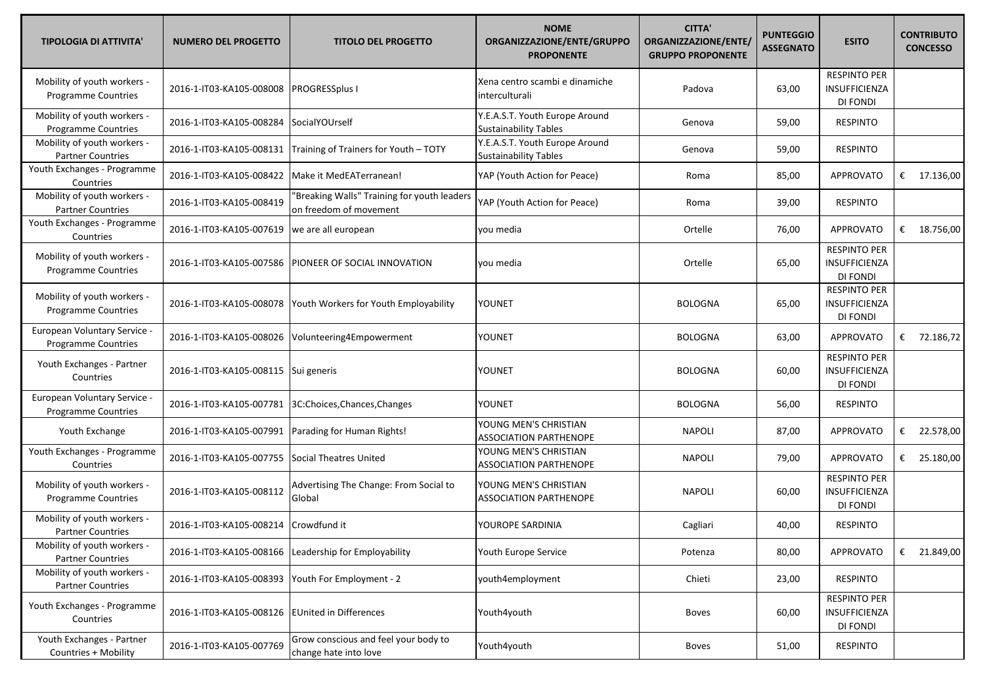| <b>TIPOLOGIA DI ATTIVITA'</b>                              | <b>NUMERO DEL PROGETTO</b> | <b>TITOLO DEL PROGETTO</b>                                            | <b>NOME</b><br>ORGANIZZAZIONE/ENTE/GRUPPO<br><b>PROPONENTE</b> | <b>CITTA'</b><br>ORGANIZZAZIONE/ENTE/<br><b>GRUPPO PROPONENTE</b> | <b>PUNTEGGIO</b><br><b>ASSEGNATO</b> | <b>ESITO</b>                                            | <b>CONTRIBUTO</b><br><b>CONCESSO</b> |
|------------------------------------------------------------|----------------------------|-----------------------------------------------------------------------|----------------------------------------------------------------|-------------------------------------------------------------------|--------------------------------------|---------------------------------------------------------|--------------------------------------|
| Mobility of youth workers -<br><b>Programme Countries</b>  | 2016-1-IT03-KA105-008008   | <b>PROGRESSplus I</b>                                                 | Xena centro scambi e dinamiche<br>interculturali               | Padova                                                            | 63,00                                | <b>RESPINTO PER</b><br><b>INSUFFICIENZA</b><br>DI FONDI |                                      |
| Mobility of youth workers -<br><b>Programme Countries</b>  | 2016-1-IT03-KA105-008284   | Social YOUrself                                                       | Y.E.A.S.T. Youth Europe Around<br><b>Sustainability Tables</b> | Genova                                                            | 59,00                                | <b>RESPINTO</b>                                         |                                      |
| Mobility of youth workers -<br><b>Partner Countries</b>    | 2016-1-IT03-KA105-008131   | Training of Trainers for Youth - TOTY                                 | Y.E.A.S.T. Youth Europe Around<br><b>Sustainability Tables</b> | Genova                                                            | 59,00                                | <b>RESPINTO</b>                                         |                                      |
| Youth Exchanges - Programme<br>Countries                   | 2016-1-IT03-KA105-008422   | Make it MedEATerranean!                                               | YAP (Youth Action for Peace)                                   | Roma                                                              | 85,00                                | <b>APPROVATO</b>                                        | € $17.136,00$                        |
| Mobility of youth workers -<br><b>Partner Countries</b>    | 2016-1-IT03-KA105-008419   | 'Breaking Walls" Training for youth leaders<br>on freedom of movement | YAP (Youth Action for Peace)                                   | Roma                                                              | 39,00                                | <b>RESPINTO</b>                                         |                                      |
| Youth Exchanges - Programme<br>Countries                   | 2016-1-IT03-KA105-007619   | we are all european                                                   | you media                                                      | Ortelle                                                           | 76,00                                | <b>APPROVATO</b>                                        | € $18.756,00$                        |
| Mobility of youth workers -<br><b>Programme Countries</b>  | 2016-1-IT03-KA105-007586   | PIONEER OF SOCIAL INNOVATION                                          | you media                                                      | Ortelle                                                           | 65,00                                | <b>RESPINTO PER</b><br>INSUFFICIENZA<br>DI FONDI        |                                      |
| Mobility of youth workers -<br>Programme Countries         | 2016-1-IT03-KA105-008078   | Youth Workers for Youth Employability                                 | YOUNET                                                         | <b>BOLOGNA</b>                                                    | 65,00                                | <b>RESPINTO PER</b><br>INSUFFICIENZA<br>DI FONDI        |                                      |
| European Voluntary Service -<br><b>Programme Countries</b> | 2016-1-IT03-KA105-008026   | Volunteering4Empowerment                                              | YOUNET                                                         | <b>BOLOGNA</b>                                                    | 63,00                                | <b>APPROVATO</b>                                        | € 72.186,72                          |
| Youth Exchanges - Partner<br>Countries                     | 2016-1-IT03-KA105-008115   | Sui generis                                                           | YOUNET                                                         | <b>BOLOGNA</b>                                                    | 60,00                                | <b>RESPINTO PER</b><br>INSUFFICIENZA<br>DI FONDI        |                                      |
| European Voluntary Service -<br>Programme Countries        | 2016-1-IT03-KA105-007781   | 3C:Choices,Chances,Changes                                            | YOUNET                                                         | <b>BOLOGNA</b>                                                    | 56,00                                | <b>RESPINTO</b>                                         |                                      |
| Youth Exchange                                             | 2016-1-IT03-KA105-007991   | Parading for Human Rights!                                            | YOUNG MEN'S CHRISTIAN<br>ASSOCIATION PARTHENOPE                | <b>NAPOLI</b>                                                     | 87,00                                | <b>APPROVATO</b>                                        | € 22.578,00                          |
| Youth Exchanges - Programme<br>Countries                   | 2016-1-IT03-KA105-007755   | <b>Social Theatres United</b>                                         | YOUNG MEN'S CHRISTIAN<br><b>ASSOCIATION PARTHENOPE</b>         | <b>NAPOLI</b>                                                     | 79,00                                | APPROVATO                                               | € 25.180,00                          |
| Mobility of youth workers -<br>Programme Countries         | 2016-1-IT03-KA105-008112   | Advertising The Change: From Social to<br>Global                      | YOUNG MEN'S CHRISTIAN<br><b>ASSOCIATION PARTHENOPE</b>         | <b>NAPOLI</b>                                                     | 60,00                                | <b>RESPINTO PER</b><br>INSUFFICIENZA<br>DI FONDI        |                                      |
| Mobility of youth workers -<br><b>Partner Countries</b>    | 2016-1-IT03-KA105-008214   | Crowdfund it                                                          | YOUROPE SARDINIA                                               | Cagliari                                                          | 40,00                                | <b>RESPINTO</b>                                         |                                      |
| Mobility of youth workers -<br><b>Partner Countries</b>    | 2016-1-IT03-KA105-008166   | Leadership for Employability                                          | Youth Europe Service                                           | Potenza                                                           | 80,00                                | APPROVATO                                               | € 21.849,00                          |
| Mobility of youth workers -<br><b>Partner Countries</b>    | 2016-1-IT03-KA105-008393   | Youth For Employment - 2                                              | youth4employment                                               | Chieti                                                            | 23,00                                | <b>RESPINTO</b>                                         |                                      |
| Youth Exchanges - Programme<br>Countries                   | 2016-1-IT03-KA105-008126   | <b>EUnited in Differences</b>                                         | Youth4youth                                                    | <b>Boves</b>                                                      | 60,00                                | <b>RESPINTO PER</b><br>INSUFFICIENZA<br>DI FONDI        |                                      |
| Youth Exchanges - Partner<br>Countries + Mobility          | 2016-1-IT03-KA105-007769   | Grow conscious and feel your body to<br>change hate into love         | Youth4youth                                                    | Boves                                                             | 51,00                                | <b>RESPINTO</b>                                         |                                      |